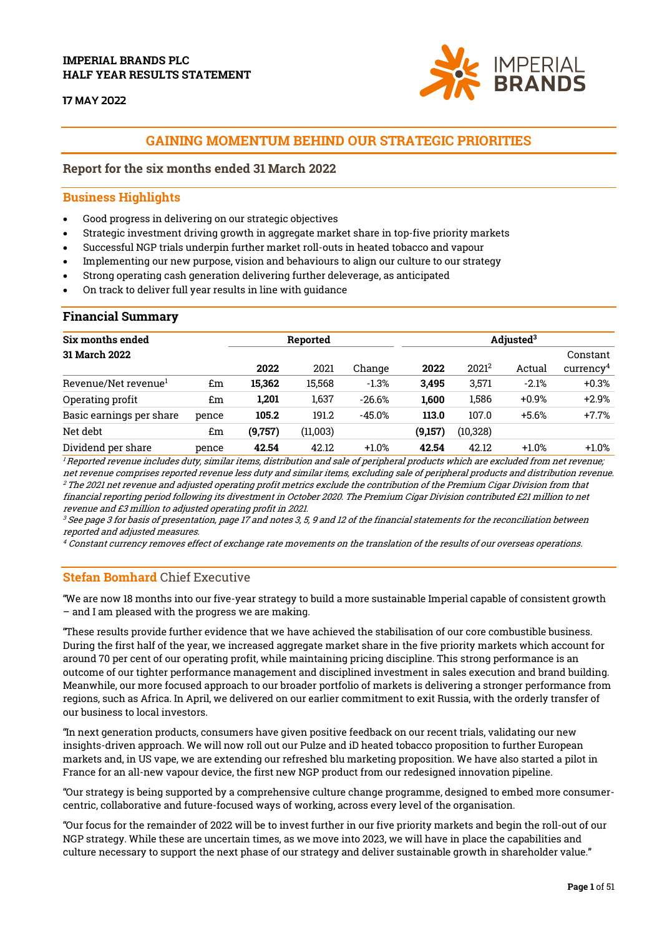# IMPERIAL BRANDS PLC HALF YEAR RESULTS STATEMENT

**17 MAY 2022** 



# GAINING MOMENTUM BEHIND OUR STRATEGIC PRIORITIES

# Report for the six months ended 31 March 2022

# Business Highlights

- Good progress in delivering on our strategic objectives
- Strategic investment driving growth in aggregate market share in top-five priority markets
- Successful NGP trials underpin further market roll-outs in heated tobacco and vapour
- Implementing our new purpose, vision and behaviours to align our culture to our strategy
- Strong operating cash generation delivering further deleverage, as anticipated
- On track to deliver full year results in line with guidance

# Financial Summary

| Six months ended                 | Reported |         |          | Adjusted <sup>3</sup> |         |                   |         |                         |
|----------------------------------|----------|---------|----------|-----------------------|---------|-------------------|---------|-------------------------|
| <b>31 March 2022</b>             |          |         |          |                       |         |                   |         | Constant                |
|                                  |          | 2022    | 2021     | Change                | 2022    | 2021 <sup>2</sup> | Actual  | curvearrow <sup>4</sup> |
| Revenue/Net revenue <sup>1</sup> | £m       | 15.362  | 15.568   | $-1.3%$               | 3.495   | 3,571             | $-2.1%$ | $+0.3%$                 |
| Operating profit                 | £m       | 1,201   | 1,637    | $-26.6%$              | 1.600   | 1,586             | $+0.9%$ | $+2.9%$                 |
| Basic earnings per share         | pence    | 105.2   | 191.2    | $-45.0%$              | 113.0   | 107.0             | $+5.6%$ | $+7.7%$                 |
| Net debt                         | £m       | (9,757) | (11,003) |                       | (9,157) | (10, 328)         |         |                         |
| Dividend per share               | pence    | 42.54   | 42.12    | $+1.0%$               | 42.54   | 42.12             | $+1.0%$ | $+1.0%$                 |

<sup>1</sup>Reported revenue includes duty, similar items, distribution and sale of peripheral products which are excluded from net revenue; net revenue comprises reported revenue less duty and similar items, excluding sale of peripheral products and distribution revenue. <sup>2</sup> The 2021 net revenue and adjusted operating profit metrics exclude the contribution of the Premium Cigar Division from that financial reporting period following its divestment in October 2020. The Premium Cigar Division contributed £21 million to net revenue and £3 million to adjusted operating profit in 2021.

 $\,^3$  See page 3 for basis of presentation, page 17 and notes 3, 5, 9 and 12 of the financial statements for the reconciliation between reported and adjusted measures.

 $\rm ^4$  Constant currency removes effect of exchange rate movements on the translation of the results of our overseas operations.

# Stefan Bomhard Chief Executive

"We are now 18 months into our five-year strategy to build a more sustainable Imperial capable of consistent growth – and I am pleased with the progress we are making.

"These results provide further evidence that we have achieved the stabilisation of our core combustible business. During the first half of the year, we increased aggregate market share in the five priority markets which account for around 70 per cent of our operating profit, while maintaining pricing discipline. This strong performance is an outcome of our tighter performance management and disciplined investment in sales execution and brand building. Meanwhile, our more focused approach to our broader portfolio of markets is delivering a stronger performance from regions, such as Africa. In April, we delivered on our earlier commitment to exit Russia, with the orderly transfer of our business to local investors.

"In next generation products, consumers have given positive feedback on our recent trials, validating our new insights-driven approach. We will now roll out our Pulze and iD heated tobacco proposition to further European markets and, in US vape, we are extending our refreshed blu marketing proposition. We have also started a pilot in France for an all-new vapour device, the first new NGP product from our redesigned innovation pipeline.

"Our strategy is being supported by a comprehensive culture change programme, designed to embed more consumercentric, collaborative and future-focused ways of working, across every level of the organisation.

"Our focus for the remainder of 2022 will be to invest further in our five priority markets and begin the roll-out of our NGP strategy. While these are uncertain times, as we move into 2023, we will have in place the capabilities and culture necessary to support the next phase of our strategy and deliver sustainable growth in shareholder value."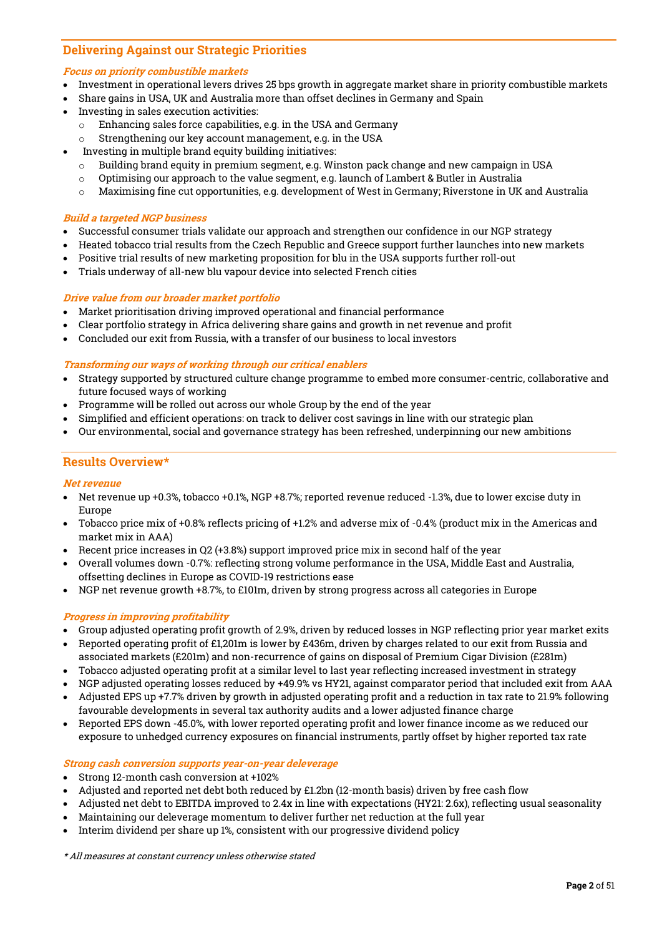# Delivering Against our Strategic Priorities

# Focus on priority combustible markets

- Investment in operational levers drives 25 bps growth in aggregate market share in priority combustible markets
- Share gains in USA, UK and Australia more than offset declines in Germany and Spain
- Investing in sales execution activities:
	- o Enhancing sales force capabilities, e.g. in the USA and Germany
	- o Strengthening our key account management, e.g. in the USA
	- Investing in multiple brand equity building initiatives:
	- $\circ$  Building brand equity in premium segment, e.g. Winston pack change and new campaign in USA
	- $\circ$  Optimising our approach to the value segment, e.g. launch of Lambert & Butler in Australia
	- o Maximising fine cut opportunities, e.g. development of West in Germany; Riverstone in UK and Australia

# Build a targeted NGP business

- Successful consumer trials validate our approach and strengthen our confidence in our NGP strategy
- Heated tobacco trial results from the Czech Republic and Greece support further launches into new markets
- Positive trial results of new marketing proposition for blu in the USA supports further roll-out
- Trials underway of all-new blu vapour device into selected French cities

# Drive value from our broader market portfolio

- Market prioritisation driving improved operational and financial performance
- Clear portfolio strategy in Africa delivering share gains and growth in net revenue and profit
- Concluded our exit from Russia, with a transfer of our business to local investors

# Transforming our ways of working through our critical enablers

- Strategy supported by structured culture change programme to embed more consumer-centric, collaborative and future focused ways of working
- Programme will be rolled out across our whole Group by the end of the year
- Simplified and efficient operations: on track to deliver cost savings in line with our strategic plan
- Our environmental, social and governance strategy has been refreshed, underpinning our new ambitions

# Results Overview\*

# Net revenue

- Net revenue up +0.3%, tobacco +0.1%, NGP +8.7%; reported revenue reduced -1.3%, due to lower excise duty in Europe
- Tobacco price mix of +0.8% reflects pricing of +1.2% and adverse mix of -0.4% (product mix in the Americas and market mix in AAA)
- Recent price increases in Q2 (+3.8%) support improved price mix in second half of the year
- Overall volumes down -0.7%: reflecting strong volume performance in the USA, Middle East and Australia, offsetting declines in Europe as COVID-19 restrictions ease
- NGP net revenue growth +8.7%, to £101m, driven by strong progress across all categories in Europe

# Progress in improving profitability

- Group adjusted operating profit growth of 2.9%, driven by reduced losses in NGP reflecting prior year market exits
- Reported operating profit of £1,201m is lower by £436m, driven by charges related to our exit from Russia and
- associated markets (£201m) and non-recurrence of gains on disposal of Premium Cigar Division (£281m)
- Tobacco adjusted operating profit at a similar level to last year reflecting increased investment in strategy
- NGP adjusted operating losses reduced by +49.9% vs HY21, against comparator period that included exit from AAA
- Adjusted EPS up +7.7% driven by growth in adjusted operating profit and a reduction in tax rate to 21.9% following favourable developments in several tax authority audits and a lower adjusted finance charge
- Reported EPS down -45.0%, with lower reported operating profit and lower finance income as we reduced our exposure to unhedged currency exposures on financial instruments, partly offset by higher reported tax rate

Strong cash conversion supports year-on-year deleverage

- Strong 12-month cash conversion at +102%
- Adjusted and reported net debt both reduced by £1.2bn (12-month basis) driven by free cash flow
- Adjusted net debt to EBITDA improved to 2.4x in line with expectations (HY21: 2.6x), reflecting usual seasonality
- Maintaining our deleverage momentum to deliver further net reduction at the full year
- Interim dividend per share up 1%, consistent with our progressive dividend policy

\* All measures at constant currency unless otherwise stated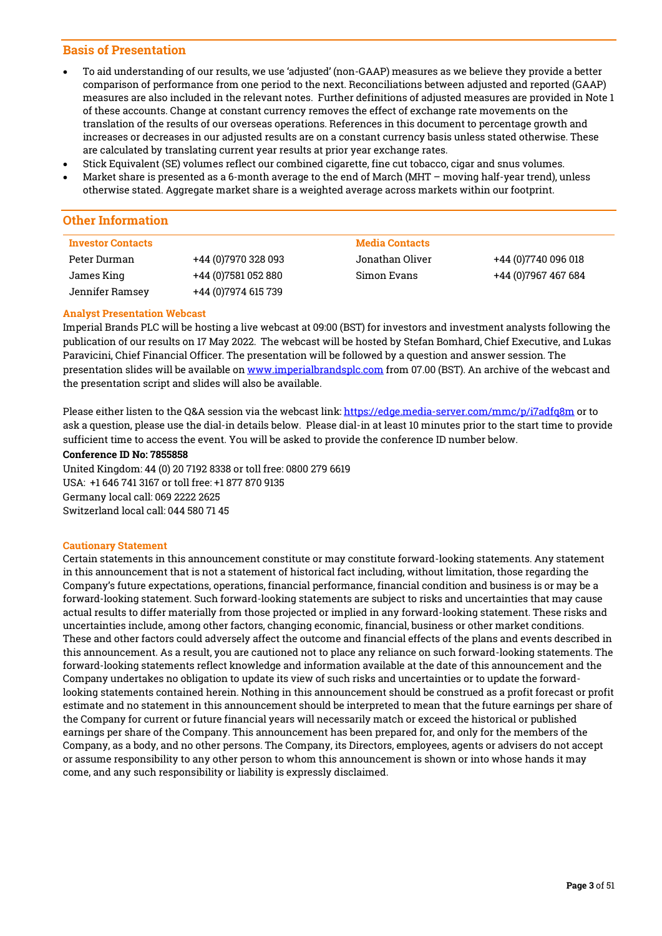# Basis of Presentation

- To aid understanding of our results, we use 'adjusted' (non-GAAP) measures as we believe they provide a better comparison of performance from one period to the next. Reconciliations between adjusted and reported (GAAP) measures are also included in the relevant notes. Further definitions of adjusted measures are provided in Note 1 of these accounts. Change at constant currency removes the effect of exchange rate movements on the translation of the results of our overseas operations. References in this document to percentage growth and increases or decreases in our adjusted results are on a constant currency basis unless stated otherwise. These are calculated by translating current year results at prior year exchange rates.
- Stick Equivalent (SE) volumes reflect our combined cigarette, fine cut tobacco, cigar and snus volumes.
- Market share is presented as a 6-month average to the end of March (MHT moving half-year trend), unless otherwise stated. Aggregate market share is a weighted average across markets within our footprint.

# Other Information

| <b>Investor Contacts</b> |                      | <b>Media Contacts</b> |                      |
|--------------------------|----------------------|-----------------------|----------------------|
| Peter Durman             | +44 (0) 7970 328 093 | Jonathan Oliver       | +44 (0) 7740 096 018 |
| James King               | +44 (0) 7581 052 880 | Simon Evans           | +44 (0) 7967 467 684 |
| Jennifer Ramsey          | +44 (0) 7974 615 739 |                       |                      |

# Analyst Presentation Webcast

Imperial Brands PLC will be hosting a live webcast at 09:00 (BST) for investors and investment analysts following the publication of our results on 17 May 2022. The webcast will be hosted by Stefan Bomhard, Chief Executive, and Lukas Paravicini, Chief Financial Officer. The presentation will be followed by a question and answer session. The presentation slides will be available o[n www.imperialbrandsplc.com](http://www.imperialbrandsplc.com/) from 07.00 (BST). An archive of the webcast and the presentation script and slides will also be available.

Please either listen to the Q&A session via the webcast link: <https://edge.media-server.com/mmc/p/i7adfq8m> or to ask a question, please use the dial-in details below. Please dial-in at least 10 minutes prior to the start time to provide sufficient time to access the event. You will be asked to provide the conference ID number below.

## Conference ID No: 7855858

United Kingdom: 44 (0) 20 7192 8338 or toll free: 0800 279 6619 USA: +1 646 741 3167 or toll free: +1 877 870 9135 Germany local call: 069 2222 2625 Switzerland local call: 044 580 71 45

# Cautionary Statement

Certain statements in this announcement constitute or may constitute forward-looking statements. Any statement in this announcement that is not a statement of historical fact including, without limitation, those regarding the Company's future expectations, operations, financial performance, financial condition and business is or may be a forward-looking statement. Such forward-looking statements are subject to risks and uncertainties that may cause actual results to differ materially from those projected or implied in any forward-looking statement. These risks and uncertainties include, among other factors, changing economic, financial, business or other market conditions. These and other factors could adversely affect the outcome and financial effects of the plans and events described in this announcement. As a result, you are cautioned not to place any reliance on such forward-looking statements. The forward-looking statements reflect knowledge and information available at the date of this announcement and the Company undertakes no obligation to update its view of such risks and uncertainties or to update the forwardlooking statements contained herein. Nothing in this announcement should be construed as a profit forecast or profit estimate and no statement in this announcement should be interpreted to mean that the future earnings per share of the Company for current or future financial years will necessarily match or exceed the historical or published earnings per share of the Company. This announcement has been prepared for, and only for the members of the Company, as a body, and no other persons. The Company, its Directors, employees, agents or advisers do not accept or assume responsibility to any other person to whom this announcement is shown or into whose hands it may come, and any such responsibility or liability is expressly disclaimed.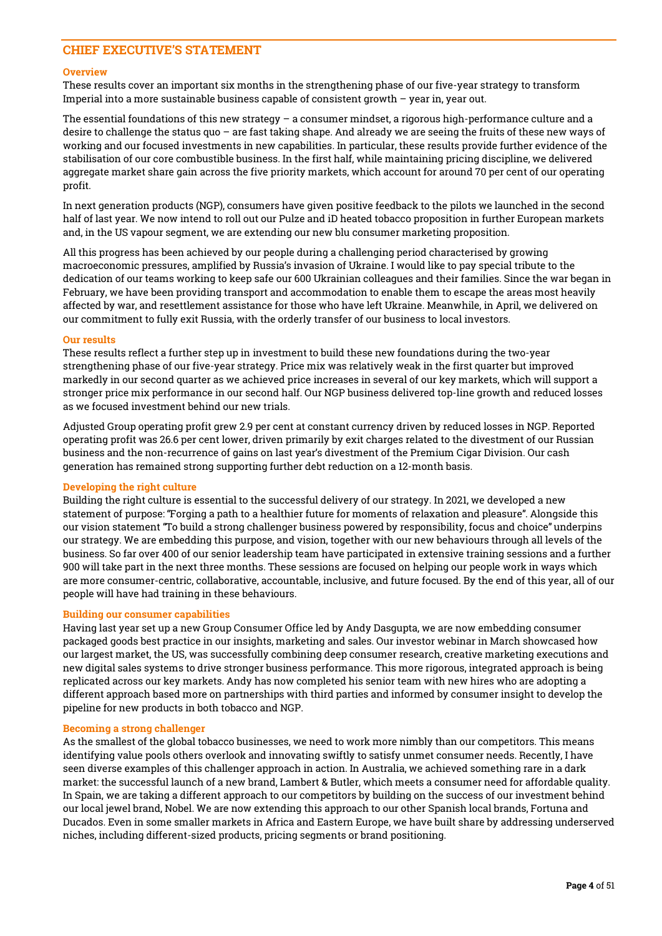# CHIEF EXECUTIVE'S STATEMENT

## **Overview**

These results cover an important six months in the strengthening phase of our five-year strategy to transform Imperial into a more sustainable business capable of consistent growth – year in, year out.

The essential foundations of this new strategy – a consumer mindset, a rigorous high-performance culture and a desire to challenge the status quo – are fast taking shape. And already we are seeing the fruits of these new ways of working and our focused investments in new capabilities. In particular, these results provide further evidence of the stabilisation of our core combustible business. In the first half, while maintaining pricing discipline, we delivered aggregate market share gain across the five priority markets, which account for around 70 per cent of our operating profit.

In next generation products (NGP), consumers have given positive feedback to the pilots we launched in the second half of last year. We now intend to roll out our Pulze and iD heated tobacco proposition in further European markets and, in the US vapour segment, we are extending our new blu consumer marketing proposition.

All this progress has been achieved by our people during a challenging period characterised by growing macroeconomic pressures, amplified by Russia's invasion of Ukraine. I would like to pay special tribute to the dedication of our teams working to keep safe our 600 Ukrainian colleagues and their families. Since the war began in February, we have been providing transport and accommodation to enable them to escape the areas most heavily affected by war, and resettlement assistance for those who have left Ukraine. Meanwhile, in April, we delivered on our commitment to fully exit Russia, with the orderly transfer of our business to local investors.

# Our results

These results reflect a further step up in investment to build these new foundations during the two-year strengthening phase of our five-year strategy. Price mix was relatively weak in the first quarter but improved markedly in our second quarter as we achieved price increases in several of our key markets, which will support a stronger price mix performance in our second half. Our NGP business delivered top-line growth and reduced losses as we focused investment behind our new trials.

Adjusted Group operating profit grew 2.9 per cent at constant currency driven by reduced losses in NGP. Reported operating profit was 26.6 per cent lower, driven primarily by exit charges related to the divestment of our Russian business and the non-recurrence of gains on last year's divestment of the Premium Cigar Division. Our cash generation has remained strong supporting further debt reduction on a 12-month basis.

# Developing the right culture

Building the right culture is essential to the successful delivery of our strategy. In 2021, we developed a new statement of purpose: "Forging a path to a healthier future for moments of relaxation and pleasure". Alongside this our vision statement "To build a strong challenger business powered by responsibility, focus and choice" underpins our strategy. We are embedding this purpose, and vision, together with our new behaviours through all levels of the business. So far over 400 of our senior leadership team have participated in extensive training sessions and a further 900 will take part in the next three months. These sessions are focused on helping our people work in ways which are more consumer-centric, collaborative, accountable, inclusive, and future focused. By the end of this year, all of our people will have had training in these behaviours.

# Building our consumer capabilities

Having last year set up a new Group Consumer Office led by Andy Dasgupta, we are now embedding consumer packaged goods best practice in our insights, marketing and sales. Our investor webinar in March showcased how our largest market, the US, was successfully combining deep consumer research, creative marketing executions and new digital sales systems to drive stronger business performance. This more rigorous, integrated approach is being replicated across our key markets. Andy has now completed his senior team with new hires who are adopting a different approach based more on partnerships with third parties and informed by consumer insight to develop the pipeline for new products in both tobacco and NGP.

#### Becoming a strong challenger

As the smallest of the global tobacco businesses, we need to work more nimbly than our competitors. This means identifying value pools others overlook and innovating swiftly to satisfy unmet consumer needs. Recently, I have seen diverse examples of this challenger approach in action. In Australia, we achieved something rare in a dark market: the successful launch of a new brand, Lambert & Butler, which meets a consumer need for affordable quality. In Spain, we are taking a different approach to our competitors by building on the success of our investment behind our local jewel brand, Nobel. We are now extending this approach to our other Spanish local brands, Fortuna and Ducados. Even in some smaller markets in Africa and Eastern Europe, we have built share by addressing underserved niches, including different-sized products, pricing segments or brand positioning.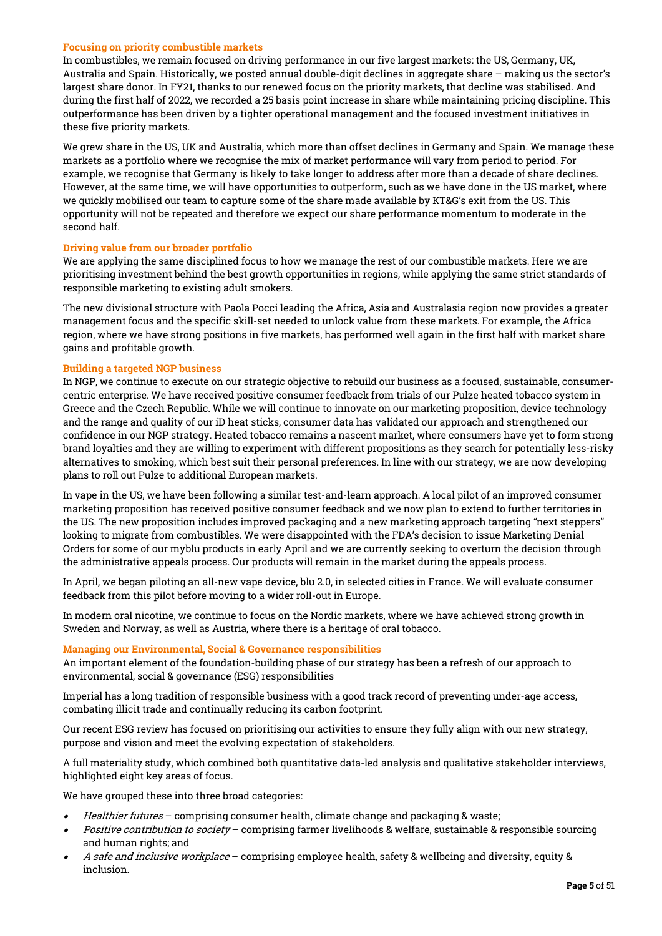# Focusing on priority combustible markets

In combustibles, we remain focused on driving performance in our five largest markets: the US, Germany, UK, Australia and Spain. Historically, we posted annual double-digit declines in aggregate share – making us the sector's largest share donor. In FY21, thanks to our renewed focus on the priority markets, that decline was stabilised. And during the first half of 2022, we recorded a 25 basis point increase in share while maintaining pricing discipline. This outperformance has been driven by a tighter operational management and the focused investment initiatives in these five priority markets.

We grew share in the US, UK and Australia, which more than offset declines in Germany and Spain. We manage these markets as a portfolio where we recognise the mix of market performance will vary from period to period. For example, we recognise that Germany is likely to take longer to address after more than a decade of share declines. However, at the same time, we will have opportunities to outperform, such as we have done in the US market, where we quickly mobilised our team to capture some of the share made available by KT&G's exit from the US. This opportunity will not be repeated and therefore we expect our share performance momentum to moderate in the second half.

# Driving value from our broader portfolio

We are applying the same disciplined focus to how we manage the rest of our combustible markets. Here we are prioritising investment behind the best growth opportunities in regions, while applying the same strict standards of responsible marketing to existing adult smokers.

The new divisional structure with Paola Pocci leading the Africa, Asia and Australasia region now provides a greater management focus and the specific skill-set needed to unlock value from these markets. For example, the Africa region, where we have strong positions in five markets, has performed well again in the first half with market share gains and profitable growth.

# Building a targeted NGP business

In NGP, we continue to execute on our strategic objective to rebuild our business as a focused, sustainable, consumercentric enterprise. We have received positive consumer feedback from trials of our Pulze heated tobacco system in Greece and the Czech Republic. While we will continue to innovate on our marketing proposition, device technology and the range and quality of our iD heat sticks, consumer data has validated our approach and strengthened our confidence in our NGP strategy. Heated tobacco remains a nascent market, where consumers have yet to form strong brand loyalties and they are willing to experiment with different propositions as they search for potentially less-risky alternatives to smoking, which best suit their personal preferences. In line with our strategy, we are now developing plans to roll out Pulze to additional European markets.

In vape in the US, we have been following a similar test-and-learn approach. A local pilot of an improved consumer marketing proposition has received positive consumer feedback and we now plan to extend to further territories in the US. The new proposition includes improved packaging and a new marketing approach targeting "next steppers" looking to migrate from combustibles. We were disappointed with the FDA's decision to issue Marketing Denial Orders for some of our myblu products in early April and we are currently seeking to overturn the decision through the administrative appeals process. Our products will remain in the market during the appeals process.

In April, we began piloting an all-new vape device, blu 2.0, in selected cities in France. We will evaluate consumer feedback from this pilot before moving to a wider roll-out in Europe.

In modern oral nicotine, we continue to focus on the Nordic markets, where we have achieved strong growth in Sweden and Norway, as well as Austria, where there is a heritage of oral tobacco.

# Managing our Environmental, Social & Governance responsibilities

An important element of the foundation-building phase of our strategy has been a refresh of our approach to environmental, social & governance (ESG) responsibilities

Imperial has a long tradition of responsible business with a good track record of preventing under-age access, combating illicit trade and continually reducing its carbon footprint.

Our recent ESG review has focused on prioritising our activities to ensure they fully align with our new strategy, purpose and vision and meet the evolving expectation of stakeholders.

A full materiality study, which combined both quantitative data-led analysis and qualitative stakeholder interviews, highlighted eight key areas of focus.

We have grouped these into three broad categories:

- •Healthier futures – comprising consumer health, climate change and packaging & waste;
- •Positive contribution to society – comprising farmer livelihoods & welfare, sustainable & responsible sourcing and human rights; and
- • A safe and inclusive workplace – comprising employee health, safety & wellbeing and diversity, equity & inclusion.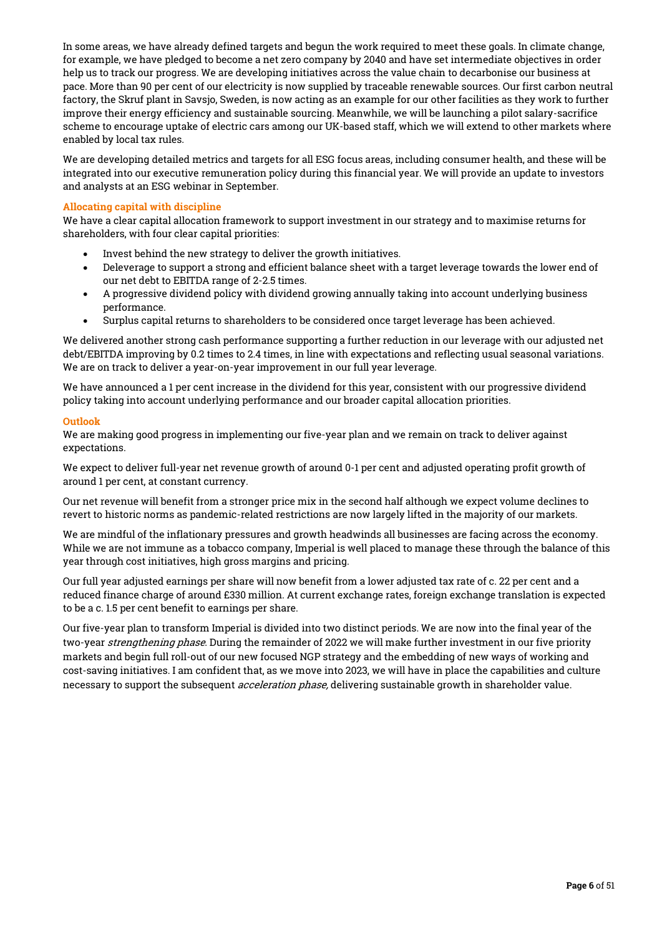In some areas, we have already defined targets and begun the work required to meet these goals. In climate change, for example, we have pledged to become a net zero company by 2040 and have set intermediate objectives in order help us to track our progress. We are developing initiatives across the value chain to decarbonise our business at pace. More than 90 per cent of our electricity is now supplied by traceable renewable sources. Our first carbon neutral factory, the Skruf plant in Savsjo, Sweden, is now acting as an example for our other facilities as they work to further improve their energy efficiency and sustainable sourcing. Meanwhile, we will be launching a pilot salary-sacrifice scheme to encourage uptake of electric cars among our UK-based staff, which we will extend to other markets where enabled by local tax rules.

We are developing detailed metrics and targets for all ESG focus areas, including consumer health, and these will be integrated into our executive remuneration policy during this financial year. We will provide an update to investors and analysts at an ESG webinar in September.

# Allocating capital with discipline

We have a clear capital allocation framework to support investment in our strategy and to maximise returns for shareholders, with four clear capital priorities:

- Invest behind the new strategy to deliver the growth initiatives.
- Deleverage to support a strong and efficient balance sheet with a target leverage towards the lower end of our net debt to EBITDA range of 2-2.5 times.
- A progressive dividend policy with dividend growing annually taking into account underlying business performance.
- Surplus capital returns to shareholders to be considered once target leverage has been achieved.

We delivered another strong cash performance supporting a further reduction in our leverage with our adjusted net debt/EBITDA improving by 0.2 times to 2.4 times, in line with expectations and reflecting usual seasonal variations. We are on track to deliver a year-on-year improvement in our full year leverage.

We have announced a 1 per cent increase in the dividend for this year, consistent with our progressive dividend policy taking into account underlying performance and our broader capital allocation priorities.

# Outlook

We are making good progress in implementing our five-year plan and we remain on track to deliver against expectations.

We expect to deliver full-year net revenue growth of around 0-1 per cent and adjusted operating profit growth of around 1 per cent, at constant currency.

Our net revenue will benefit from a stronger price mix in the second half although we expect volume declines to revert to historic norms as pandemic-related restrictions are now largely lifted in the majority of our markets.

We are mindful of the inflationary pressures and growth headwinds all businesses are facing across the economy. While we are not immune as a tobacco company, Imperial is well placed to manage these through the balance of this year through cost initiatives, high gross margins and pricing.

Our full year adjusted earnings per share will now benefit from a lower adjusted tax rate of c. 22 per cent and a reduced finance charge of around £330 million. At current exchange rates, foreign exchange translation is expected to be a c. 1.5 per cent benefit to earnings per share.

Our five-year plan to transform Imperial is divided into two distinct periods. We are now into the final year of the two-year *strengthening phase*. During the remainder of 2022 we will make further investment in our five priority markets and begin full roll-out of our new focused NGP strategy and the embedding of new ways of working and cost-saving initiatives. I am confident that, as we move into 2023, we will have in place the capabilities and culture necessary to support the subsequent *acceleration phase*, delivering sustainable growth in shareholder value.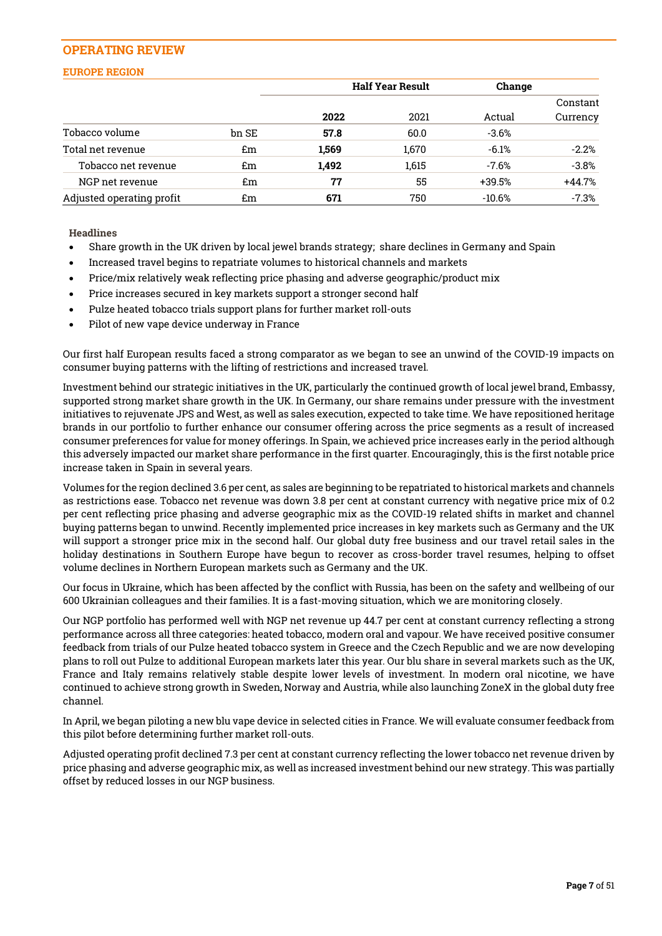# OPERATING REVIEW

# EUROPE REGION

|                           |       | <b>Half Year Result</b><br>Change |       |          |          |
|---------------------------|-------|-----------------------------------|-------|----------|----------|
|                           |       |                                   |       |          | Constant |
|                           |       | 2022                              | 2021  | Actual   | Currency |
| Tobacco volume            | bn SE | 57.8                              | 60.0  | $-3.6%$  |          |
| Total net revenue         | £m    | 1,569                             | 1,670 | $-6.1%$  | $-2.2%$  |
| Tobacco net revenue       | £m    | 1,492                             | 1,615 | -7.6%    | $-3.8%$  |
| NGP net revenue           | £m    | 77                                | 55    | +39.5%   | $+44.7%$ |
| Adjusted operating profit | £m    | 671                               | 750   | $-10.6%$ | $-7.3%$  |

**Headlines** 

- Share growth in the UK driven by local jewel brands strategy; share declines in Germany and Spain
- Increased travel begins to repatriate volumes to historical channels and markets
- Price/mix relatively weak reflecting price phasing and adverse geographic/product mix
- Price increases secured in key markets support a stronger second half
- Pulze heated tobacco trials support plans for further market roll-outs
- Pilot of new vape device underway in France

Our first half European results faced a strong comparator as we began to see an unwind of the COVID-19 impacts on consumer buying patterns with the lifting of restrictions and increased travel.

Investment behind our strategic initiatives in the UK, particularly the continued growth of local jewel brand, Embassy, supported strong market share growth in the UK. In Germany, our share remains under pressure with the investment initiatives to rejuvenate JPS and West, as well as sales execution, expected to take time. We have repositioned heritage brands in our portfolio to further enhance our consumer offering across the price segments as a result of increased consumer preferences for value for money offerings. In Spain, we achieved price increases early in the period although this adversely impacted our market share performance in the first quarter. Encouragingly, this is the first notable price increase taken in Spain in several years.

Volumes for the region declined 3.6 per cent, as sales are beginning to be repatriated to historical markets and channels as restrictions ease. Tobacco net revenue was down 3.8 per cent at constant currency with negative price mix of 0.2 per cent reflecting price phasing and adverse geographic mix as the COVID-19 related shifts in market and channel buying patterns began to unwind. Recently implemented price increases in key markets such as Germany and the UK will support a stronger price mix in the second half. Our global duty free business and our travel retail sales in the holiday destinations in Southern Europe have begun to recover as cross-border travel resumes, helping to offset volume declines in Northern European markets such as Germany and the UK.

Our focus in Ukraine, which has been affected by the conflict with Russia, has been on the safety and wellbeing of our 600 Ukrainian colleagues and their families. It is a fast-moving situation, which we are monitoring closely.

Our NGP portfolio has performed well with NGP net revenue up 44.7 per cent at constant currency reflecting a strong performance across all three categories: heated tobacco, modern oral and vapour. We have received positive consumer feedback from trials of our Pulze heated tobacco system in Greece and the Czech Republic and we are now developing plans to roll out Pulze to additional European markets later this year. Our blu share in several markets such as the UK, France and Italy remains relatively stable despite lower levels of investment. In modern oral nicotine, we have continued to achieve strong growth in Sweden, Norway and Austria, while also launching ZoneX in the global duty free channel.

In April, we began piloting a new blu vape device in selected cities in France. We will evaluate consumer feedback from this pilot before determining further market roll-outs.

Adjusted operating profit declined 7.3 per cent at constant currency reflecting the lower tobacco net revenue driven by price phasing and adverse geographic mix, as well as increased investment behind our new strategy. This was partially offset by reduced losses in our NGP business.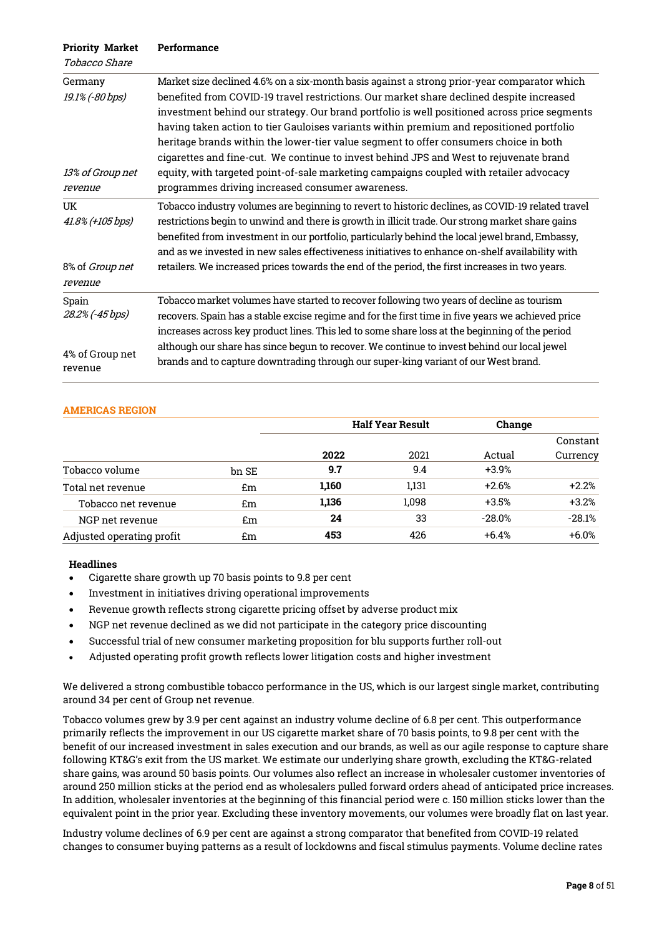| <b>Priority Market</b><br>Tobacco Share                   | Performance                                                                                                                                                                                                                                                                                                                                                                                                                                                                                                                                                                                                                                                                                                          |
|-----------------------------------------------------------|----------------------------------------------------------------------------------------------------------------------------------------------------------------------------------------------------------------------------------------------------------------------------------------------------------------------------------------------------------------------------------------------------------------------------------------------------------------------------------------------------------------------------------------------------------------------------------------------------------------------------------------------------------------------------------------------------------------------|
| Germany<br>19.1% (-80 bps)<br>13% of Group net<br>revenue | Market size declined 4.6% on a six-month basis against a strong prior-year comparator which<br>benefited from COVID-19 travel restrictions. Our market share declined despite increased<br>investment behind our strategy. Our brand portfolio is well positioned across price segments<br>having taken action to tier Gauloises variants within premium and repositioned portfolio<br>heritage brands within the lower-tier value segment to offer consumers choice in both<br>cigarettes and fine-cut. We continue to invest behind JPS and West to rejuvenate brand<br>equity, with targeted point-of-sale marketing campaigns coupled with retailer advocacy<br>programmes driving increased consumer awareness. |
| UK<br>41.8% (+105 bps)<br>8% of Group net<br>revenue      | Tobacco industry volumes are beginning to revert to historic declines, as COVID-19 related travel<br>restrictions begin to unwind and there is growth in illicit trade. Our strong market share gains<br>benefited from investment in our portfolio, particularly behind the local jewel brand, Embassy,<br>and as we invested in new sales effectiveness initiatives to enhance on-shelf availability with<br>retailers. We increased prices towards the end of the period, the first increases in two years.                                                                                                                                                                                                       |
| Spain<br>28.2% (-45 bps)<br>4% of Group net<br>revenue    | Tobacco market volumes have started to recover following two years of decline as tourism<br>recovers. Spain has a stable excise regime and for the first time in five years we achieved price<br>increases across key product lines. This led to some share loss at the beginning of the period<br>although our share has since begun to recover. We continue to invest behind our local jewel<br>brands and to capture downtrading through our super-king variant of our West brand.                                                                                                                                                                                                                                |

# AMERICAS REGION

|                           |       | <b>Half Year Result</b> |       | Change   |          |
|---------------------------|-------|-------------------------|-------|----------|----------|
|                           |       |                         |       |          | Constant |
|                           |       | 2022                    | 2021  | Actual   | Currency |
| Tobacco volume            | bn SE | 9.7                     | 9.4   | $+3.9%$  |          |
| Total net revenue         | £m    | 1,160                   | 1,131 | $+2.6%$  | $+2.2%$  |
| Tobacco net revenue       | £m    | 1,136                   | 1,098 | $+3.5%$  | $+3.2%$  |
| NGP net revenue           | £m    | 24                      | 33    | $-28.0%$ | $-28.1%$ |
| Adjusted operating profit | £m    | 453                     | 426   | $+6.4%$  | $+6.0%$  |

# Headlines

- Cigarette share growth up 70 basis points to 9.8 per cent
- Investment in initiatives driving operational improvements
- Revenue growth reflects strong cigarette pricing offset by adverse product mix
- NGP net revenue declined as we did not participate in the category price discounting
- Successful trial of new consumer marketing proposition for blu supports further roll-out
- Adjusted operating profit growth reflects lower litigation costs and higher investment

We delivered a strong combustible tobacco performance in the US, which is our largest single market, contributing around 34 per cent of Group net revenue.

Tobacco volumes grew by 3.9 per cent against an industry volume decline of 6.8 per cent. This outperformance primarily reflects the improvement in our US cigarette market share of 70 basis points, to 9.8 per cent with the benefit of our increased investment in sales execution and our brands, as well as our agile response to capture share following KT&G's exit from the US market. We estimate our underlying share growth, excluding the KT&G-related share gains, was around 50 basis points. Our volumes also reflect an increase in wholesaler customer inventories of around 250 million sticks at the period end as wholesalers pulled forward orders ahead of anticipated price increases. In addition, wholesaler inventories at the beginning of this financial period were c. 150 million sticks lower than the equivalent point in the prior year. Excluding these inventory movements, our volumes were broadly flat on last year.

Industry volume declines of 6.9 per cent are against a strong comparator that benefited from COVID-19 related changes to consumer buying patterns as a result of lockdowns and fiscal stimulus payments. Volume decline rates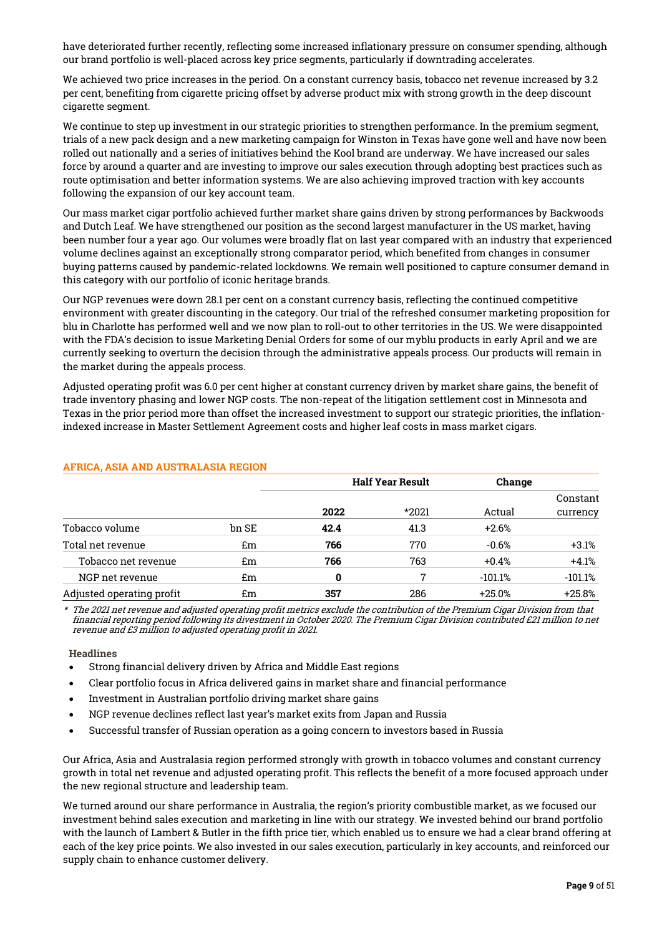have deteriorated further recently, reflecting some increased inflationary pressure on consumer spending, although our brand portfolio is well-placed across key price segments, particularly if downtrading accelerates.

We achieved two price increases in the period. On a constant currency basis, tobacco net revenue increased by 3.2 per cent, benefiting from cigarette pricing offset by adverse product mix with strong growth in the deep discount cigarette segment.

We continue to step up investment in our strategic priorities to strengthen performance. In the premium segment, trials of a new pack design and a new marketing campaign for Winston in Texas have gone well and have now been rolled out nationally and a series of initiatives behind the Kool brand are underway. We have increased our sales force by around a quarter and are investing to improve our sales execution through adopting best practices such as route optimisation and better information systems. We are also achieving improved traction with key accounts following the expansion of our key account team.

Our mass market cigar portfolio achieved further market share gains driven by strong performances by Backwoods and Dutch Leaf. We have strengthened our position as the second largest manufacturer in the US market, having been number four a year ago. Our volumes were broadly flat on last year compared with an industry that experienced volume declines against an exceptionally strong comparator period, which benefited from changes in consumer buying patterns caused by pandemic-related lockdowns. We remain well positioned to capture consumer demand in this category with our portfolio of iconic heritage brands.

Our NGP revenues were down 28.1 per cent on a constant currency basis, reflecting the continued competitive environment with greater discounting in the category. Our trial of the refreshed consumer marketing proposition for blu in Charlotte has performed well and we now plan to roll-out to other territories in the US. We were disappointed with the FDA's decision to issue Marketing Denial Orders for some of our myblu products in early April and we are currently seeking to overturn the decision through the administrative appeals process. Our products will remain in the market during the appeals process.

Adjusted operating profit was 6.0 per cent higher at constant currency driven by market share gains, the benefit of trade inventory phasing and lower NGP costs. The non-repeat of the litigation settlement cost in Minnesota and Texas in the prior period more than offset the increased investment to support our strategic priorities, the inflationindexed increase in Master Settlement Agreement costs and higher leaf costs in mass market cigars.

|                           |       |      | <b>Half Year Result</b> |           |           |  |
|---------------------------|-------|------|-------------------------|-----------|-----------|--|
|                           |       |      |                         |           | Constant  |  |
|                           |       | 2022 | *2021                   | Actual    | currency  |  |
| Tobacco volume            | bn SE | 42.4 | 41.3                    | $+2.6%$   |           |  |
| Total net revenue         | £m    | 766  | 770                     | $-0.6%$   | $+3.1%$   |  |
| Tobacco net revenue       | £m    | 766  | 763                     | $+0.4%$   | $+4.1%$   |  |
| NGP net revenue           | £m    | 0    | 7                       | $-101.1%$ | $-101.1%$ |  |
| Adjusted operating profit | £m    | 357  | 286                     | $+25.0%$  | $+25.8%$  |  |

# AFRICA, ASIA AND AUSTRALASIA REGION

\* The 2021 net revenue and adjusted operating profit metrics exclude the contribution of the Premium Cigar Division from that financial reporting period following its divestment in October 2020. The Premium Cigar Division contributed £21 million to net revenue and £3 million to adjusted operating profit in 2021.

# **Headlines**

- Strong financial delivery driven by Africa and Middle East regions
- Clear portfolio focus in Africa delivered gains in market share and financial performance
- Investment in Australian portfolio driving market share gains
- NGP revenue declines reflect last year's market exits from Japan and Russia
- Successful transfer of Russian operation as a going concern to investors based in Russia

Our Africa, Asia and Australasia region performed strongly with growth in tobacco volumes and constant currency growth in total net revenue and adjusted operating profit. This reflects the benefit of a more focused approach under the new regional structure and leadership team.

We turned around our share performance in Australia, the region's priority combustible market, as we focused our investment behind sales execution and marketing in line with our strategy. We invested behind our brand portfolio with the launch of Lambert & Butler in the fifth price tier, which enabled us to ensure we had a clear brand offering at each of the key price points. We also invested in our sales execution, particularly in key accounts, and reinforced our supply chain to enhance customer delivery.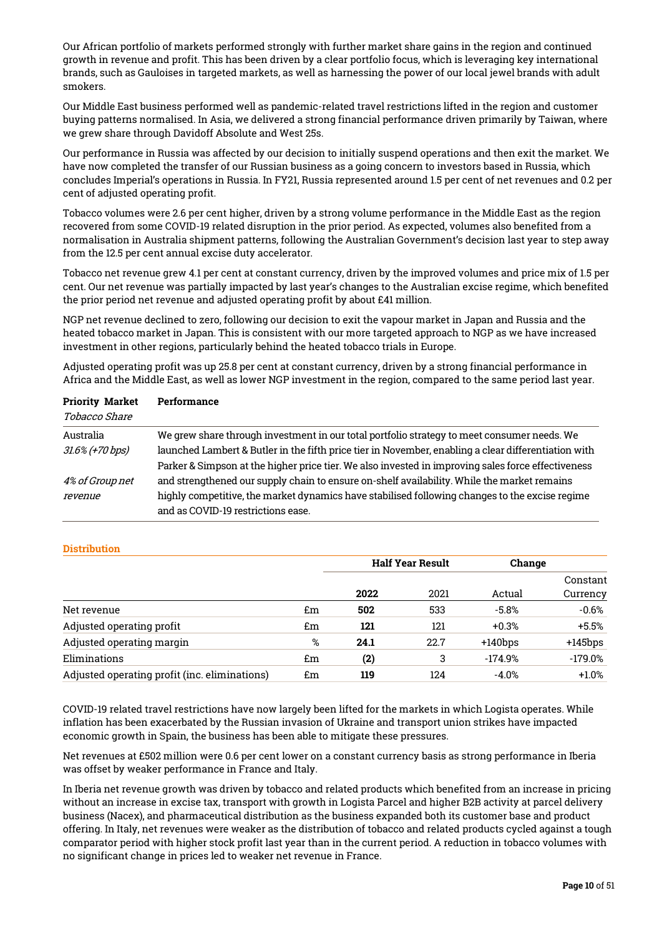Our African portfolio of markets performed strongly with further market share gains in the region and continued growth in revenue and profit. This has been driven by a clear portfolio focus, which is leveraging key international brands, such as Gauloises in targeted markets, as well as harnessing the power of our local jewel brands with adult smokers.

Our Middle East business performed well as pandemic-related travel restrictions lifted in the region and customer buying patterns normalised. In Asia, we delivered a strong financial performance driven primarily by Taiwan, where we grew share through Davidoff Absolute and West 25s.

Our performance in Russia was affected by our decision to initially suspend operations and then exit the market. We have now completed the transfer of our Russian business as a going concern to investors based in Russia, which concludes Imperial's operations in Russia. In FY21, Russia represented around 1.5 per cent of net revenues and 0.2 per cent of adjusted operating profit.

Tobacco volumes were 2.6 per cent higher, driven by a strong volume performance in the Middle East as the region recovered from some COVID-19 related disruption in the prior period. As expected, volumes also benefited from a normalisation in Australia shipment patterns, following the Australian Government's decision last year to step away from the 12.5 per cent annual excise duty accelerator.

Tobacco net revenue grew 4.1 per cent at constant currency, driven by the improved volumes and price mix of 1.5 per cent. Our net revenue was partially impacted by last year's changes to the Australian excise regime, which benefited the prior period net revenue and adjusted operating profit by about £41 million.

NGP net revenue declined to zero, following our decision to exit the vapour market in Japan and Russia and the heated tobacco market in Japan. This is consistent with our more targeted approach to NGP as we have increased investment in other regions, particularly behind the heated tobacco trials in Europe.

Adjusted operating profit was up 25.8 per cent at constant currency, driven by a strong financial performance in Africa and the Middle East, as well as lower NGP investment in the region, compared to the same period last year.

| <b>Priority Market</b><br><i>Tobacco Share</i> | Performance                                                                                                                          |
|------------------------------------------------|--------------------------------------------------------------------------------------------------------------------------------------|
|                                                |                                                                                                                                      |
| Australia                                      | We grew share through investment in our total portfolio strategy to meet consumer needs. We                                          |
| $31.6\%$ (+70 bps)                             | launched Lambert & Butler in the fifth price tier in November, enabling a clear differentiation with                                 |
|                                                | Parker & Simpson at the higher price tier. We also invested in improving sales force effectiveness                                   |
| 4% of Group net                                | and strengthened our supply chain to ensure on-shelf availability. While the market remains                                          |
| revenue                                        | highly competitive, the market dynamics have stabilised following changes to the excise regime<br>and as COVID-19 restrictions ease. |

# **Distribution**

|                                               |    | <b>Half Year Result</b> |      | Change     |            |
|-----------------------------------------------|----|-------------------------|------|------------|------------|
|                                               |    |                         |      |            | Constant   |
|                                               |    | 2022                    | 2021 | Actual     | Currency   |
| Net revenue                                   | £m | 502                     | 533  | $-5.8%$    | $-0.6%$    |
| Adjusted operating profit                     | £m | 121                     | 121  | $+0.3%$    | $+5.5%$    |
| Adjusted operating margin                     | %  | 24.1                    | 22.7 | $+140$ bps | $+145$ bps |
| Eliminations                                  | £m | (2)                     | 3    | $-174.9%$  | $-179.0\%$ |
| Adjusted operating profit (inc. eliminations) | £m | 119                     | 124  | $-4.0%$    | $+1.0%$    |

COVID-19 related travel restrictions have now largely been lifted for the markets in which Logista operates. While inflation has been exacerbated by the Russian invasion of Ukraine and transport union strikes have impacted economic growth in Spain, the business has been able to mitigate these pressures.

Net revenues at £502 million were 0.6 per cent lower on a constant currency basis as strong performance in Iberia was offset by weaker performance in France and Italy.

In Iberia net revenue growth was driven by tobacco and related products which benefited from an increase in pricing without an increase in excise tax, transport with growth in Logista Parcel and higher B2B activity at parcel delivery business (Nacex), and pharmaceutical distribution as the business expanded both its customer base and product offering. In Italy, net revenues were weaker as the distribution of tobacco and related products cycled against a tough comparator period with higher stock profit last year than in the current period. A reduction in tobacco volumes with no significant change in prices led to weaker net revenue in France.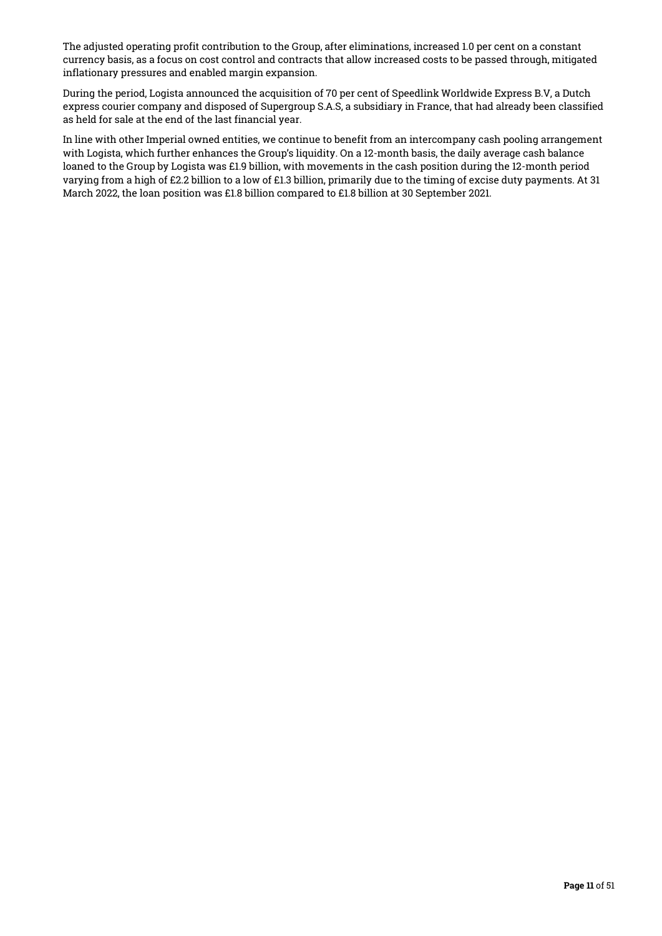The adjusted operating profit contribution to the Group, after eliminations, increased 1.0 per cent on a constant currency basis, as a focus on cost control and contracts that allow increased costs to be passed through, mitigated inflationary pressures and enabled margin expansion.

During the period, Logista announced the acquisition of 70 per cent of Speedlink Worldwide Express B.V, a Dutch express courier company and disposed of Supergroup S.A.S, a subsidiary in France, that had already been classified as held for sale at the end of the last financial year.

In line with other Imperial owned entities, we continue to benefit from an intercompany cash pooling arrangement with Logista, which further enhances the Group's liquidity. On a 12-month basis, the daily average cash balance loaned to the Group by Logista was £1.9 billion, with movements in the cash position during the 12-month period varying from a high of £2.2 billion to a low of £1.3 billion, primarily due to the timing of excise duty payments. At 31 March 2022, the loan position was £1.8 billion compared to £1.8 billion at 30 September 2021.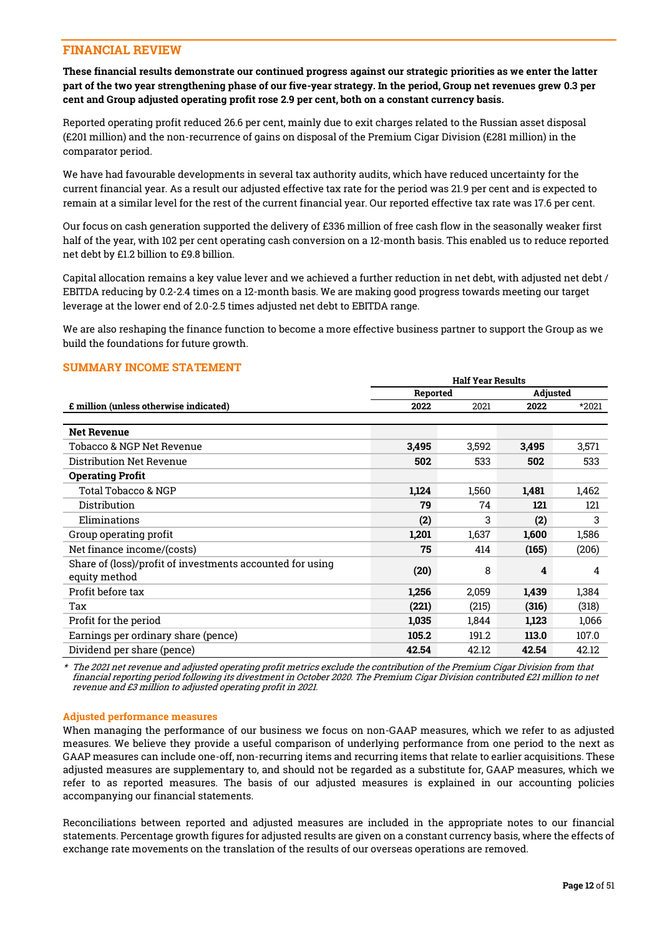# FINANCIAL REVIEW

These financial results demonstrate our continued progress against our strategic priorities as we enter the latter part of the two year strengthening phase of our five-year strategy. In the period, Group net revenues grew 0.3 per cent and Group adjusted operating profit rose 2.9 per cent, both on a constant currency basis.

Reported operating profit reduced 26.6 per cent, mainly due to exit charges related to the Russian asset disposal (£201 million) and the non-recurrence of gains on disposal of the Premium Cigar Division (£281 million) in the comparator period.

We have had favourable developments in several tax authority audits, which have reduced uncertainty for the current financial year. As a result our adjusted effective tax rate for the period was 21.9 per cent and is expected to remain at a similar level for the rest of the current financial year. Our reported effective tax rate was 17.6 per cent.

Our focus on cash generation supported the delivery of £336 million of free cash flow in the seasonally weaker first half of the year, with 102 per cent operating cash conversion on a 12-month basis. This enabled us to reduce reported net debt by £1.2 billion to £9.8 billion.

Capital allocation remains a key value lever and we achieved a further reduction in net debt, with adjusted net debt / EBITDA reducing by 0.2-2.4 times on a 12-month basis. We are making good progress towards meeting our target leverage at the lower end of 2.0-2.5 times adjusted net debt to EBITDA range.

We are also reshaping the finance function to become a more effective business partner to support the Group as we build the foundations for future growth.

# SUMMARY INCOME STATEMENT

|                                                                            | <b>Half Year Results</b> |       |          |       |  |
|----------------------------------------------------------------------------|--------------------------|-------|----------|-------|--|
|                                                                            | Reported                 |       | Adjusted |       |  |
| <b>£</b> million (unless otherwise indicated)                              | 2022                     | 2021  | 2022     | *2021 |  |
|                                                                            |                          |       |          |       |  |
| <b>Net Revenue</b>                                                         |                          |       |          |       |  |
| Tobacco & NGP Net Revenue                                                  | 3,495                    | 3,592 | 3,495    | 3,571 |  |
| Distribution Net Revenue                                                   | 502                      | 533   | 502      | 533   |  |
| <b>Operating Profit</b>                                                    |                          |       |          |       |  |
| Total Tobacco & NGP                                                        | 1,124                    | 1,560 | 1,481    | 1,462 |  |
| Distribution                                                               | 79                       | 74    | 121      | 121   |  |
| Eliminations                                                               | (2)                      | 3     | (2)      | 3     |  |
| Group operating profit                                                     | 1,201                    | 1,637 | 1,600    | 1,586 |  |
| Net finance income/(costs)                                                 | 75                       | 414   | (165)    | (206) |  |
| Share of (loss)/profit of investments accounted for using<br>equity method | (20)                     | 8     | 4        | 4     |  |
| Profit before tax                                                          | 1,256                    | 2,059 | 1,439    | 1,384 |  |
| Tax                                                                        | (221)                    | (215) | (316)    | (318) |  |
| Profit for the period                                                      | 1,035                    | 1,844 | 1,123    | 1,066 |  |
| Earnings per ordinary share (pence)                                        | 105.2                    | 191.2 | 113.0    | 107.0 |  |
| Dividend per share (pence)                                                 | 42.54                    | 42.12 | 42.54    | 42.12 |  |

\* The 2021 net revenue and adjusted operating profit metrics exclude the contribution of the Premium Cigar Division from that financial reporting period following its divestment in October 2020. The Premium Cigar Division contributed £21 million to net revenue and £3 million to adjusted operating profit in 2021.

# Adjusted performance measures

When managing the performance of our business we focus on non-GAAP measures, which we refer to as adjusted measures. We believe they provide a useful comparison of underlying performance from one period to the next as GAAP measures can include one-off, non-recurring items and recurring items that relate to earlier acquisitions. These adjusted measures are supplementary to, and should not be regarded as a substitute for, GAAP measures, which we refer to as reported measures. The basis of our adjusted measures is explained in our accounting policies accompanying our financial statements.

Reconciliations between reported and adjusted measures are included in the appropriate notes to our financial statements. Percentage growth figures for adjusted results are given on a constant currency basis, where the effects of exchange rate movements on the translation of the results of our overseas operations are removed.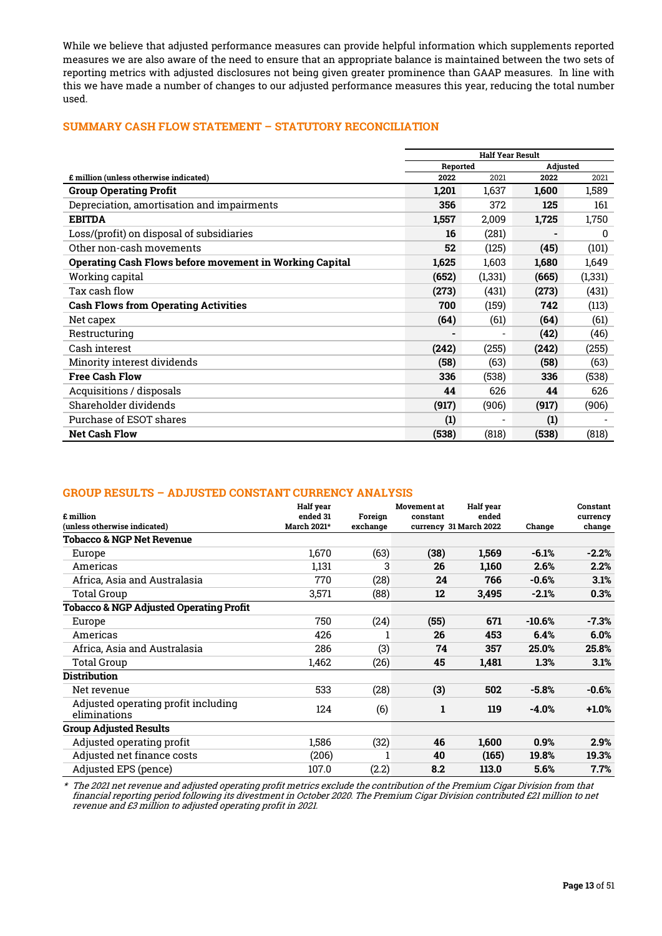While we believe that adjusted performance measures can provide helpful information which supplements reported measures we are also aware of the need to ensure that an appropriate balance is maintained between the two sets of reporting metrics with adjusted disclosures not being given greater prominence than GAAP measures. In line with this we have made a number of changes to our adjusted performance measures this year, reducing the total number used.

# SUMMARY CASH FLOW STATEMENT – STATUTORY RECONCILIATION

|                                                         | <b>Half Year Result</b> |                             |       |          |
|---------------------------------------------------------|-------------------------|-----------------------------|-------|----------|
|                                                         |                         | <b>Adjusted</b><br>Reported |       |          |
| £ million (unless otherwise indicated)                  | 2022                    | 2021                        | 2022  | 2021     |
| <b>Group Operating Profit</b>                           | 1,201                   | 1,637                       | 1,600 | 1,589    |
| Depreciation, amortisation and impairments              | 356                     | 372                         | 125   | 161      |
| <b>EBITDA</b>                                           | 1,557                   | 2,009                       | 1,725 | 1,750    |
| Loss/(profit) on disposal of subsidiaries               | 16                      | (281)                       |       | 0        |
| Other non-cash movements                                | 52                      | (125)                       | (45)  | (101)    |
| Operating Cash Flows before movement in Working Capital | 1,625                   | 1,603                       | 1,680 | 1,649    |
| Working capital                                         | (652)                   | (1, 331)                    | (665) | (1, 331) |
| Tax cash flow                                           | (273)                   | (431)                       | (273) | (431)    |
| <b>Cash Flows from Operating Activities</b>             | 700                     | (159)                       | 742   | (113)    |
| Net capex                                               | (64)                    | (61)                        | (64)  | (61)     |
| Restructuring                                           |                         |                             | (42)  | (46)     |
| Cash interest                                           | (242)                   | (255)                       | (242) | (255)    |
| Minority interest dividends                             | (58)                    | (63)                        | (58)  | (63)     |
| <b>Free Cash Flow</b>                                   | 336                     | (538)                       | 336   | (538)    |
| Acquisitions / disposals                                | 44                      | 626                         | 44    | 626      |
| Shareholder dividends                                   | (917)                   | (906)                       | (917) | (906)    |
| Purchase of ESOT shares                                 | (1)                     |                             | (1)   |          |
| <b>Net Cash Flow</b>                                    | (538)                   | (818)                       | (538) | (818)    |

# GROUP RESULTS – ADJUSTED CONSTANT CURRENCY ANALYSIS

| £ million<br>(unless otherwise indicated)           | <b>Half</b> year<br>ended 31<br>March 2021* | Foreian<br>exchange | <b>Movement</b> at<br>constant | <b>Half</b> year<br>ended<br>currency 31 March 2022 | Change   | Constant<br>currency<br>change |
|-----------------------------------------------------|---------------------------------------------|---------------------|--------------------------------|-----------------------------------------------------|----------|--------------------------------|
| <b>Tobacco &amp; NGP Net Revenue</b>                |                                             |                     |                                |                                                     |          |                                |
| Europe                                              | 1,670                                       | (63)                | (38)                           | 1,569                                               | $-6.1%$  | $-2.2%$                        |
| Americas                                            | 1,131                                       | 3                   | 26                             | 1,160                                               | 2.6%     | 2.2%                           |
| Africa, Asia and Australasia                        | 770                                         | (28)                | 24                             | 766                                                 | $-0.6%$  | 3.1%                           |
| Total Group                                         | 3,571                                       | (88)                | 12                             | 3,495                                               | $-2.1%$  | 0.3%                           |
| <b>Tobacco &amp; NGP Adjusted Operating Profit</b>  |                                             |                     |                                |                                                     |          |                                |
| Europe                                              | 750                                         | (24)                | (55)                           | 671                                                 | $-10.6%$ | -7.3%                          |
| Americas                                            | 426                                         |                     | 26                             | 453                                                 | 6.4%     | 6.0%                           |
| Africa, Asia and Australasia                        | 286                                         | (3)                 | 74                             | 357                                                 | 25.0%    | 25.8%                          |
| Total Group                                         | 1,462                                       | (26)                | 45                             | 1,481                                               | 1.3%     | 3.1%                           |
| <b>Distribution</b>                                 |                                             |                     |                                |                                                     |          |                                |
| Net revenue                                         | 533                                         | (28)                | (3)                            | 502                                                 | $-5.8%$  | $-0.6%$                        |
| Adjusted operating profit including<br>eliminations | 124                                         | (6)                 | 1                              | 119                                                 | $-4.0%$  | $+1.0%$                        |
| <b>Group Adjusted Results</b>                       |                                             |                     |                                |                                                     |          |                                |
| Adjusted operating profit                           | 1,586                                       | (32)                | 46                             | 1,600                                               | 0.9%     | 2.9%                           |
| Adjusted net finance costs                          | (206)                                       |                     | 40                             | (165)                                               | 19.8%    | 19.3%                          |
| Adjusted EPS (pence)                                | 107.0                                       | (2.2)               | 8.2                            | 113.0                                               | 5.6%     | 7.7%                           |

\* The 2021 net revenue and adjusted operating profit metrics exclude the contribution of the Premium Cigar Division from that financial reporting period following its divestment in October 2020. The Premium Cigar Division contributed £21 million to net revenue and £3 million to adjusted operating profit in 2021.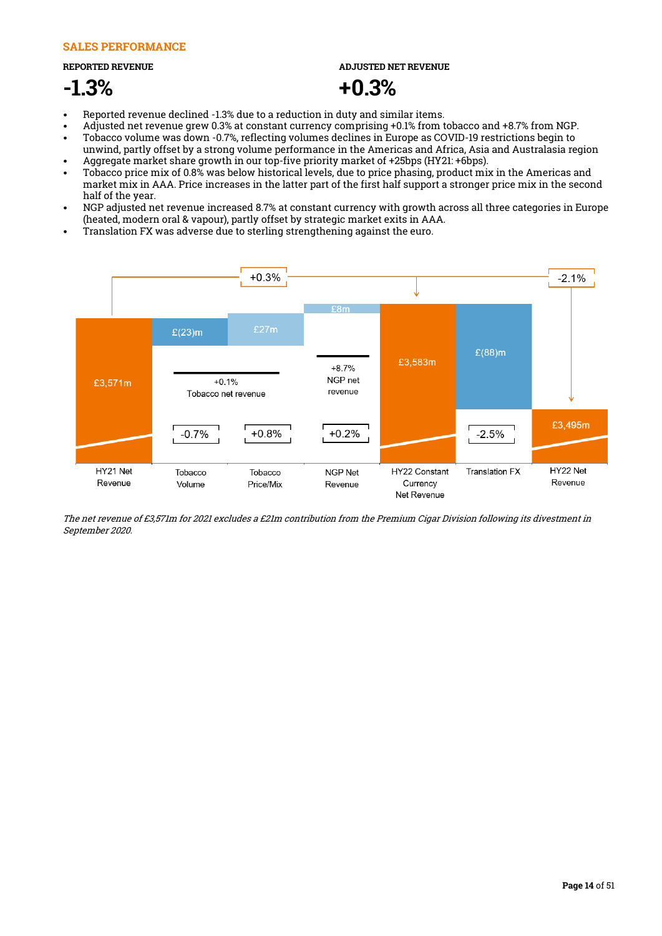# SALES PERFORMANCE

REPORTED REVENUE

# -1.3%

ADJUSTED NET REVENUE

# +0.3%

- Reported revenue declined -1.3% due to a reduction in duty and similar items.
- Adjusted net revenue grew 0.3% at constant currency comprising +0.1% from tobacco and +8.7% from NGP.
- Tobacco volume was down -0.7%, reflecting volumes declines in Europe as COVID-19 restrictions begin to unwind, partly offset by a strong volume performance in the Americas and Africa, Asia and Australasia region • Aggregate market share growth in our top-five priority market of +25bps (HY21: +6bps).
- Tobacco price mix of 0.8% was below historical levels, due to price phasing, product mix in the Americas and market mix in AAA. Price increases in the latter part of the first half support a stronger price mix in the second half of the year.
- NGP adjusted net revenue increased 8.7% at constant currency with growth across all three categories in Europe (heated, modern oral & vapour), partly offset by strategic market exits in AAA.
- Translation FX was adverse due to sterling strengthening against the euro.



The net revenue of £3,571m for 2021 excludes a £21m contribution from the Premium Cigar Division following its divestment in September 2020.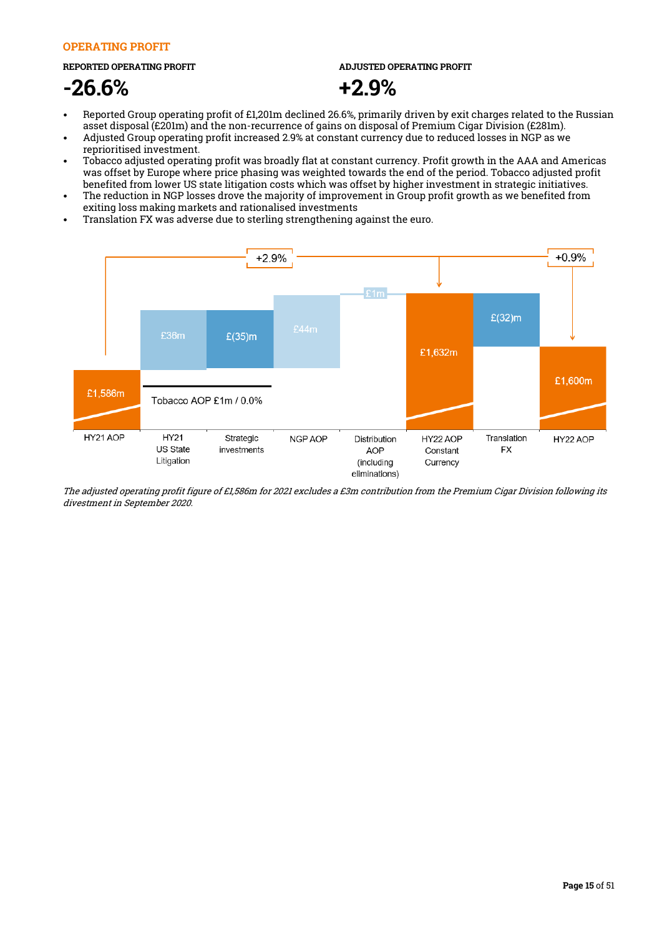# OPERATING PROFIT

### REPORTED OPERATING PROFIT

# -26.6%

ADJUSTED OPERATING PROFIT



- Reported Group operating profit of £1,201m declined 26.6%, primarily driven by exit charges related to the Russian asset disposal (£201m) and the non-recurrence of gains on disposal of Premium Cigar Division (£281m).
- Adjusted Group operating profit increased 2.9% at constant currency due to reduced losses in NGP as we reprioritised investment.
- Tobacco adjusted operating profit was broadly flat at constant currency. Profit growth in the AAA and Americas was offset by Europe where price phasing was weighted towards the end of the period. Tobacco adjusted profit benefited from lower US state litigation costs which was offset by higher investment in strategic initiatives.
- The reduction in NGP losses drove the majority of improvement in Group profit growth as we benefited from exiting loss making markets and rationalised investments
- Translation FX was adverse due to sterling strengthening against the euro.



The adjusted operating profit figure of £1,586m for 2021 excludes a £3m contribution from the Premium Cigar Division following its divestment in September 2020.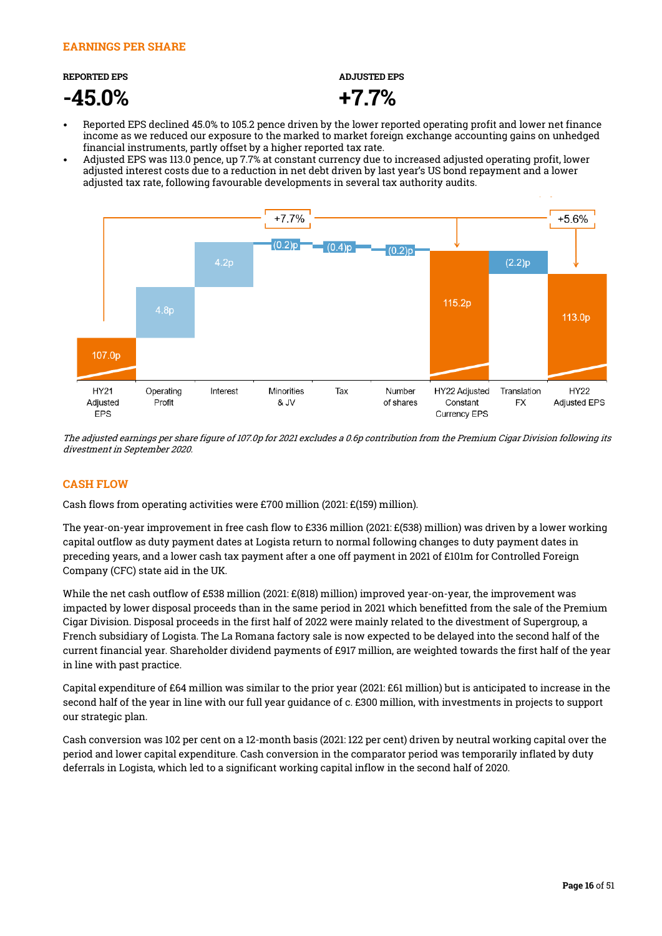# REPORTED EPS

-45.0%

ADJUSTED EPS



- Reported EPS declined 45.0% to 105.2 pence driven by the lower reported operating profit and lower net finance income as we reduced our exposure to the marked to market foreign exchange accounting gains on unhedged financial instruments, partly offset by a higher reported tax rate.
- Adjusted EPS was 113.0 pence, up 7.7% at constant currency due to increased adjusted operating profit, lower adjusted interest costs due to a reduction in net debt driven by last year's US bond repayment and a lower adjusted tax rate, following favourable developments in several tax authority audits.



The adjusted earnings per share figure of 107.0p for 2021 excludes a 0.6p contribution from the Premium Cigar Division following its divestment in September 2020.

# CASH FLOW

Cash flows from operating activities were £700 million (2021: £(159) million).

The year-on-year improvement in free cash flow to £336 million (2021: £(538) million) was driven by a lower working capital outflow as duty payment dates at Logista return to normal following changes to duty payment dates in preceding years, and a lower cash tax payment after a one off payment in 2021 of £101m for Controlled Foreign Company (CFC) state aid in the UK.

While the net cash outflow of £538 million (2021: £(818) million) improved year-on-year, the improvement was impacted by lower disposal proceeds than in the same period in 2021 which benefitted from the sale of the Premium Cigar Division. Disposal proceeds in the first half of 2022 were mainly related to the divestment of Supergroup, a French subsidiary of Logista. The La Romana factory sale is now expected to be delayed into the second half of the current financial year. Shareholder dividend payments of £917 million, are weighted towards the first half of the year in line with past practice.

Capital expenditure of £64 million was similar to the prior year (2021: £61 million) but is anticipated to increase in the second half of the year in line with our full year guidance of c. £300 million, with investments in projects to support our strategic plan.

Cash conversion was 102 per cent on a 12-month basis (2021: 122 per cent) driven by neutral working capital over the period and lower capital expenditure. Cash conversion in the comparator period was temporarily inflated by duty deferrals in Logista, which led to a significant working capital inflow in the second half of 2020.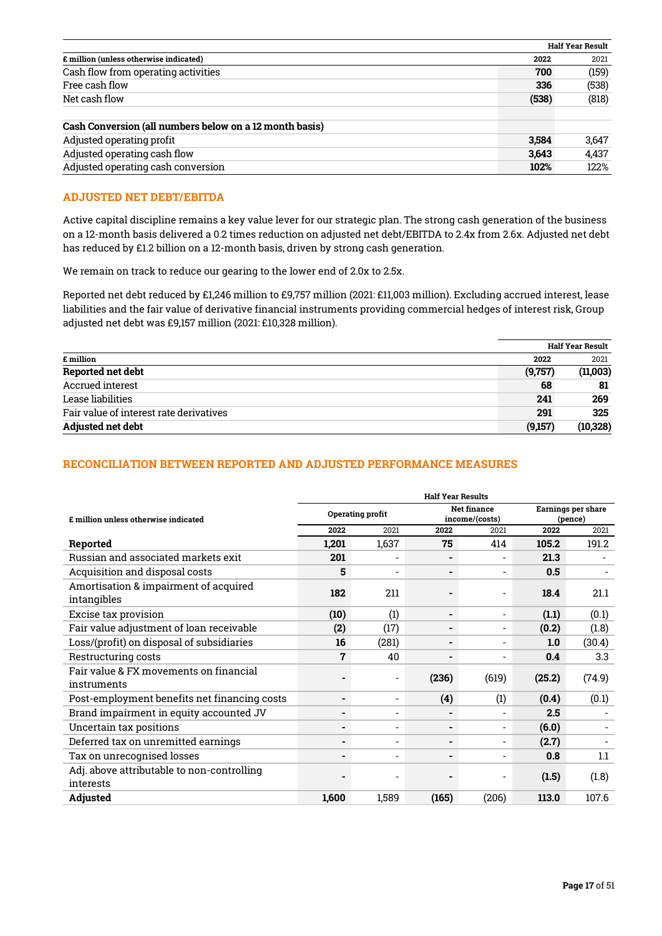|                                                         |       | Half Year Result |
|---------------------------------------------------------|-------|------------------|
| £ million (unless otherwise indicated)                  | 2022  | 2021             |
| Cash flow from operating activities                     | 700   | (159)            |
| Free cash flow                                          | 336   | (538)            |
| Net cash flow                                           | (538) | (818)            |
| Cash Conversion (all numbers below on a 12 month basis) |       |                  |
| Adjusted operating profit                               | 3.584 | 3,647            |
| Adjusted operating cash flow                            | 3,643 | 4,437            |
| Adjusted operating cash conversion                      | 102%  | 122%             |

# ADJUSTED NET DEBT/EBITDA

Active capital discipline remains a key value lever for our strategic plan. The strong cash generation of the business on a 12-month basis delivered a 0.2 times reduction on adjusted net debt/EBITDA to 2.4x from 2.6x. Adjusted net debt has reduced by £1.2 billion on a 12-month basis, driven by strong cash generation.

We remain on track to reduce our gearing to the lower end of 2.0x to 2.5x.

Reported net debt reduced by £1,246 million to £9,757 million (2021: £11,003 million). Excluding accrued interest, lease liabilities and the fair value of derivative financial instruments providing commercial hedges of interest risk, Group adjusted net debt was £9,157 million (2021: £10,328 million).

|                                         |         | <b>Half Year Result</b> |  |  |
|-----------------------------------------|---------|-------------------------|--|--|
| £ million                               | 2022    | 2021                    |  |  |
| Reported net debt                       | (9,757) | (11,003)                |  |  |
| Accrued interest                        | 68      | 81                      |  |  |
| Lease liabilities                       | 241     | 269                     |  |  |
| Fair value of interest rate derivatives | 291     | 325                     |  |  |
| <b>Adjusted net debt</b>                | (9,157) | (10, 328)               |  |  |

# RECONCILIATION BETWEEN REPORTED AND ADJUSTED PERFORMANCE MEASURES

|                                                      | <b>Half Year Results</b> |                          |                          |                                      |        |                               |  |
|------------------------------------------------------|--------------------------|--------------------------|--------------------------|--------------------------------------|--------|-------------------------------|--|
| £ million unless otherwise indicated                 | Operating profit         |                          |                          | <b>Net finance</b><br>income/(costs) |        | Earnings per share<br>(pence) |  |
|                                                      | 2022                     | 2021                     | 2022                     | 2021                                 | 2022   | 2021                          |  |
| Reported                                             | 1,201                    | 1,637                    | 75                       | 414                                  | 105.2  | 191.2                         |  |
| Russian and associated markets exit                  | 201                      |                          |                          |                                      | 21.3   |                               |  |
| Acquisition and disposal costs                       | 5                        | $\overline{\phantom{0}}$ | ۰.                       | $\blacksquare$                       | 0.5    |                               |  |
| Amortisation & impairment of acquired<br>intangibles | 182                      | 211                      |                          |                                      | 18.4   | 21.1                          |  |
| Excise tax provision                                 | (10)                     | (1)                      | $\blacksquare$           | $\overline{\phantom{a}}$             | (1.1)  | (0.1)                         |  |
| Fair value adjustment of loan receivable             | (2)                      | (17)                     | ۰                        | $\overline{\phantom{a}}$             | (0.2)  | (1.8)                         |  |
| Loss/(profit) on disposal of subsidiaries            | 16                       | (281)                    | ۰                        |                                      | 1.0    | (30.4)                        |  |
| Restructuring costs                                  | $\overline{7}$           | 40                       | $\overline{\phantom{a}}$ | $\overline{\phantom{a}}$             | 0.4    | 3.3                           |  |
| Fair value & FX movements on financial               |                          |                          | (236)                    | (619)                                | (25.2) | (74.9)                        |  |
| instruments                                          |                          |                          |                          |                                      |        |                               |  |
| Post-employment benefits net financing costs         | ۰.                       | $\overline{\phantom{a}}$ | (4)                      | (1)                                  | (0.4)  | (0.1)                         |  |
| Brand impairment in equity accounted JV              | ۰.                       | $\blacksquare$           | $\blacksquare$           |                                      | 2.5    |                               |  |
| Uncertain tax positions                              | ٠                        | $\overline{\phantom{0}}$ | ۰                        |                                      | (6.0)  |                               |  |
| Deferred tax on unremitted earnings                  | ٠.                       | $\blacksquare$           | ۰                        | $\overline{a}$                       | (2.7)  |                               |  |
| Tax on unrecognised losses                           |                          | $\overline{\phantom{0}}$ | ۰                        |                                      | 0.8    | 1.1                           |  |
| Adj. above attributable to non-controlling           |                          |                          |                          |                                      | (1.5)  | (1.8)                         |  |
| interests                                            |                          |                          |                          |                                      |        |                               |  |
| Adjusted                                             | 1,600                    | 1,589                    | (165)                    | (206)                                | 113.0  | 107.6                         |  |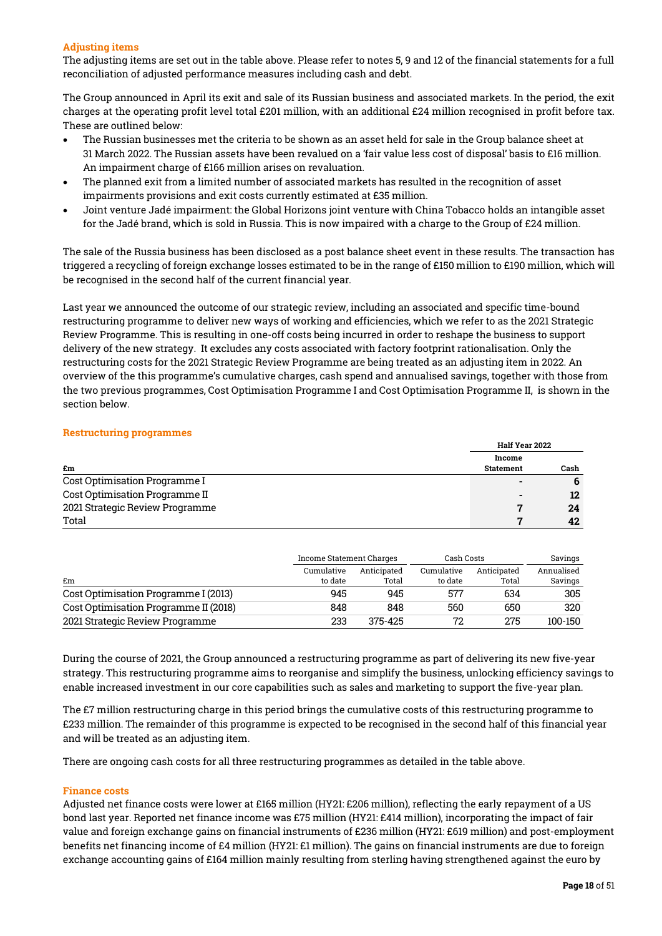# Adjusting items

The adjusting items are set out in the table above. Please refer to notes 5, 9 and 12 of the financial statements for a full reconciliation of adjusted performance measures including cash and debt.

The Group announced in April its exit and sale of its Russian business and associated markets. In the period, the exit charges at the operating profit level total £201 million, with an additional £24 million recognised in profit before tax. These are outlined below:

- The Russian businesses met the criteria to be shown as an asset held for sale in the Group balance sheet at 31 March 2022. The Russian assets have been revalued on a 'fair value less cost of disposal' basis to £16 million. An impairment charge of £166 million arises on revaluation.
- The planned exit from a limited number of associated markets has resulted in the recognition of asset impairments provisions and exit costs currently estimated at £35 million.
- Joint venture Jadé impairment: the Global Horizons joint venture with China Tobacco holds an intangible asset for the Jadé brand, which is sold in Russia. This is now impaired with a charge to the Group of £24 million.

The sale of the Russia business has been disclosed as a post balance sheet event in these results. The transaction has triggered a recycling of foreign exchange losses estimated to be in the range of £150 million to £190 million, which will be recognised in the second half of the current financial year.

Last year we announced the outcome of our strategic review, including an associated and specific time-bound restructuring programme to deliver new ways of working and efficiencies, which we refer to as the 2021 Strategic Review Programme. This is resulting in one-off costs being incurred in order to reshape the business to support delivery of the new strategy. It excludes any costs associated with factory footprint rationalisation. Only the restructuring costs for the 2021 Strategic Review Programme are being treated as an adjusting item in 2022. An overview of the this programme's cumulative charges, cash spend and annualised savings, together with those from the two previous programmes, Cost Optimisation Programme I and Cost Optimisation Programme II, is shown in the section below.

# Restructuring programmes

|                                 | <b>Half Year 2022</b>    |      |  |  |  |
|---------------------------------|--------------------------|------|--|--|--|
|                                 | Income                   |      |  |  |  |
| £m                              | <b>Statement</b>         | Cash |  |  |  |
| Cost Optimisation Programme I   |                          | 6    |  |  |  |
| Cost Optimisation Programme II  | $\overline{\phantom{a}}$ | 12   |  |  |  |
| 2021 Strategic Review Programme |                          | 24   |  |  |  |
| Total                           |                          | 42   |  |  |  |

|                                       | Income Statement Charges |                      | Cash Costs            | Savings              |                       |
|---------------------------------------|--------------------------|----------------------|-----------------------|----------------------|-----------------------|
| Em                                    | Cumulative<br>to date    | Anticipated<br>Total | Cumulative<br>to date | Anticipated<br>Total | Annualised<br>Savings |
| Cost Optimisation Programme I (2013)  | 945                      | 945                  | 577                   | 634                  | 305                   |
| Cost Optimisation Programme II (2018) | 848                      | 848                  | 560                   | 650                  | 320                   |
| 2021 Strategic Review Programme       | 233                      | 375-425              | 72                    | 275                  | 100-150               |

During the course of 2021, the Group announced a restructuring programme as part of delivering its new five-year strategy. This restructuring programme aims to reorganise and simplify the business, unlocking efficiency savings to enable increased investment in our core capabilities such as sales and marketing to support the five-year plan.

The £7 million restructuring charge in this period brings the cumulative costs of this restructuring programme to £233 million. The remainder of this programme is expected to be recognised in the second half of this financial year and will be treated as an adjusting item.

There are ongoing cash costs for all three restructuring programmes as detailed in the table above.

# Finance costs

Adjusted net finance costs were lower at £165 million (HY21: £206 million), reflecting the early repayment of a US bond last year. Reported net finance income was £75 million (HY21: £414 million), incorporating the impact of fair value and foreign exchange gains on financial instruments of £236 million (HY21: £619 million) and post-employment benefits net financing income of £4 million (HY21: £1 million). The gains on financial instruments are due to foreign exchange accounting gains of £164 million mainly resulting from sterling having strengthened against the euro by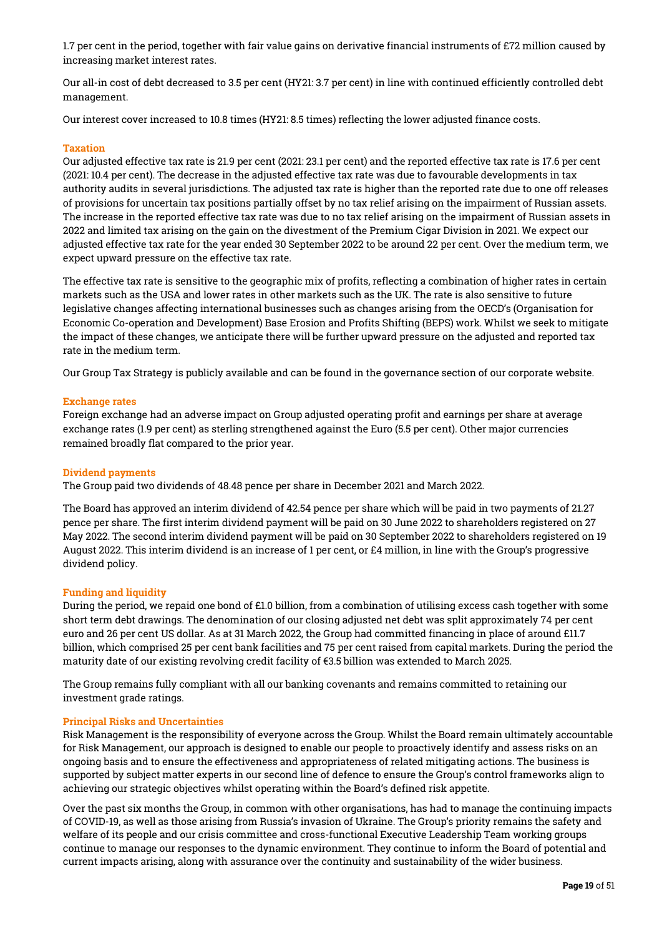1.7 per cent in the period, together with fair value gains on derivative financial instruments of £72 million caused by increasing market interest rates.

Our all-in cost of debt decreased to 3.5 per cent (HY21: 3.7 per cent) in line with continued efficiently controlled debt management.

Our interest cover increased to 10.8 times (HY21: 8.5 times) reflecting the lower adjusted finance costs.

# Taxation

Our adjusted effective tax rate is 21.9 per cent (2021: 23.1 per cent) and the reported effective tax rate is 17.6 per cent (2021: 10.4 per cent). The decrease in the adjusted effective tax rate was due to favourable developments in tax authority audits in several jurisdictions. The adjusted tax rate is higher than the reported rate due to one off releases of provisions for uncertain tax positions partially offset by no tax relief arising on the impairment of Russian assets. The increase in the reported effective tax rate was due to no tax relief arising on the impairment of Russian assets in 2022 and limited tax arising on the gain on the divestment of the Premium Cigar Division in 2021. We expect our adjusted effective tax rate for the year ended 30 September 2022 to be around 22 per cent. Over the medium term, we expect upward pressure on the effective tax rate.

The effective tax rate is sensitive to the geographic mix of profits, reflecting a combination of higher rates in certain markets such as the USA and lower rates in other markets such as the UK. The rate is also sensitive to future legislative changes affecting international businesses such as changes arising from the OECD's (Organisation for Economic Co-operation and Development) Base Erosion and Profits Shifting (BEPS) work. Whilst we seek to mitigate the impact of these changes, we anticipate there will be further upward pressure on the adjusted and reported tax rate in the medium term.

Our Group Tax Strategy is publicly available and can be found in the governance section of our corporate website.

## Exchange rates

Foreign exchange had an adverse impact on Group adjusted operating profit and earnings per share at average exchange rates (1.9 per cent) as sterling strengthened against the Euro (5.5 per cent). Other major currencies remained broadly flat compared to the prior year.

## Dividend payments

The Group paid two dividends of 48.48 pence per share in December 2021 and March 2022.

The Board has approved an interim dividend of 42.54 pence per share which will be paid in two payments of 21.27 pence per share. The first interim dividend payment will be paid on 30 June 2022 to shareholders registered on 27 May 2022. The second interim dividend payment will be paid on 30 September 2022 to shareholders registered on 19 August 2022. This interim dividend is an increase of 1 per cent, or £4 million, in line with the Group's progressive dividend policy.

# Funding and liquidity

During the period, we repaid one bond of £1.0 billion, from a combination of utilising excess cash together with some short term debt drawings. The denomination of our closing adjusted net debt was split approximately 74 per cent euro and 26 per cent US dollar. As at 31 March 2022, the Group had committed financing in place of around £11.7 billion, which comprised 25 per cent bank facilities and 75 per cent raised from capital markets. During the period the maturity date of our existing revolving credit facility of €3.5 billion was extended to March 2025.

The Group remains fully compliant with all our banking covenants and remains committed to retaining our investment grade ratings.

#### Principal Risks and Uncertainties

Risk Management is the responsibility of everyone across the Group. Whilst the Board remain ultimately accountable for Risk Management, our approach is designed to enable our people to proactively identify and assess risks on an ongoing basis and to ensure the effectiveness and appropriateness of related mitigating actions. The business is supported by subject matter experts in our second line of defence to ensure the Group's control frameworks align to achieving our strategic objectives whilst operating within the Board's defined risk appetite.

Over the past six months the Group, in common with other organisations, has had to manage the continuing impacts of COVID-19, as well as those arising from Russia's invasion of Ukraine. The Group's priority remains the safety and welfare of its people and our crisis committee and cross-functional Executive Leadership Team working groups continue to manage our responses to the dynamic environment. They continue to inform the Board of potential and current impacts arising, along with assurance over the continuity and sustainability of the wider business.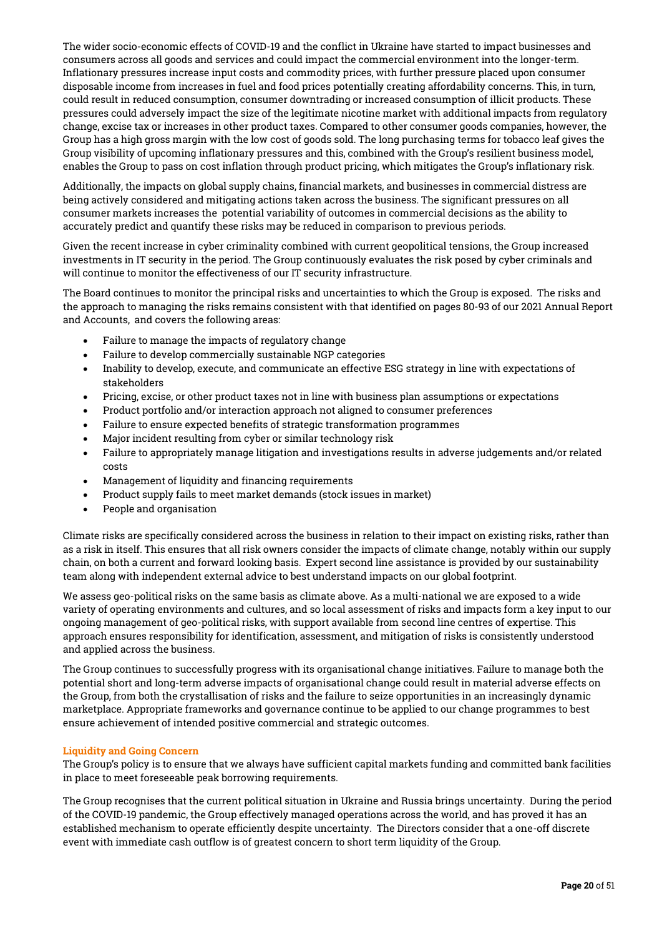The wider socio-economic effects of COVID-19 and the conflict in Ukraine have started to impact businesses and consumers across all goods and services and could impact the commercial environment into the longer-term. Inflationary pressures increase input costs and commodity prices, with further pressure placed upon consumer disposable income from increases in fuel and food prices potentially creating affordability concerns. This, in turn, could result in reduced consumption, consumer downtrading or increased consumption of illicit products. These pressures could adversely impact the size of the legitimate nicotine market with additional impacts from regulatory change, excise tax or increases in other product taxes. Compared to other consumer goods companies, however, the Group has a high gross margin with the low cost of goods sold. The long purchasing terms for tobacco leaf gives the Group visibility of upcoming inflationary pressures and this, combined with the Group's resilient business model, enables the Group to pass on cost inflation through product pricing, which mitigates the Group's inflationary risk.

Additionally, the impacts on global supply chains, financial markets, and businesses in commercial distress are being actively considered and mitigating actions taken across the business. The significant pressures on all consumer markets increases the potential variability of outcomes in commercial decisions as the ability to accurately predict and quantify these risks may be reduced in comparison to previous periods.

Given the recent increase in cyber criminality combined with current geopolitical tensions, the Group increased investments in IT security in the period. The Group continuously evaluates the risk posed by cyber criminals and will continue to monitor the effectiveness of our IT security infrastructure.

The Board continues to monitor the principal risks and uncertainties to which the Group is exposed. The risks and the approach to managing the risks remains consistent with that identified on pages 80-93 of our 2021 Annual Report and Accounts, and covers the following areas:

- Failure to manage the impacts of regulatory change
- Failure to develop commercially sustainable NGP categories
- Inability to develop, execute, and communicate an effective ESG strategy in line with expectations of stakeholders
- Pricing, excise, or other product taxes not in line with business plan assumptions or expectations
- Product portfolio and/or interaction approach not aligned to consumer preferences
- Failure to ensure expected benefits of strategic transformation programmes
- Major incident resulting from cyber or similar technology risk
- Failure to appropriately manage litigation and investigations results in adverse judgements and/or related costs
- Management of liquidity and financing requirements
- Product supply fails to meet market demands (stock issues in market)
- People and organisation

Climate risks are specifically considered across the business in relation to their impact on existing risks, rather than as a risk in itself. This ensures that all risk owners consider the impacts of climate change, notably within our supply chain, on both a current and forward looking basis. Expert second line assistance is provided by our sustainability team along with independent external advice to best understand impacts on our global footprint.

We assess geo-political risks on the same basis as climate above. As a multi-national we are exposed to a wide variety of operating environments and cultures, and so local assessment of risks and impacts form a key input to our ongoing management of geo-political risks, with support available from second line centres of expertise. This approach ensures responsibility for identification, assessment, and mitigation of risks is consistently understood and applied across the business.

The Group continues to successfully progress with its organisational change initiatives. Failure to manage both the potential short and long-term adverse impacts of organisational change could result in material adverse effects on the Group, from both the crystallisation of risks and the failure to seize opportunities in an increasingly dynamic marketplace. Appropriate frameworks and governance continue to be applied to our change programmes to best ensure achievement of intended positive commercial and strategic outcomes.

# Liquidity and Going Concern

The Group's policy is to ensure that we always have sufficient capital markets funding and committed bank facilities in place to meet foreseeable peak borrowing requirements.

The Group recognises that the current political situation in Ukraine and Russia brings uncertainty. During the period of the COVID-19 pandemic, the Group effectively managed operations across the world, and has proved it has an established mechanism to operate efficiently despite uncertainty. The Directors consider that a one-off discrete event with immediate cash outflow is of greatest concern to short term liquidity of the Group.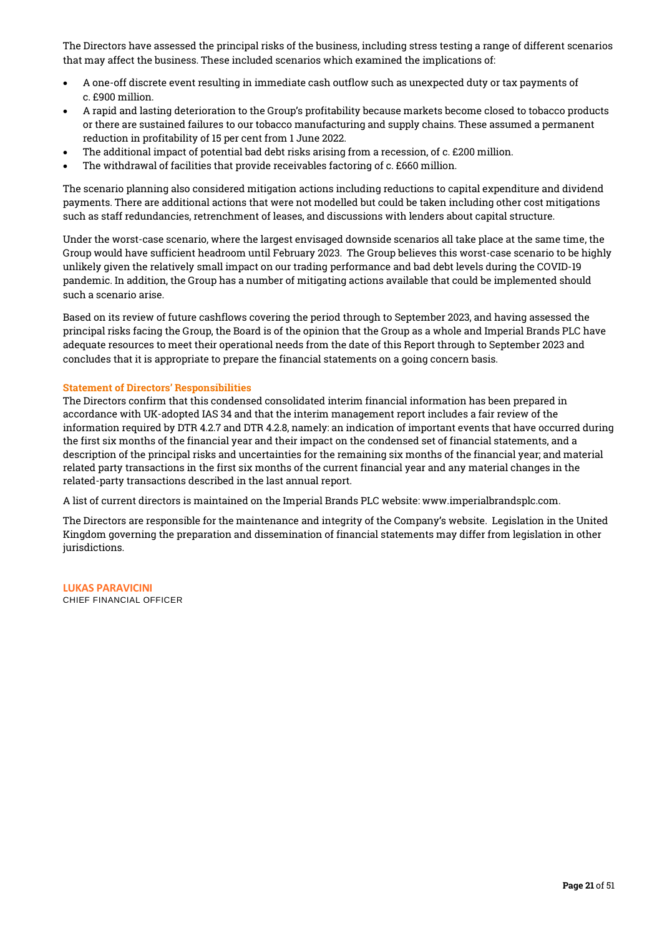The Directors have assessed the principal risks of the business, including stress testing a range of different scenarios that may affect the business. These included scenarios which examined the implications of:

- A one-off discrete event resulting in immediate cash outflow such as unexpected duty or tax payments of c. £900 million.
- A rapid and lasting deterioration to the Group's profitability because markets become closed to tobacco products or there are sustained failures to our tobacco manufacturing and supply chains. These assumed a permanent reduction in profitability of 15 per cent from 1 June 2022.
- The additional impact of potential bad debt risks arising from a recession, of c. £200 million.
- The withdrawal of facilities that provide receivables factoring of c. £660 million.

The scenario planning also considered mitigation actions including reductions to capital expenditure and dividend payments. There are additional actions that were not modelled but could be taken including other cost mitigations such as staff redundancies, retrenchment of leases, and discussions with lenders about capital structure.

Under the worst-case scenario, where the largest envisaged downside scenarios all take place at the same time, the Group would have sufficient headroom until February 2023. The Group believes this worst-case scenario to be highly unlikely given the relatively small impact on our trading performance and bad debt levels during the COVID-19 pandemic. In addition, the Group has a number of mitigating actions available that could be implemented should such a scenario arise.

Based on its review of future cashflows covering the period through to September 2023, and having assessed the principal risks facing the Group, the Board is of the opinion that the Group as a whole and Imperial Brands PLC have adequate resources to meet their operational needs from the date of this Report through to September 2023 and concludes that it is appropriate to prepare the financial statements on a going concern basis.

# Statement of Directors' Responsibilities

The Directors confirm that this condensed consolidated interim financial information has been prepared in accordance with UK-adopted IAS 34 and that the interim management report includes a fair review of the information required by DTR 4.2.7 and DTR 4.2.8, namely: an indication of important events that have occurred during the first six months of the financial year and their impact on the condensed set of financial statements, and a description of the principal risks and uncertainties for the remaining six months of the financial year; and material related party transactions in the first six months of the current financial year and any material changes in the related-party transactions described in the last annual report.

A list of current directors is maintained on the Imperial Brands PLC website: www.imperialbrandsplc.com.

The Directors are responsible for the maintenance and integrity of the Company's website. Legislation in the United Kingdom governing the preparation and dissemination of financial statements may differ from legislation in other jurisdictions.

**LUKAS PARAVICINI** CHIEF FINANCIAL OFFICER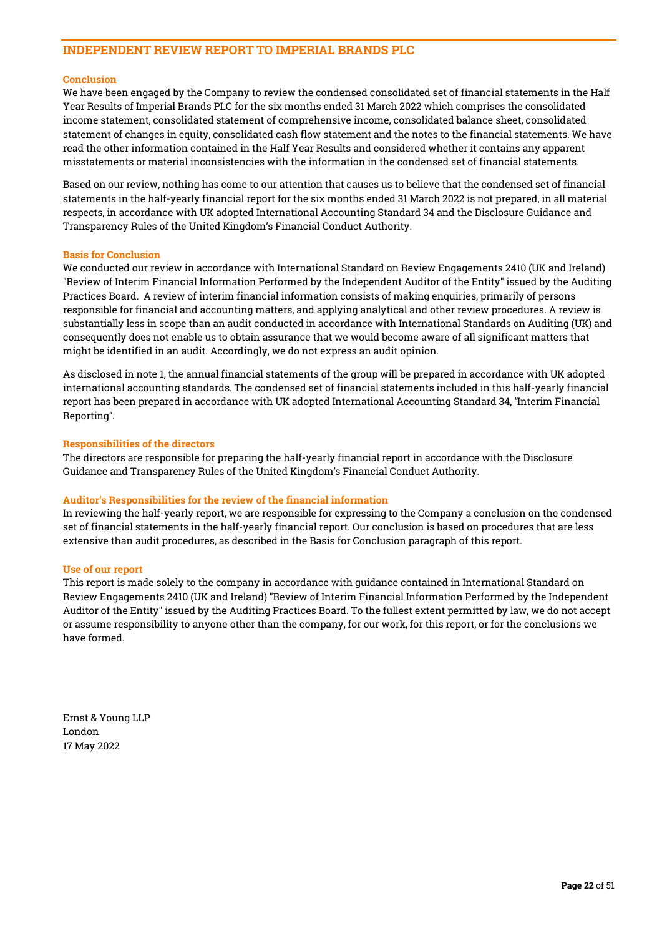# INDEPENDENT REVIEW REPORT TO IMPERIAL BRANDS PLC

# Conclusion

We have been engaged by the Company to review the condensed consolidated set of financial statements in the Half Year Results of Imperial Brands PLC for the six months ended 31 March 2022 which comprises the consolidated income statement, consolidated statement of comprehensive income, consolidated balance sheet, consolidated statement of changes in equity, consolidated cash flow statement and the notes to the financial statements. We have read the other information contained in the Half Year Results and considered whether it contains any apparent misstatements or material inconsistencies with the information in the condensed set of financial statements.

Based on our review, nothing has come to our attention that causes us to believe that the condensed set of financial statements in the half-yearly financial report for the six months ended 31 March 2022 is not prepared, in all material respects, in accordance with UK adopted International Accounting Standard 34 and the Disclosure Guidance and Transparency Rules of the United Kingdom's Financial Conduct Authority.

#### Basis for Conclusion

We conducted our review in accordance with International Standard on Review Engagements 2410 (UK and Ireland) "Review of Interim Financial Information Performed by the Independent Auditor of the Entity" issued by the Auditing Practices Board. A review of interim financial information consists of making enquiries, primarily of persons responsible for financial and accounting matters, and applying analytical and other review procedures. A review is substantially less in scope than an audit conducted in accordance with International Standards on Auditing (UK) and consequently does not enable us to obtain assurance that we would become aware of all significant matters that might be identified in an audit. Accordingly, we do not express an audit opinion.

As disclosed in note 1, the annual financial statements of the group will be prepared in accordance with UK adopted international accounting standards. The condensed set of financial statements included in this half-yearly financial report has been prepared in accordance with UK adopted International Accounting Standard 34, "Interim Financial Reporting".

## Responsibilities of the directors

The directors are responsible for preparing the half-yearly financial report in accordance with the Disclosure Guidance and Transparency Rules of the United Kingdom's Financial Conduct Authority.

# Auditor's Responsibilities for the review of the financial information

In reviewing the half-yearly report, we are responsible for expressing to the Company a conclusion on the condensed set of financial statements in the half-yearly financial report. Our conclusion is based on procedures that are less extensive than audit procedures, as described in the Basis for Conclusion paragraph of this report.

#### Use of our report

This report is made solely to the company in accordance with guidance contained in International Standard on Review Engagements 2410 (UK and Ireland) "Review of Interim Financial Information Performed by the Independent Auditor of the Entity" issued by the Auditing Practices Board. To the fullest extent permitted by law, we do not accept or assume responsibility to anyone other than the company, for our work, for this report, or for the conclusions we have formed.

Ernst & Young LLP London 17 May 2022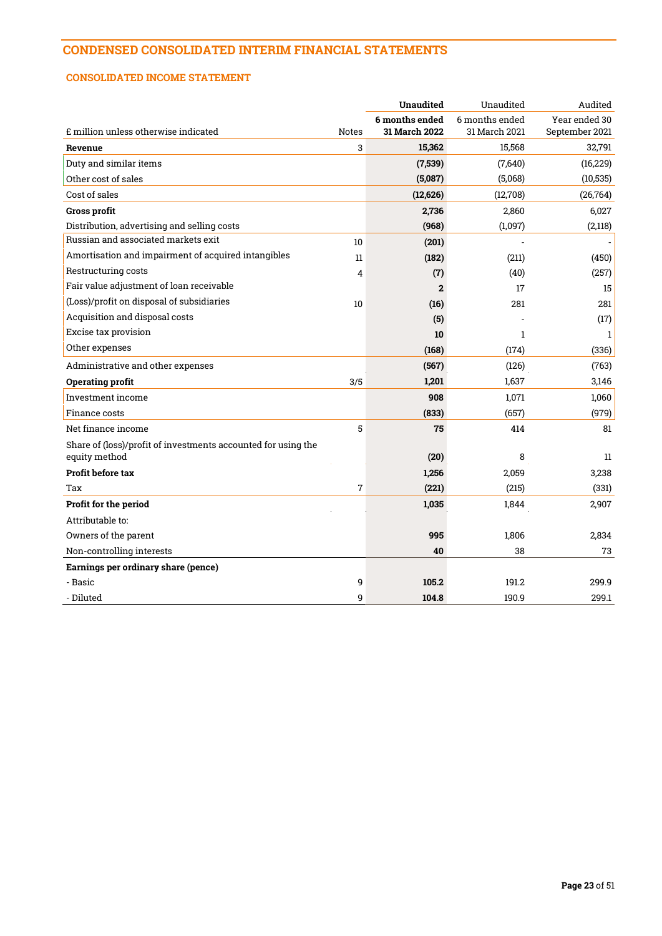# CONDENSED CONSOLIDATED INTERIM FINANCIAL STATEMENTS

# CONSOLIDATED INCOME STATEMENT

|                                                               |              | <b>Unaudited</b>                       | Unaudited                       | Audited                         |
|---------------------------------------------------------------|--------------|----------------------------------------|---------------------------------|---------------------------------|
| £ million unless otherwise indicated                          | <b>Notes</b> | 6 months ended<br><b>31 March 2022</b> | 6 months ended<br>31 March 2021 | Year ended 30<br>September 2021 |
| Revenue                                                       | 3            | 15,362                                 | 15,568                          | 32,791                          |
| Duty and similar items                                        |              | (7,539)                                | (7,640)                         | (16, 229)                       |
| Other cost of sales                                           |              | (5,087)                                | (5,068)                         | (10, 535)                       |
| Cost of sales                                                 |              | (12,626)                               | (12,708)                        | (26, 764)                       |
| Gross profit                                                  |              | 2,736                                  | 2,860                           | 6,027                           |
| Distribution, advertising and selling costs                   |              | (968)                                  | (1,097)                         | (2,118)                         |
| Russian and associated markets exit                           | 10           | (201)                                  |                                 |                                 |
| Amortisation and impairment of acquired intangibles           | 11           | (182)                                  | (211)                           | (450)                           |
| Restructuring costs                                           | 4            | (7)                                    | (40)                            | (257)                           |
| Fair value adjustment of loan receivable                      |              | $\mathbf{2}$                           | 17                              | 15                              |
| (Loss)/profit on disposal of subsidiaries                     | 10           | (16)                                   | 281                             | 281                             |
| Acquisition and disposal costs                                |              | (5)                                    |                                 | (17)                            |
| Excise tax provision                                          |              | 10                                     | $\mathbf{1}$                    | $\mathbf{1}$                    |
| Other expenses                                                |              | (168)                                  | (174)                           | (336)                           |
| Administrative and other expenses                             |              | (567)                                  | (126)                           | (763)                           |
| Operating profit                                              | 3/5          | 1,201                                  | 1,637                           | 3,146                           |
| Investment income                                             |              | 908                                    | 1,071                           | 1,060                           |
| Finance costs                                                 |              | (833)                                  | (657)                           | (979)                           |
| Net finance income                                            | 5            | 75                                     | 414                             | 81                              |
| Share of (loss)/profit of investments accounted for using the |              |                                        |                                 |                                 |
| equity method                                                 |              | (20)                                   | 8                               | 11                              |
| Profit before tax                                             |              | 1,256                                  | 2,059                           | 3,238                           |
| Tax                                                           | 7            | (221)                                  | (215)                           | (331)                           |
| Profit for the period                                         |              | 1,035                                  | 1,844                           | 2,907                           |
| Attributable to:                                              |              |                                        |                                 |                                 |
| Owners of the parent                                          |              | 995                                    | 1,806                           | 2,834                           |
| Non-controlling interests                                     |              | 40                                     | 38                              | 73                              |
| Earnings per ordinary share (pence)                           |              |                                        |                                 |                                 |
| - Basic                                                       | 9            | 105.2                                  | 191.2                           | 299.9                           |
| - Diluted                                                     | 9            | 104.8                                  | 190.9                           | 299.1                           |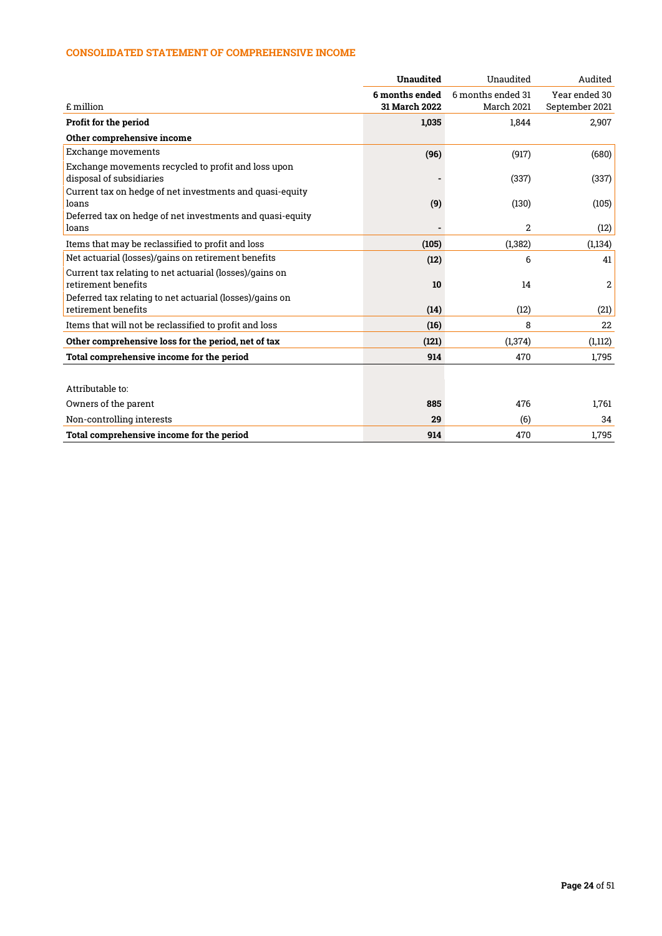# CONSOLIDATED STATEMENT OF COMPREHENSIVE INCOME

|                                                           | <b>Unaudited</b> | Unaudited         | Audited        |
|-----------------------------------------------------------|------------------|-------------------|----------------|
|                                                           | 6 months ended   | 6 months ended 31 | Year ended 30  |
| £ million                                                 | 31 March 2022    | March 2021        | September 2021 |
| Profit for the period                                     | 1,035            | 1,844             | 2,907          |
| Other comprehensive income                                |                  |                   |                |
| Exchange movements                                        | (96)             | (917)             | (680)          |
| Exchange movements recycled to profit and loss upon       |                  |                   |                |
| disposal of subsidiaries                                  |                  | (337)             | (337)          |
| Current tax on hedge of net investments and quasi-equity  |                  |                   |                |
| loans                                                     | (9)              | (130)             | (105)          |
| Deferred tax on hedge of net investments and quasi-equity |                  |                   |                |
| loans                                                     |                  | 2                 | (12)           |
| Items that may be reclassified to profit and loss         | (105)            | (1, 382)          | (1, 134)       |
| Net actuarial (losses)/gains on retirement benefits       | (12)             | 6                 | 41             |
| Current tax relating to net actuarial (losses)/gains on   |                  |                   |                |
| retirement benefits                                       | 10               | 14                | 2              |
| Deferred tax relating to net actuarial (losses)/gains on  |                  |                   |                |
| retirement benefits                                       | (14)             | (12)              | (21)           |
| Items that will not be reclassified to profit and loss    | (16)             | 8                 | 22             |
| Other comprehensive loss for the period, net of tax       | (121)            | (1, 374)          | (1,112)        |
| Total comprehensive income for the period                 | 914              | 470               | 1,795          |
|                                                           |                  |                   |                |
| Attributable to:                                          |                  |                   |                |
| Owners of the parent                                      | 885              | 476               | 1,761          |
| Non-controlling interests                                 | 29               | (6)               | 34             |
| Total comprehensive income for the period                 | 914              | 470               | 1.795          |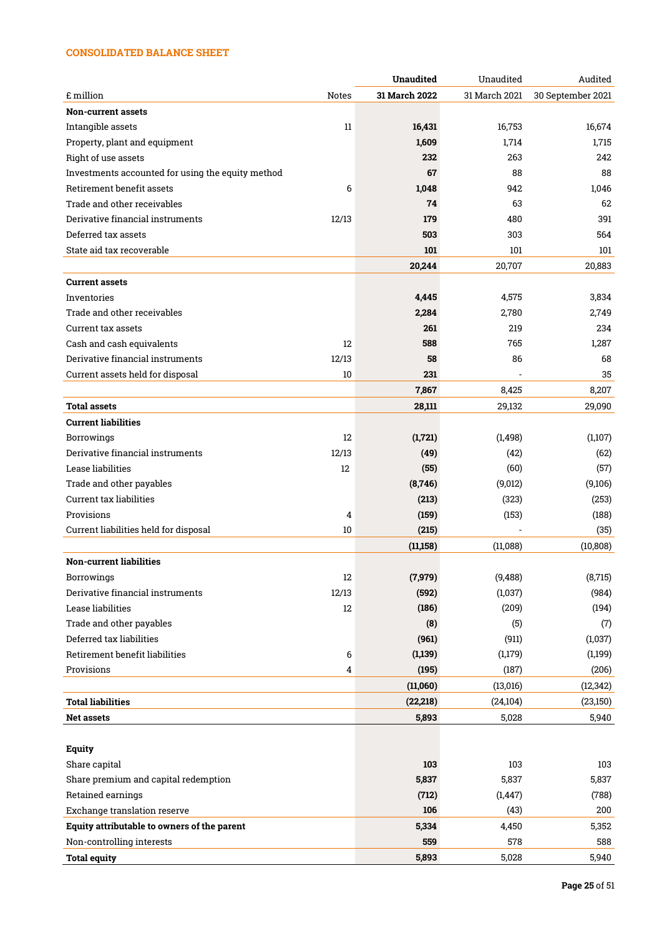# CONSOLIDATED BALANCE SHEET

|                                                   |       | <b>Unaudited</b> | Unaudited     | Audited           |
|---------------------------------------------------|-------|------------------|---------------|-------------------|
| £ million                                         | Notes | 31 March 2022    | 31 March 2021 | 30 September 2021 |
| <b>Non-current assets</b>                         |       |                  |               |                   |
| Intangible assets                                 | 11    | 16,431           | 16,753        | 16,674            |
| Property, plant and equipment                     |       | 1,609            | 1,714         | 1,715             |
| Right of use assets                               |       | 232              | 263           | 242               |
| Investments accounted for using the equity method |       | 67               | 88            | 88                |
| Retirement benefit assets                         | 6     | 1,048            | 942           | 1,046             |
| Trade and other receivables                       |       | 74               | 63            | 62                |
| Derivative financial instruments                  | 12/13 | 179              | 480           | 391               |
| Deferred tax assets                               |       | 503              | 303           | 564               |
| State aid tax recoverable                         |       | 101              | 101           | 101               |
|                                                   |       | 20,244           | 20,707        | 20,883            |
| <b>Current assets</b>                             |       |                  |               |                   |
| Inventories                                       |       | 4,445            | 4,575         | 3,834             |
| Trade and other receivables                       |       | 2,284            | 2,780         | 2,749             |
| Current tax assets                                |       | 261              | 219           | 234               |
| Cash and cash equivalents                         | 12    | 588              | 765           | 1,287             |
| Derivative financial instruments                  | 12/13 | 58               | 86            | 68                |
| Current assets held for disposal                  | 10    | 231              |               | 35                |
|                                                   |       | 7,867            | 8,425         | 8,207             |
| Total assets                                      |       | 28,111           | 29,132        | 29,090            |
| <b>Current liabilities</b>                        |       |                  |               |                   |
| Borrowings                                        | 12    | (1,721)          | (1, 498)      | (1,107)           |
| Derivative financial instruments                  | 12/13 | (49)             | (42)          | (62)              |
| Lease liabilities                                 | 12    | (55)             | (60)          | (57)              |
| Trade and other payables                          |       | (8,746)          | (9,012)       | (9,106)           |
| <b>Current tax liabilities</b>                    |       | (213)            | (323)         | (253)             |
| Provisions                                        | 4     | (159)            | (153)         | (188)             |
| Current liabilities held for disposal             | 10    | (215)            |               | (35)              |
|                                                   |       |                  |               |                   |
|                                                   |       | (11,158)         | (11,088)      | (10, 808)         |
| <b>Non-current liabilities</b>                    |       |                  |               |                   |
| Borrowings                                        | 12    | (7, 979)         | (9, 488)      | (8, 715)          |
| Derivative financial instruments                  | 12/13 | (592)            | (1,037)       | (984)             |
| Lease liabilities                                 | 12    | (186)            | (209)         | (194)             |
| Trade and other payables                          |       | (8)              | (5)           | (7)               |
| Deferred tax liabilities                          |       | (961)            | (911)         | (1,037)           |
| Retirement benefit liabilities                    | 6     | (1, 139)         | (1,179)       | (1,199)           |
| Provisions                                        | 4     | (195)            | (187)         | (206)             |
|                                                   |       | (11,060)         | (13, 016)     | (12, 342)         |
| <b>Total liabilities</b>                          |       | (22, 218)        | (24, 104)     | (23,150)          |
| <b>Net assets</b>                                 |       | 5,893            | 5,028         | 5,940             |
|                                                   |       |                  |               |                   |
| <b>Equity</b>                                     |       |                  |               |                   |
| Share capital                                     |       | 103              | 103           | 103               |
| Share premium and capital redemption              |       | 5,837            | 5,837         | 5,837             |
| Retained earnings                                 |       | (712)            | (1, 447)      | (788)             |
| Exchange translation reserve                      |       | 106              | (43)          | 200               |
| Equity attributable to owners of the parent       |       | 5,334            | 4,450         | 5,352             |
| Non-controlling interests                         |       | 559              | 578           | 588               |
| <b>Total equity</b>                               |       | 5,893            | 5,028         | 5,940             |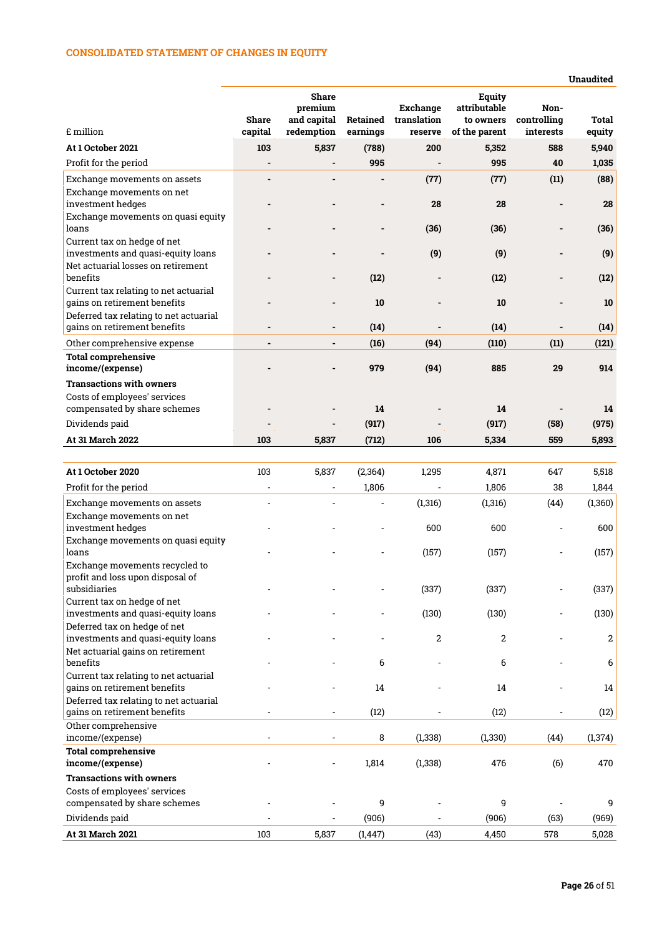# CONSOLIDATED STATEMENT OF CHANGES IN EQUITY

|                                                                        |                         |                                                      |                      |                                    |                                                      |                                  | <b>Unaudited</b>       |
|------------------------------------------------------------------------|-------------------------|------------------------------------------------------|----------------------|------------------------------------|------------------------------------------------------|----------------------------------|------------------------|
| £ million                                                              | <b>Share</b><br>capital | <b>Share</b><br>premium<br>and capital<br>redemption | Retained<br>earnings | Exchange<br>translation<br>reserve | Equity<br>attributable<br>to owners<br>of the parent | Non-<br>controlling<br>interests | <b>Total</b><br>equity |
| At 1 October 2021                                                      | 103                     | 5,837                                                | (788)                | 200                                | 5,352                                                | 588                              | 5,940                  |
| Profit for the period                                                  |                         |                                                      | 995                  |                                    | 995                                                  | 40                               | 1,035                  |
| Exchange movements on assets                                           |                         |                                                      |                      | (77)                               | (77)                                                 | (11)                             | (88)                   |
| Exchange movements on net<br>investment hedges                         |                         |                                                      |                      | 28                                 | 28                                                   |                                  | 28                     |
| Exchange movements on quasi equity<br>loans                            |                         |                                                      |                      |                                    |                                                      |                                  |                        |
| Current tax on hedge of net                                            |                         |                                                      | -                    | (36)                               | (36)                                                 |                                  | (36)                   |
| investments and quasi-equity loans                                     |                         |                                                      |                      | (9)                                | (9)                                                  |                                  | (9)                    |
| Net actuarial losses on retirement                                     |                         |                                                      |                      |                                    |                                                      |                                  |                        |
| benefits                                                               |                         |                                                      | (12)                 |                                    | (12)                                                 |                                  | (12)                   |
| Current tax relating to net actuarial<br>gains on retirement benefits  |                         |                                                      | 10                   |                                    | 10                                                   |                                  | 10                     |
| Deferred tax relating to net actuarial<br>gains on retirement benefits |                         |                                                      | (14)                 |                                    | (14)                                                 |                                  | (14)                   |
| Other comprehensive expense                                            | ä,                      |                                                      | (16)                 | (94)                               | (110)                                                | (11)                             | (121)                  |
| <b>Total comprehensive</b><br>income/(expense)                         |                         |                                                      | 979                  | (94)                               | 885                                                  | 29                               | 914                    |
| <b>Transactions with owners</b>                                        |                         |                                                      |                      |                                    |                                                      |                                  |                        |
| Costs of employees' services                                           |                         |                                                      |                      |                                    |                                                      |                                  |                        |
| compensated by share schemes                                           |                         |                                                      | 14                   |                                    | 14                                                   |                                  | 14                     |
| Dividends paid                                                         |                         |                                                      | (917)                |                                    | (917)                                                | (58)                             | (975)                  |
| At 31 March 2022                                                       | 103                     | 5,837                                                | (712)                | 106                                | 5.334                                                | 559                              | 5,893                  |
|                                                                        |                         |                                                      |                      |                                    |                                                      |                                  |                        |
| At 1 October 2020                                                      | 103                     | 5,837                                                | (2, 364)             | 1,295                              | 4,871                                                | 647                              | 5,518                  |
| Profit for the period                                                  |                         |                                                      | 1,806                |                                    | 1,806                                                | 38                               | 1,844                  |
| Exchange movements on assets                                           | $\overline{a}$          |                                                      |                      | (1,316)                            | (1, 316)                                             | (44)                             | (1,360)                |
| Exchange movements on net                                              |                         |                                                      |                      |                                    |                                                      |                                  |                        |
| investment hedges<br>Exchange movements on quasi equity                |                         |                                                      |                      | 600                                | 600                                                  |                                  | 600                    |
|                                                                        |                         |                                                      |                      |                                    |                                                      |                                  |                        |

| Exchange movements on assets           |     |       |          | (1,316)  | (1, 316)       | (44) | (1,360)  |
|----------------------------------------|-----|-------|----------|----------|----------------|------|----------|
| Exchange movements on net              |     |       |          |          |                |      |          |
| investment hedges                      |     |       |          | 600      | 600            |      | 600      |
| Exchange movements on quasi equity     |     |       |          |          |                |      |          |
| loans                                  |     |       |          | (157)    | (157)          |      | (157)    |
| Exchange movements recycled to         |     |       |          |          |                |      |          |
| profit and loss upon disposal of       |     |       |          |          |                |      |          |
| subsidiaries                           |     |       |          | (337)    | (337)          |      | (337)    |
| Current tax on hedge of net            |     |       |          |          |                |      |          |
| investments and quasi-equity loans     |     |       |          | (130)    | (130)          |      | (130)    |
| Deferred tax on hedge of net           |     |       |          |          |                |      |          |
| investments and quasi-equity loans     |     |       |          | 2        | $\overline{2}$ |      | 2        |
| Net actuarial gains on retirement      |     |       |          |          |                |      |          |
| benefits                               |     |       | 6        |          | 6              |      | 6        |
| Current tax relating to net actuarial  |     |       |          |          |                |      |          |
| gains on retirement benefits           |     |       | 14       |          | 14             |      | 14       |
| Deferred tax relating to net actuarial |     |       |          |          |                |      |          |
| gains on retirement benefits           |     |       | (12)     |          | (12)           |      | (12)     |
| Other comprehensive                    |     |       |          |          |                |      |          |
| income/(expense)                       |     |       | 8        | (1, 338) | (1, 330)       | (44) | (1, 374) |
| <b>Total comprehensive</b>             |     |       |          |          |                |      |          |
| income/(expense)                       |     |       | 1,814    | (1, 338) | 476            | (6)  | 470      |
| <b>Transactions with owners</b>        |     |       |          |          |                |      |          |
| Costs of employees' services           |     |       |          |          |                |      |          |
| compensated by share schemes           |     |       | 9        |          | 9              |      | 9        |
| Dividends paid                         |     |       | (906)    |          | (906)          | (63) | (969)    |
| At 31 March 2021                       | 103 | 5,837 | (1, 447) | (43)     | 4,450          | 578  | 5.028    |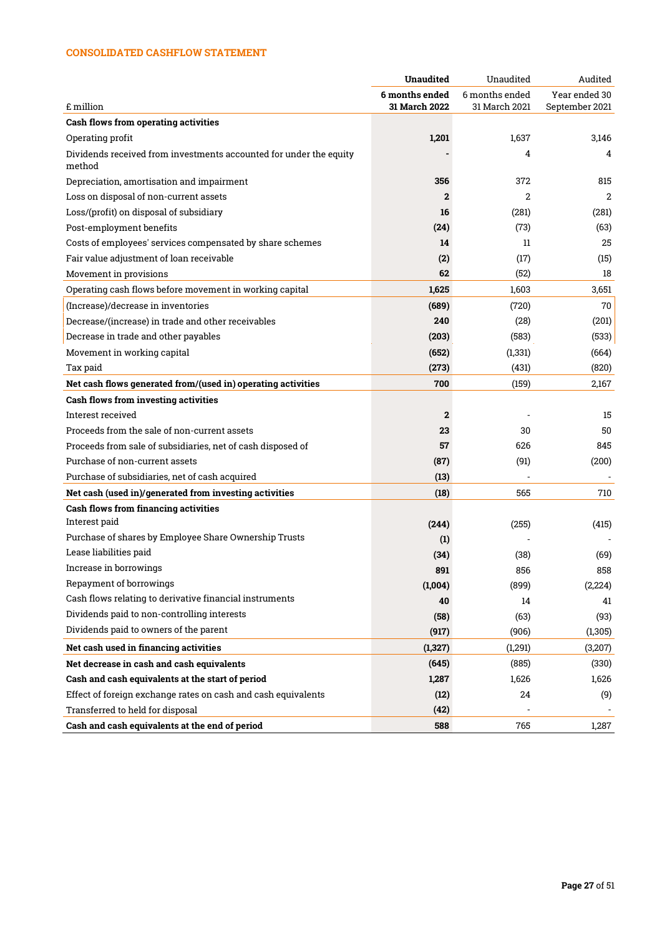# CONSOLIDATED CASHFLOW STATEMENT

|                                                                    | <b>Unaudited</b>                | Unaudited                       | Audited                         |
|--------------------------------------------------------------------|---------------------------------|---------------------------------|---------------------------------|
| £ million                                                          | 6 months ended<br>31 March 2022 | 6 months ended<br>31 March 2021 | Year ended 30<br>September 2021 |
| <b>Cash flows from operating activities</b>                        |                                 |                                 |                                 |
| Operating profit                                                   | 1,201                           | 1,637                           | 3,146                           |
| Dividends received from investments accounted for under the equity |                                 | 4                               | 4                               |
| method                                                             |                                 |                                 |                                 |
| Depreciation, amortisation and impairment                          | 356                             | 372                             | 815                             |
| Loss on disposal of non-current assets                             | $\mathbf{2}$                    | 2                               | 2                               |
| Loss/(profit) on disposal of subsidiary                            | 16                              | (281)                           | (281)                           |
| Post-employment benefits                                           | (24)                            | (73)                            | (63)                            |
| Costs of employees' services compensated by share schemes          | 14                              | $11\,$                          | 25                              |
| Fair value adjustment of loan receivable                           | (2)                             | (17)                            | (15)                            |
| Movement in provisions                                             | 62                              | (52)                            | 18                              |
| Operating cash flows before movement in working capital            | 1,625                           | 1,603                           | 3,651                           |
| (Increase)/decrease in inventories                                 | (689)                           | (720)                           | 70                              |
| Decrease/(increase) in trade and other receivables                 | 240                             | (28)                            | (201)                           |
| Decrease in trade and other payables                               | (203)                           | (583)                           | (533)                           |
| Movement in working capital                                        | (652)                           | (1, 331)                        | (664)                           |
| Tax paid                                                           | (273)                           | (431)                           | (820)                           |
| Net cash flows generated from/(used in) operating activities       | 700                             | (159)                           | 2,167                           |
| <b>Cash flows from investing activities</b>                        |                                 |                                 |                                 |
| Interest received                                                  | $\mathbf{2}$                    |                                 | 15                              |
| Proceeds from the sale of non-current assets                       | 23                              | 30                              | 50                              |
| Proceeds from sale of subsidiaries, net of cash disposed of        | 57                              | 626                             | 845                             |
| Purchase of non-current assets                                     | (87)                            | (91)                            | (200)                           |
| Purchase of subsidiaries, net of cash acquired                     | (13)                            |                                 |                                 |
| Net cash (used in)/generated from investing activities             | (18)                            | 565                             | 710                             |
| <b>Cash flows from financing activities</b>                        |                                 |                                 |                                 |
| Interest paid                                                      | (244)                           | (255)                           | (415)                           |
| Purchase of shares by Employee Share Ownership Trusts              | (1)                             |                                 |                                 |
| Lease liabilities paid                                             | (34)                            | (38)                            | (69)                            |
| Increase in borrowings                                             | 891                             | 856                             | 858                             |
| <b>Repayment of borrowings</b>                                     | (1,004)                         | (899)                           | (2,224)                         |
| Cash flows relating to derivative financial instruments            | 40                              | 14                              | 41                              |
| Dividends paid to non-controlling interests                        | (58)                            | (63)                            | (93)                            |
| Dividends paid to owners of the parent                             | (917)                           | (906)                           | (1, 305)                        |
| Net cash used in financing activities                              | (1,327)                         | (1,291)                         | (3,207)                         |
| Net decrease in cash and cash equivalents                          | (645)                           | (885)                           | (330)                           |
| Cash and cash equivalents at the start of period                   | 1,287                           | 1,626                           | 1,626                           |
| Effect of foreign exchange rates on cash and cash equivalents      | (12)                            | 24                              | (9)                             |
| Transferred to held for disposal                                   | (42)                            |                                 |                                 |
| Cash and cash equivalents at the end of period                     | 588                             | 765                             | 1,287                           |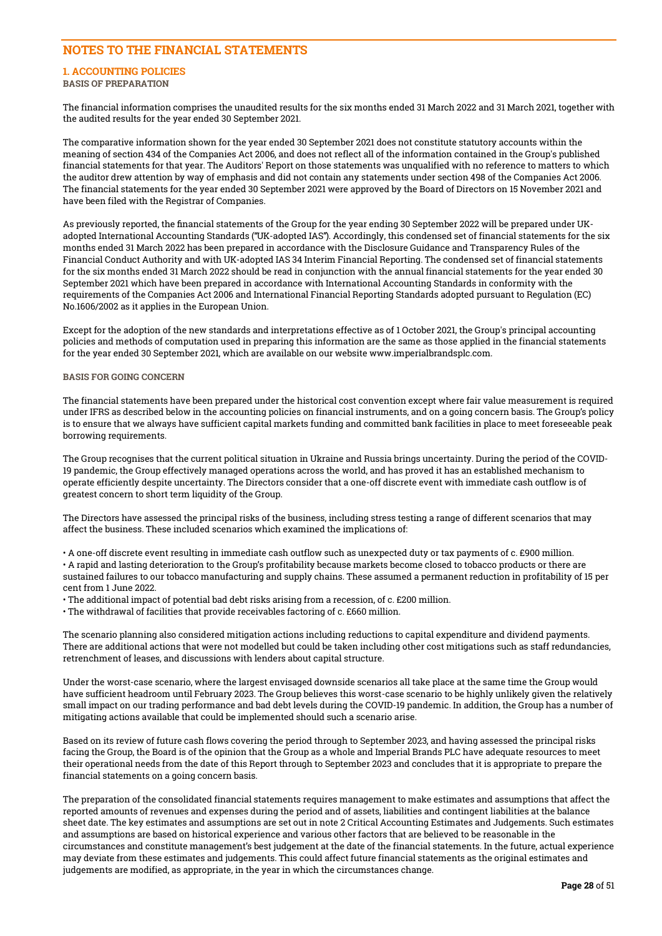# NOTES TO THE FINANCIAL STATEMENTS

#### 1. ACCOUNTING POLICIES BASIS OF PREPARATION

The financial information comprises the unaudited results for the six months ended 31 March 2022 and 31 March 2021, together with the audited results for the year ended 30 September 2021.

The comparative information shown for the year ended 30 September 2021 does not constitute statutory accounts within the meaning of section 434 of the Companies Act 2006, and does not reflect all of the information contained in the Group's published financial statements for that year. The Auditors' Report on those statements was unqualified with no reference to matters to which the auditor drew attention by way of emphasis and did not contain any statements under section 498 of the Companies Act 2006. The financial statements for the year ended 30 September 2021 were approved by the Board of Directors on 15 November 2021 and have been filed with the Registrar of Companies.

As previously reported, the financial statements of the Group for the year ending 30 September 2022 will be prepared under UKadopted International Accounting Standards ("UK-adopted IAS"). Accordingly, this condensed set of financial statements for the six months ended 31 March 2022 has been prepared in accordance with the Disclosure Guidance and Transparency Rules of the Financial Conduct Authority and with UK-adopted IAS 34 Interim Financial Reporting. The condensed set of financial statements for the six months ended 31 March 2022 should be read in conjunction with the annual financial statements for the year ended 30 September 2021 which have been prepared in accordance with International Accounting Standards in conformity with the requirements of the Companies Act 2006 and International Financial Reporting Standards adopted pursuant to Regulation (EC) No.1606/2002 as it applies in the European Union.

Except for the adoption of the new standards and interpretations effective as of 1 October 2021, the Group's principal accounting policies and methods of computation used in preparing this information are the same as those applied in the financial statements for the year ended 30 September 2021, which are available on our website www.imperialbrandsplc.com.

## BASIS FOR GOING CONCERN

The financial statements have been prepared under the historical cost convention except where fair value measurement is required under IFRS as described below in the accounting policies on financial instruments, and on a going concern basis. The Group's policy is to ensure that we always have sufficient capital markets funding and committed bank facilities in place to meet foreseeable peak borrowing requirements.

The Group recognises that the current political situation in Ukraine and Russia brings uncertainty. During the period of the COVID-19 pandemic, the Group effectively managed operations across the world, and has proved it has an established mechanism to operate efficiently despite uncertainty. The Directors consider that a one-off discrete event with immediate cash outflow is of greatest concern to short term liquidity of the Group.

The Directors have assessed the principal risks of the business, including stress testing a range of different scenarios that may affect the business. These included scenarios which examined the implications of:

• A one-off discrete event resulting in immediate cash outflow such as unexpected duty or tax payments of c. £900 million.

• A rapid and lasting deterioration to the Group's profitability because markets become closed to tobacco products or there are sustained failures to our tobacco manufacturing and supply chains. These assumed a permanent reduction in profitability of 15 per cent from 1 June 2022.

• The additional impact of potential bad debt risks arising from a recession, of c. £200 million.

• The withdrawal of facilities that provide receivables factoring of c. £660 million.

The scenario planning also considered mitigation actions including reductions to capital expenditure and dividend payments. There are additional actions that were not modelled but could be taken including other cost mitigations such as staff redundancies, retrenchment of leases, and discussions with lenders about capital structure.

Under the worst-case scenario, where the largest envisaged downside scenarios all take place at the same time the Group would have sufficient headroom until February 2023. The Group believes this worst-case scenario to be highly unlikely given the relatively small impact on our trading performance and bad debt levels during the COVID-19 pandemic. In addition, the Group has a number of mitigating actions available that could be implemented should such a scenario arise.

Based on its review of future cash flows covering the period through to September 2023, and having assessed the principal risks facing the Group, the Board is of the opinion that the Group as a whole and Imperial Brands PLC have adequate resources to meet their operational needs from the date of this Report through to September 2023 and concludes that it is appropriate to prepare the financial statements on a going concern basis.

The preparation of the consolidated financial statements requires management to make estimates and assumptions that affect the reported amounts of revenues and expenses during the period and of assets, liabilities and contingent liabilities at the balance sheet date. The key estimates and assumptions are set out in note 2 Critical Accounting Estimates and Judgements. Such estimates and assumptions are based on historical experience and various other factors that are believed to be reasonable in the circumstances and constitute management's best judgement at the date of the financial statements. In the future, actual experience may deviate from these estimates and judgements. This could affect future financial statements as the original estimates and judgements are modified, as appropriate, in the year in which the circumstances change.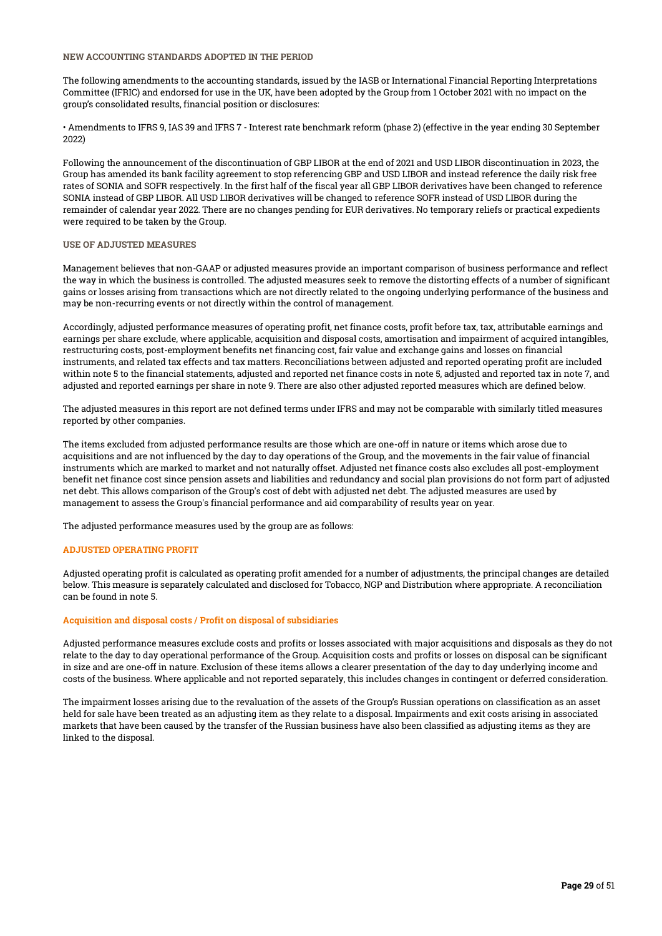### NEW ACCOUNTING STANDARDS ADOPTED IN THE PERIOD

The following amendments to the accounting standards, issued by the IASB or International Financial Reporting Interpretations Committee (IFRIC) and endorsed for use in the UK, have been adopted by the Group from 1 October 2021 with no impact on the group's consolidated results, financial position or disclosures:

• Amendments to IFRS 9, IAS 39 and IFRS 7 - Interest rate benchmark reform (phase 2) (effective in the year ending 30 September 2022)

Following the announcement of the discontinuation of GBP LIBOR at the end of 2021 and USD LIBOR discontinuation in 2023, the Group has amended its bank facility agreement to stop referencing GBP and USD LIBOR and instead reference the daily risk free rates of SONIA and SOFR respectively. In the first half of the fiscal year all GBP LIBOR derivatives have been changed to reference SONIA instead of GBP LIBOR. All USD LIBOR derivatives will be changed to reference SOFR instead of USD LIBOR during the remainder of calendar year 2022. There are no changes pending for EUR derivatives. No temporary reliefs or practical expedients were required to be taken by the Group.

#### USE OF ADJUSTED MEASURES

Management believes that non-GAAP or adjusted measures provide an important comparison of business performance and reflect the way in which the business is controlled. The adjusted measures seek to remove the distorting effects of a number of significant gains or losses arising from transactions which are not directly related to the ongoing underlying performance of the business and may be non-recurring events or not directly within the control of management.

Accordingly, adjusted performance measures of operating profit, net finance costs, profit before tax, tax, attributable earnings and earnings per share exclude, where applicable, acquisition and disposal costs, amortisation and impairment of acquired intangibles, restructuring costs, post-employment benefits net financing cost, fair value and exchange gains and losses on financial instruments, and related tax effects and tax matters. Reconciliations between adjusted and reported operating profit are included within note 5 to the financial statements, adjusted and reported net finance costs in note 5, adjusted and reported tax in note 7, and adjusted and reported earnings per share in note 9. There are also other adjusted reported measures which are defined below.

The adjusted measures in this report are not defined terms under IFRS and may not be comparable with similarly titled measures reported by other companies.

The items excluded from adjusted performance results are those which are one-off in nature or items which arose due to acquisitions and are not influenced by the day to day operations of the Group, and the movements in the fair value of financial instruments which are marked to market and not naturally offset. Adjusted net finance costs also excludes all post-employment benefit net finance cost since pension assets and liabilities and redundancy and social plan provisions do not form part of adjusted net debt. This allows comparison of the Group's cost of debt with adjusted net debt. The adjusted measures are used by management to assess the Group's financial performance and aid comparability of results year on year.

The adjusted performance measures used by the group are as follows:

#### ADJUSTED OPERATING PROFIT

Adjusted operating profit is calculated as operating profit amended for a number of adjustments, the principal changes are detailed below. This measure is separately calculated and disclosed for Tobacco, NGP and Distribution where appropriate. A reconciliation can be found in note 5.

#### Acquisition and disposal costs / Profit on disposal of subsidiaries

Adjusted performance measures exclude costs and profits or losses associated with major acquisitions and disposals as they do not relate to the day to day operational performance of the Group. Acquisition costs and profits or losses on disposal can be significant in size and are one-off in nature. Exclusion of these items allows a clearer presentation of the day to day underlying income and costs of the business. Where applicable and not reported separately, this includes changes in contingent or deferred consideration.

The impairment losses arising due to the revaluation of the assets of the Group's Russian operations on classification as an asset held for sale have been treated as an adjusting item as they relate to a disposal. Impairments and exit costs arising in associated markets that have been caused by the transfer of the Russian business have also been classified as adjusting items as they are linked to the disposal.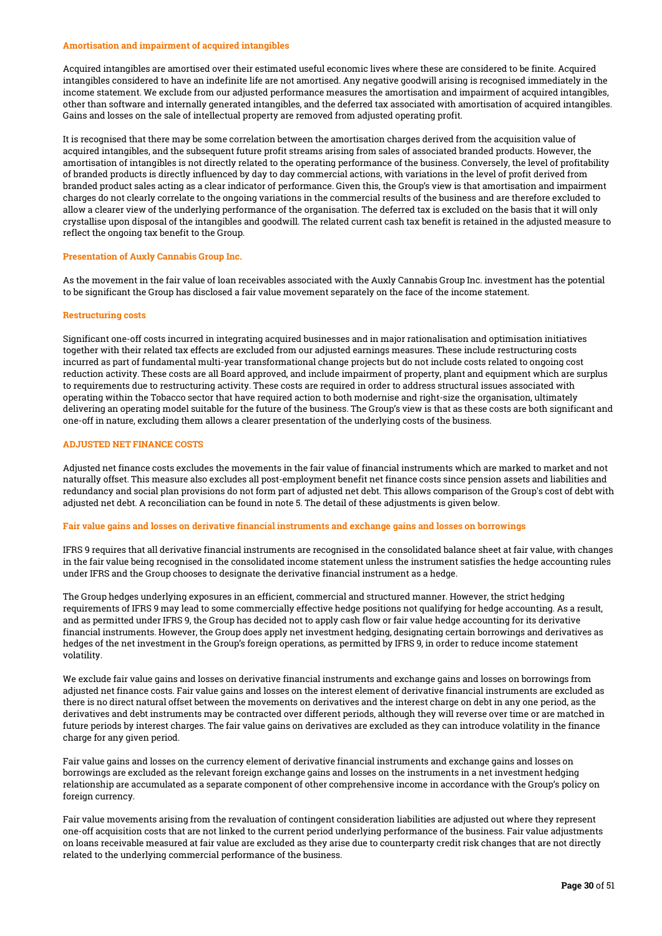#### Amortisation and impairment of acquired intangibles

Acquired intangibles are amortised over their estimated useful economic lives where these are considered to be finite. Acquired intangibles considered to have an indefinite life are not amortised. Any negative goodwill arising is recognised immediately in the income statement. We exclude from our adjusted performance measures the amortisation and impairment of acquired intangibles, other than software and internally generated intangibles, and the deferred tax associated with amortisation of acquired intangibles. Gains and losses on the sale of intellectual property are removed from adjusted operating profit.

It is recognised that there may be some correlation between the amortisation charges derived from the acquisition value of acquired intangibles, and the subsequent future profit streams arising from sales of associated branded products. However, the amortisation of intangibles is not directly related to the operating performance of the business. Conversely, the level of profitability of branded products is directly influenced by day to day commercial actions, with variations in the level of profit derived from branded product sales acting as a clear indicator of performance. Given this, the Group's view is that amortisation and impairment charges do not clearly correlate to the ongoing variations in the commercial results of the business and are therefore excluded to allow a clearer view of the underlying performance of the organisation. The deferred tax is excluded on the basis that it will only crystallise upon disposal of the intangibles and goodwill. The related current cash tax benefit is retained in the adjusted measure to reflect the ongoing tax benefit to the Group.

#### Presentation of Auxly Cannabis Group Inc.

As the movement in the fair value of loan receivables associated with the Auxly Cannabis Group Inc. investment has the potential to be significant the Group has disclosed a fair value movement separately on the face of the income statement.

#### Restructuring costs

Significant one-off costs incurred in integrating acquired businesses and in major rationalisation and optimisation initiatives together with their related tax effects are excluded from our adjusted earnings measures. These include restructuring costs incurred as part of fundamental multi-year transformational change projects but do not include costs related to ongoing cost reduction activity. These costs are all Board approved, and include impairment of property, plant and equipment which are surplus to requirements due to restructuring activity. These costs are required in order to address structural issues associated with operating within the Tobacco sector that have required action to both modernise and right-size the organisation, ultimately delivering an operating model suitable for the future of the business. The Group's view is that as these costs are both significant and one-off in nature, excluding them allows a clearer presentation of the underlying costs of the business.

### ADJUSTED NET FINANCE COSTS

Adjusted net finance costs excludes the movements in the fair value of financial instruments which are marked to market and not naturally offset. This measure also excludes all post-employment benefit net finance costs since pension assets and liabilities and redundancy and social plan provisions do not form part of adjusted net debt. This allows comparison of the Group's cost of debt with adjusted net debt. A reconciliation can be found in note 5. The detail of these adjustments is given below.

#### Fair value gains and losses on derivative financial instruments and exchange gains and losses on borrowings

IFRS 9 requires that all derivative financial instruments are recognised in the consolidated balance sheet at fair value, with changes in the fair value being recognised in the consolidated income statement unless the instrument satisfies the hedge accounting rules under IFRS and the Group chooses to designate the derivative financial instrument as a hedge.

The Group hedges underlying exposures in an efficient, commercial and structured manner. However, the strict hedging requirements of IFRS 9 may lead to some commercially effective hedge positions not qualifying for hedge accounting. As a result, and as permitted under IFRS 9, the Group has decided not to apply cash flow or fair value hedge accounting for its derivative financial instruments. However, the Group does apply net investment hedging, designating certain borrowings and derivatives as hedges of the net investment in the Group's foreign operations, as permitted by IFRS 9, in order to reduce income statement volatility.

We exclude fair value gains and losses on derivative financial instruments and exchange gains and losses on borrowings from adjusted net finance costs. Fair value gains and losses on the interest element of derivative financial instruments are excluded as there is no direct natural offset between the movements on derivatives and the interest charge on debt in any one period, as the derivatives and debt instruments may be contracted over different periods, although they will reverse over time or are matched in future periods by interest charges. The fair value gains on derivatives are excluded as they can introduce volatility in the finance charge for any given period.

Fair value gains and losses on the currency element of derivative financial instruments and exchange gains and losses on borrowings are excluded as the relevant foreign exchange gains and losses on the instruments in a net investment hedging relationship are accumulated as a separate component of other comprehensive income in accordance with the Group's policy on foreign currency.

Fair value movements arising from the revaluation of contingent consideration liabilities are adjusted out where they represent one-off acquisition costs that are not linked to the current period underlying performance of the business. Fair value adjustments on loans receivable measured at fair value are excluded as they arise due to counterparty credit risk changes that are not directly related to the underlying commercial performance of the business.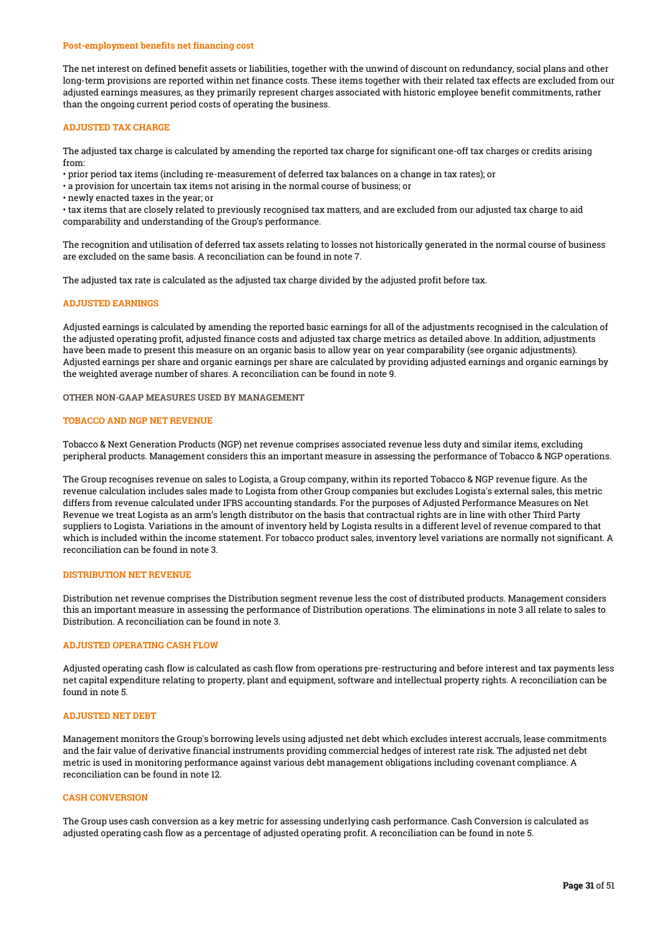#### Post-employment benefits net financing cost

The net interest on defined benefit assets or liabilities, together with the unwind of discount on redundancy, social plans and other long-term provisions are reported within net finance costs. These items together with their related tax effects are excluded from our adjusted earnings measures, as they primarily represent charges associated with historic employee benefit commitments, rather than the ongoing current period costs of operating the business.

#### ADJUSTED TAX CHARGE

The adjusted tax charge is calculated by amending the reported tax charge for significant one-off tax charges or credits arising from:

• prior period tax items (including re-measurement of deferred tax balances on a change in tax rates); or

• a provision for uncertain tax items not arising in the normal course of business; or

• newly enacted taxes in the year; or

• tax items that are closely related to previously recognised tax matters, and are excluded from our adjusted tax charge to aid comparability and understanding of the Group's performance.

The recognition and utilisation of deferred tax assets relating to losses not historically generated in the normal course of business are excluded on the same basis. A reconciliation can be found in note 7.

The adjusted tax rate is calculated as the adjusted tax charge divided by the adjusted profit before tax.

#### ADJUSTED EARNINGS

Adjusted earnings is calculated by amending the reported basic earnings for all of the adjustments recognised in the calculation of the adjusted operating profit, adjusted finance costs and adjusted tax charge metrics as detailed above. In addition, adjustments have been made to present this measure on an organic basis to allow year on year comparability (see organic adjustments). Adjusted earnings per share and organic earnings per share are calculated by providing adjusted earnings and organic earnings by the weighted average number of shares. A reconciliation can be found in note 9.

OTHER NON-GAAP MEASURES USED BY MANAGEMENT

#### TOBACCO AND NGP NET REVENUE

Tobacco & Next Generation Products (NGP) net revenue comprises associated revenue less duty and similar items, excluding peripheral products. Management considers this an important measure in assessing the performance of Tobacco & NGP operations.

The Group recognises revenue on sales to Logista, a Group company, within its reported Tobacco & NGP revenue figure. As the revenue calculation includes sales made to Logista from other Group companies but excludes Logista's external sales, this metric differs from revenue calculated under IFRS accounting standards. For the purposes of Adjusted Performance Measures on Net Revenue we treat Logista as an arm's length distributor on the basis that contractual rights are in line with other Third Party suppliers to Logista. Variations in the amount of inventory held by Logista results in a different level of revenue compared to that which is included within the income statement. For tobacco product sales, inventory level variations are normally not significant. A reconciliation can be found in note 3.

#### DISTRIBUTION NET REVENUE

Distribution net revenue comprises the Distribution segment revenue less the cost of distributed products. Management considers this an important measure in assessing the performance of Distribution operations. The eliminations in note 3 all relate to sales to Distribution. A reconciliation can be found in note 3.

#### ADJUSTED OPERATING CASH FLOW

Adjusted operating cash flow is calculated as cash flow from operations pre-restructuring and before interest and tax payments less net capital expenditure relating to property, plant and equipment, software and intellectual property rights. A reconciliation can be found in note 5.

#### ADJUSTED NET DEBT

Management monitors the Group's borrowing levels using adjusted net debt which excludes interest accruals, lease commitments and the fair value of derivative financial instruments providing commercial hedges of interest rate risk. The adjusted net debt metric is used in monitoring performance against various debt management obligations including covenant compliance. A reconciliation can be found in note 12.

### CASH CONVERSION

The Group uses cash conversion as a key metric for assessing underlying cash performance. Cash Conversion is calculated as adjusted operating cash flow as a percentage of adjusted operating profit. A reconciliation can be found in note 5.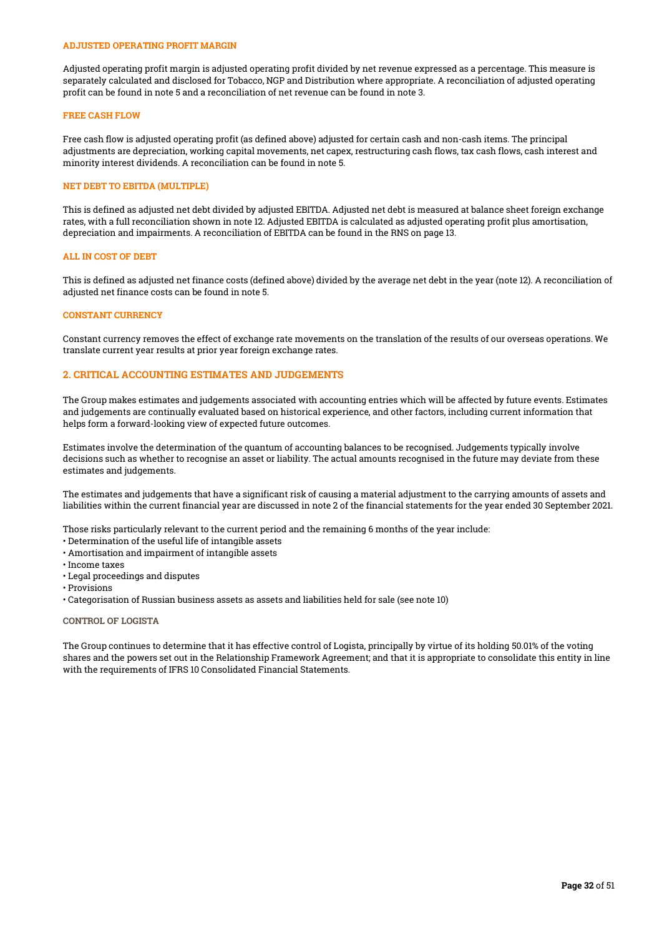#### ADJUSTED OPERATING PROFIT MARGIN

Adjusted operating profit margin is adjusted operating profit divided by net revenue expressed as a percentage. This measure is separately calculated and disclosed for Tobacco, NGP and Distribution where appropriate. A reconciliation of adjusted operating profit can be found in note 5 and a reconciliation of net revenue can be found in note 3.

#### FREE CASH FLOW

Free cash flow is adjusted operating profit (as defined above) adjusted for certain cash and non-cash items. The principal adjustments are depreciation, working capital movements, net capex, restructuring cash flows, tax cash flows, cash interest and minority interest dividends. A reconciliation can be found in note 5.

#### NET DEBT TO EBITDA (MULTIPLE)

This is defined as adjusted net debt divided by adjusted EBITDA. Adjusted net debt is measured at balance sheet foreign exchange rates, with a full reconciliation shown in note 12. Adjusted EBITDA is calculated as adjusted operating profit plus amortisation, depreciation and impairments. A reconciliation of EBITDA can be found in the RNS on page 13.

#### ALL IN COST OF DEBT

This is defined as adjusted net finance costs (defined above) divided by the average net debt in the year (note 12). A reconciliation of adjusted net finance costs can be found in note 5.

#### CONSTANT CURRENCY

Constant currency removes the effect of exchange rate movements on the translation of the results of our overseas operations. We translate current year results at prior year foreign exchange rates.

## 2. CRITICAL ACCOUNTING ESTIMATES AND JUDGEMENTS

The Group makes estimates and judgements associated with accounting entries which will be affected by future events. Estimates and judgements are continually evaluated based on historical experience, and other factors, including current information that helps form a forward-looking view of expected future outcomes.

Estimates involve the determination of the quantum of accounting balances to be recognised. Judgements typically involve decisions such as whether to recognise an asset or liability. The actual amounts recognised in the future may deviate from these estimates and judgements.

The estimates and judgements that have a significant risk of causing a material adjustment to the carrying amounts of assets and liabilities within the current financial year are discussed in note 2 of the financial statements for the year ended 30 September 2021.

Those risks particularly relevant to the current period and the remaining 6 months of the year include:

- Determination of the useful life of intangible assets
- Amortisation and impairment of intangible assets
- Income taxes
- Legal proceedings and disputes
- Provisions
- Categorisation of Russian business assets as assets and liabilities held for sale (see note 10)

#### CONTROL OF LOGISTA

The Group continues to determine that it has effective control of Logista, principally by virtue of its holding 50.01% of the voting shares and the powers set out in the Relationship Framework Agreement; and that it is appropriate to consolidate this entity in line with the requirements of IFRS 10 Consolidated Financial Statements.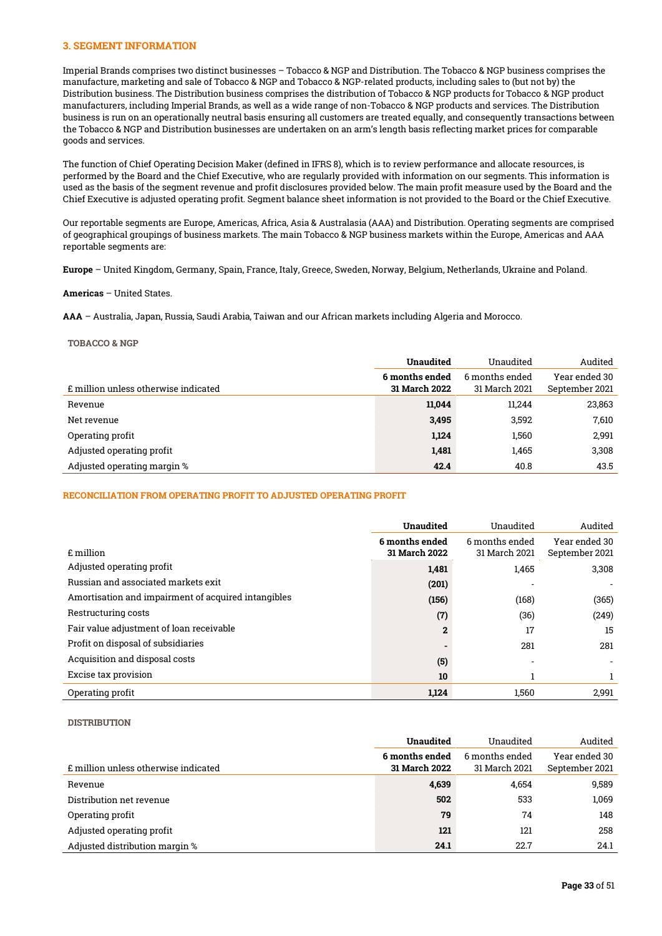#### 3. SEGMENT INFORMATION

Imperial Brands comprises two distinct businesses – Tobacco & NGP and Distribution. The Tobacco & NGP business comprises the manufacture, marketing and sale of Tobacco & NGP and Tobacco & NGP-related products, including sales to (but not by) the Distribution business. The Distribution business comprises the distribution of Tobacco & NGP products for Tobacco & NGP product manufacturers, including Imperial Brands, as well as a wide range of non-Tobacco & NGP products and services. The Distribution business is run on an operationally neutral basis ensuring all customers are treated equally, and consequently transactions between the Tobacco & NGP and Distribution businesses are undertaken on an arm's length basis reflecting market prices for comparable goods and services.

The function of Chief Operating Decision Maker (defined in IFRS 8), which is to review performance and allocate resources, is performed by the Board and the Chief Executive, who are regularly provided with information on our segments. This information is used as the basis of the segment revenue and profit disclosures provided below. The main profit measure used by the Board and the Chief Executive is adjusted operating profit. Segment balance sheet information is not provided to the Board or the Chief Executive.

Our reportable segments are Europe, Americas, Africa, Asia & Australasia (AAA) and Distribution. Operating segments are comprised of geographical groupings of business markets. The main Tobacco & NGP business markets within the Europe, Americas and AAA reportable segments are:

Europe – United Kingdom, Germany, Spain, France, Italy, Greece, Sweden, Norway, Belgium, Netherlands, Ukraine and Poland.

#### Americas – United States.

AAA – Australia, Japan, Russia, Saudi Arabia, Taiwan and our African markets including Algeria and Morocco.

#### TOBACCO & NGP

|                                      | <b>Unaudited</b>                | Unaudited                       | Audited                         |
|--------------------------------------|---------------------------------|---------------------------------|---------------------------------|
| £ million unless otherwise indicated | 6 months ended<br>31 March 2022 | 6 months ended<br>31 March 2021 | Year ended 30<br>September 2021 |
| Revenue                              | 11,044                          | 11,244                          | 23,863                          |
| Net revenue                          | 3,495                           | 3.592                           | 7,610                           |
| Operating profit                     | 1,124                           | 1,560                           | 2,991                           |
| Adjusted operating profit            | 1,481                           | 1,465                           | 3,308                           |
| Adjusted operating margin %          | 42.4                            | 40.8                            | 43.5                            |

#### RECONCILIATION FROM OPERATING PROFIT TO ADJUSTED OPERATING PROFIT

|                                                     | <b>Unaudited</b>                | Unaudited                       | Audited                         |
|-----------------------------------------------------|---------------------------------|---------------------------------|---------------------------------|
| £ million                                           | 6 months ended<br>31 March 2022 | 6 months ended<br>31 March 2021 | Year ended 30<br>September 2021 |
| Adjusted operating profit                           | 1,481                           | 1,465                           | 3,308                           |
| Russian and associated markets exit                 | (201)                           |                                 |                                 |
| Amortisation and impairment of acquired intangibles | (156)                           | (168)                           | (365)                           |
| Restructuring costs                                 | (7)                             | (36)                            | (249)                           |
| Fair value adjustment of loan receivable            | $\mathbf{2}$                    | 17                              | 15                              |
| Profit on disposal of subsidiaries                  |                                 | 281                             | 281                             |
| Acquisition and disposal costs                      | (5)                             |                                 |                                 |
| Excise tax provision                                | 10                              |                                 |                                 |
| Operating profit                                    | 1,124                           | 1.560                           | 2,991                           |

#### **DISTRIBUTION**

|                                      | <b>Unaudited</b>                       | Unaudited                       | Audited                         |
|--------------------------------------|----------------------------------------|---------------------------------|---------------------------------|
| E million unless otherwise indicated | 6 months ended<br><b>31 March 2022</b> | 6 months ended<br>31 March 2021 | Year ended 30<br>September 2021 |
| Revenue                              | 4,639                                  | 4.654                           | 9.589                           |
| Distribution net revenue             | 502                                    | 533                             | 1,069                           |
| Operating profit                     | 79                                     | 74                              | 148                             |
| Adjusted operating profit            | 121                                    | 121                             | 258                             |
| Adjusted distribution margin %       | 24.1                                   | 22.7                            | 24.1                            |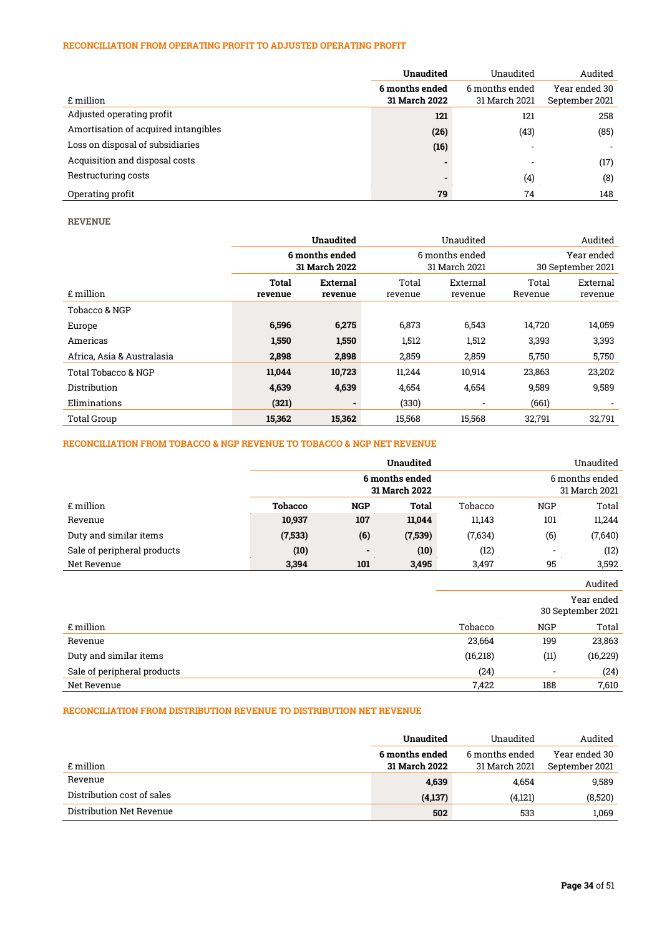# RECONCILIATION FROM OPERATING PROFIT TO ADJUSTED OPERATING PROFIT

|                                      | <b>Unaudited</b>                | Unaudited                       | Audited                         |
|--------------------------------------|---------------------------------|---------------------------------|---------------------------------|
| £ million                            | 6 months ended<br>31 March 2022 | 6 months ended<br>31 March 2021 | Year ended 30<br>September 2021 |
| Adjusted operating profit            | 121                             | 121                             | 258                             |
| Amortisation of acquired intangibles | (26)                            | (43)                            | (85)                            |
| Loss on disposal of subsidiaries     | (16)                            | $\overline{\phantom{a}}$        | $\overline{\phantom{0}}$        |
| Acquisition and disposal costs       |                                 |                                 | (17)                            |
| Restructuring costs                  |                                 | $\left( 4\right)$               | (8)                             |
| Operating profit                     | 79                              | 74                              | 148                             |

REVENUE

|                            | <b>Unaudited</b>                |                | Unaudited                       |                          |                                 | Audited                  |
|----------------------------|---------------------------------|----------------|---------------------------------|--------------------------|---------------------------------|--------------------------|
|                            | 6 months ended<br>31 March 2022 |                | 6 months ended<br>31 March 2021 |                          | Year ended<br>30 September 2021 |                          |
|                            | Total<br>External               |                | Total                           | External                 | Total                           | External                 |
| £ million                  | revenue                         | revenue        | revenue                         | revenue                  | Revenue                         | revenue                  |
| Tobacco & NGP              |                                 |                |                                 |                          |                                 |                          |
| Europe                     | 6,596                           | 6,275          | 6,873                           | 6,543                    | 14,720                          | 14,059                   |
| Americas                   | 1,550                           | 1,550          | 1,512                           | 1,512                    | 3,393                           | 3,393                    |
| Africa, Asia & Australasia | 2,898                           | 2,898          | 2,859                           | 2,859                    | 5,750                           | 5,750                    |
| Total Tobacco & NGP        | 11,044                          | 10,723         | 11.244                          | 10,914                   | 23,863                          | 23,202                   |
| Distribution               | 4,639                           | 4,639          | 4,654                           | 4,654                    | 9,589                           | 9,589                    |
| Eliminations               | (321)                           | $\blacksquare$ | (330)                           | $\overline{\phantom{a}}$ | (661)                           | $\overline{\phantom{a}}$ |
| <b>Total Group</b>         | 15,362                          | 15,362         | 15.568                          | 15.568                   | 32,791                          | 32.791                   |

## RECONCILIATION FROM TOBACCO & NGP REVENUE TO TOBACCO & NGP NET REVENUE

|                             |                                 |                          | <b>Unaudited</b> |         |                          | Unaudited                       |
|-----------------------------|---------------------------------|--------------------------|------------------|---------|--------------------------|---------------------------------|
|                             | 6 months ended<br>31 March 2022 |                          |                  |         |                          | 6 months ended<br>31 March 2021 |
| £ million                   | <b>Tobacco</b>                  | <b>NGP</b>               | <b>Total</b>     | Tobacco | <b>NGP</b>               | Total                           |
| Revenue                     | 10,937                          | 107                      | 11,044           | 11,143  | 101                      | 11,244                          |
| Duty and similar items      | (7, 533)                        | (6)                      | (7,539)          | (7,634) | (6)                      | (7,640)                         |
| Sale of peripheral products | (10)                            | $\overline{\phantom{0}}$ | (10)             | (12)    | $\overline{\phantom{a}}$ | (12)                            |
| Net Revenue                 | 3,394                           | 101                      | 3,495            | 3,497   | 95                       | 3,592                           |

|                             |           |                                 | Audited   |  |
|-----------------------------|-----------|---------------------------------|-----------|--|
|                             |           | Year ended<br>30 September 2021 |           |  |
| £ million                   | Tobacco   | <b>NGP</b>                      | Total     |  |
| Revenue                     | 23,664    | 199                             | 23,863    |  |
| Duty and similar items      | (16, 218) | (11)                            | (16, 229) |  |
| Sale of peripheral products | (24)      | $\overline{\phantom{a}}$        | (24)      |  |
| Net Revenue                 | 7,422     | 188                             | 7,610     |  |
|                             |           |                                 |           |  |

# RECONCILIATION FROM DISTRIBUTION REVENUE TO DISTRIBUTION NET REVENUE

|                            | Unaudited      | Unaudited      | Audited        |
|----------------------------|----------------|----------------|----------------|
|                            | 6 months ended | 6 months ended | Year ended 30  |
| £ million                  | 31 March 2022  | 31 March 2021  | September 2021 |
| Revenue                    | 4,639          | 4,654          | 9.589          |
| Distribution cost of sales | (4,137)        | (4,121)        | (8,520)        |
| Distribution Net Revenue   | 502            | 533            | 1.069          |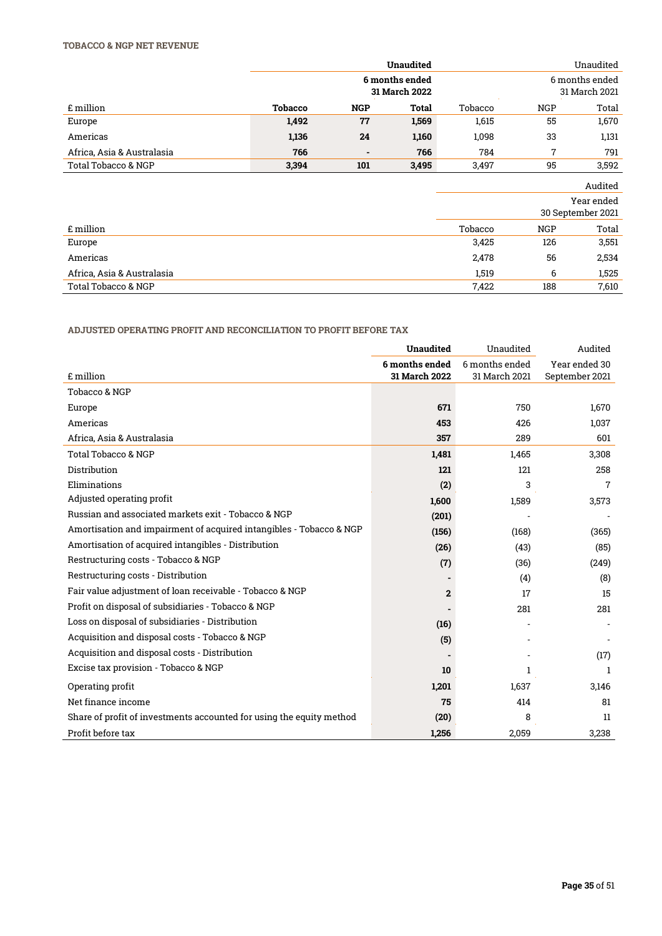# TOBACCO & NGP NET REVENUE

|                            |                |                | <b>Unaudited</b>                |         |                | Unaudited                       |
|----------------------------|----------------|----------------|---------------------------------|---------|----------------|---------------------------------|
|                            |                |                | 6 months ended<br>31 March 2022 |         |                | 6 months ended<br>31 March 2021 |
| £ million                  | <b>Tobacco</b> | <b>NGP</b>     | Total                           | Tobacco | <b>NGP</b>     | Total                           |
| Europe                     | 1,492          | 77             | 1,569                           | 1,615   | 55             | 1,670                           |
| Americas                   | 1,136          | 24             | 1,160                           | 1,098   | 33             | 1,131                           |
| Africa, Asia & Australasia | 766            | $\blacksquare$ | 766                             | 784     | $\overline{7}$ | 791                             |
| Total Tobacco & NGP        | 3,394          | 101            | 3,495                           | 3,497   | 95             | 3,592                           |
|                            |                |                |                                 |         |                | Audited                         |
|                            |                |                |                                 |         |                | Year ended<br>30 September 2021 |
| £ million                  |                |                |                                 | Tobacco | <b>NGP</b>     | Total                           |
| Europe                     |                |                |                                 | 3,425   | 126            | 3,551                           |
| Americas                   |                |                |                                 | 2,478   | 56             | 2,534                           |
| Africa, Asia & Australasia |                |                |                                 | 1,519   | 6              | 1,525                           |
| Total Tobacco & NGP        |                |                |                                 | 7,422   | 188            | 7,610                           |

# ADJUSTED OPERATING PROFIT AND RECONCILIATION TO PROFIT BEFORE TAX

|                                                                      | <b>Unaudited</b> | Unaudited      | Audited        |
|----------------------------------------------------------------------|------------------|----------------|----------------|
|                                                                      | 6 months ended   | 6 months ended | Year ended 30  |
| £ million                                                            | 31 March 2022    | 31 March 2021  | September 2021 |
| Tobacco & NGP                                                        |                  |                |                |
| Europe                                                               | 671              | 750            | 1,670          |
| Americas                                                             | 453              | 426            | 1,037          |
| Africa, Asia & Australasia                                           | 357              | 289            | 601            |
| Total Tobacco & NGP                                                  | 1,481            | 1,465          | 3,308          |
| Distribution                                                         | 121              | 121            | 258            |
| Eliminations                                                         | (2)              | 3              | 7              |
| Adjusted operating profit                                            | 1,600            | 1,589          | 3,573          |
| Russian and associated markets exit - Tobacco & NGP                  | (201)            |                |                |
| Amortisation and impairment of acquired intangibles - Tobacco & NGP  | (156)            | (168)          | (365)          |
| Amortisation of acquired intangibles - Distribution                  | (26)             | (43)           | (85)           |
| Restructuring costs - Tobacco & NGP                                  | (7)              | (36)           | (249)          |
| Restructuring costs - Distribution                                   |                  | (4)            | (8)            |
| Fair value adjustment of loan receivable - Tobacco & NGP             | 2                | 17             | 15             |
| Profit on disposal of subsidiaries - Tobacco & NGP                   |                  | 281            | 281            |
| Loss on disposal of subsidiaries - Distribution                      | (16)             |                |                |
| Acquisition and disposal costs - Tobacco & NGP                       | (5)              |                |                |
| Acquisition and disposal costs - Distribution                        |                  |                | (17)           |
| Excise tax provision - Tobacco & NGP                                 | 10               |                | 1              |
| Operating profit                                                     | 1,201            | 1,637          | 3,146          |
| Net finance income                                                   | 75               | 414            | 81             |
| Share of profit of investments accounted for using the equity method | (20)             | 8              | 11             |
| Profit before tax                                                    | 1.256            | 2,059          | 3,238          |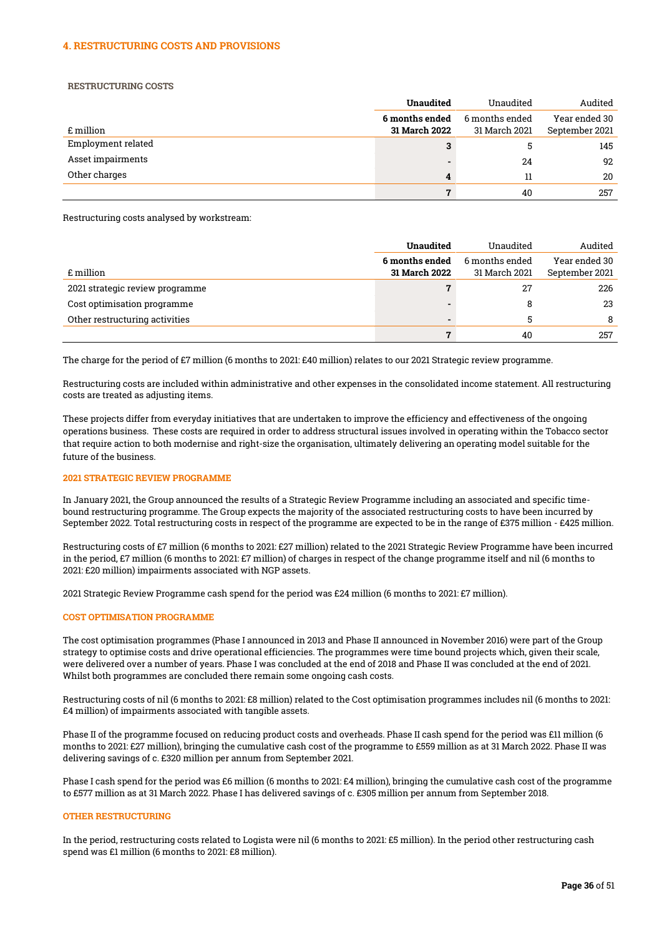#### 4. RESTRUCTURING COSTS AND PROVISIONS

RESTRUCTURING COSTS

|                    | <b>Unaudited</b>                       | Unaudited                       | Audited                         |
|--------------------|----------------------------------------|---------------------------------|---------------------------------|
| £ million          | 6 months ended<br><b>31 March 2022</b> | 6 months ended<br>31 March 2021 | Year ended 30<br>September 2021 |
| Employment related | 3                                      |                                 | 145                             |
| Asset impairments  |                                        | 24                              | 92                              |
| Other charges      | 4                                      | 11                              | 20                              |
|                    | 7                                      | 40                              | 257                             |

Restructuring costs analysed by workstream:

|                                 | <b>Unaudited</b>                | Unaudited                       | Audited                         |
|---------------------------------|---------------------------------|---------------------------------|---------------------------------|
| £ million                       | 6 months ended<br>31 March 2022 | 6 months ended<br>31 March 2021 | Year ended 30<br>September 2021 |
| 2021 strategic review programme |                                 | 27                              | 226                             |
| Cost optimisation programme     |                                 |                                 | 23                              |
| Other restructuring activities  | -                               |                                 | 8                               |
|                                 | 7                               | 40                              | 257                             |

The charge for the period of £7 million (6 months to 2021: £40 million) relates to our 2021 Strategic review programme.

Restructuring costs are included within administrative and other expenses in the consolidated income statement. All restructuring costs are treated as adjusting items.

These projects differ from everyday initiatives that are undertaken to improve the efficiency and effectiveness of the ongoing operations business. These costs are required in order to address structural issues involved in operating within the Tobacco sector that require action to both modernise and right-size the organisation, ultimately delivering an operating model suitable for the future of the business.

#### 2021 STRATEGIC REVIEW PROGRAMME

In January 2021, the Group announced the results of a Strategic Review Programme including an associated and specific timebound restructuring programme. The Group expects the majority of the associated restructuring costs to have been incurred by September 2022. Total restructuring costs in respect of the programme are expected to be in the range of £375 million - £425 million.

Restructuring costs of £7 million (6 months to 2021: £27 million) related to the 2021 Strategic Review Programme have been incurred in the period, £7 million (6 months to 2021: £7 million) of charges in respect of the change programme itself and nil (6 months to 2021: £20 million) impairments associated with NGP assets.

2021 Strategic Review Programme cash spend for the period was £24 million (6 months to 2021: £7 million).

#### COST OPTIMISATION PROGRAMME

The cost optimisation programmes (Phase I announced in 2013 and Phase II announced in November 2016) were part of the Group strategy to optimise costs and drive operational efficiencies. The programmes were time bound projects which, given their scale, were delivered over a number of years. Phase I was concluded at the end of 2018 and Phase II was concluded at the end of 2021. Whilst both programmes are concluded there remain some ongoing cash costs.

Restructuring costs of nil (6 months to 2021: £8 million) related to the Cost optimisation programmes includes nil (6 months to 2021: £4 million) of impairments associated with tangible assets.

Phase II of the programme focused on reducing product costs and overheads. Phase II cash spend for the period was £11 million (6 months to 2021: £27 million), bringing the cumulative cash cost of the programme to £559 million as at 31 March 2022. Phase II was delivering savings of c. £320 million per annum from September 2021.

Phase I cash spend for the period was £6 million (6 months to 2021: £4 million), bringing the cumulative cash cost of the programme to £577 million as at 31 March 2022. Phase I has delivered savings of c. £305 million per annum from September 2018.

#### OTHER RESTRUCTURING

In the period, restructuring costs related to Logista were nil (6 months to 2021: £5 million). In the period other restructuring cash spend was £1 million (6 months to 2021: £8 million).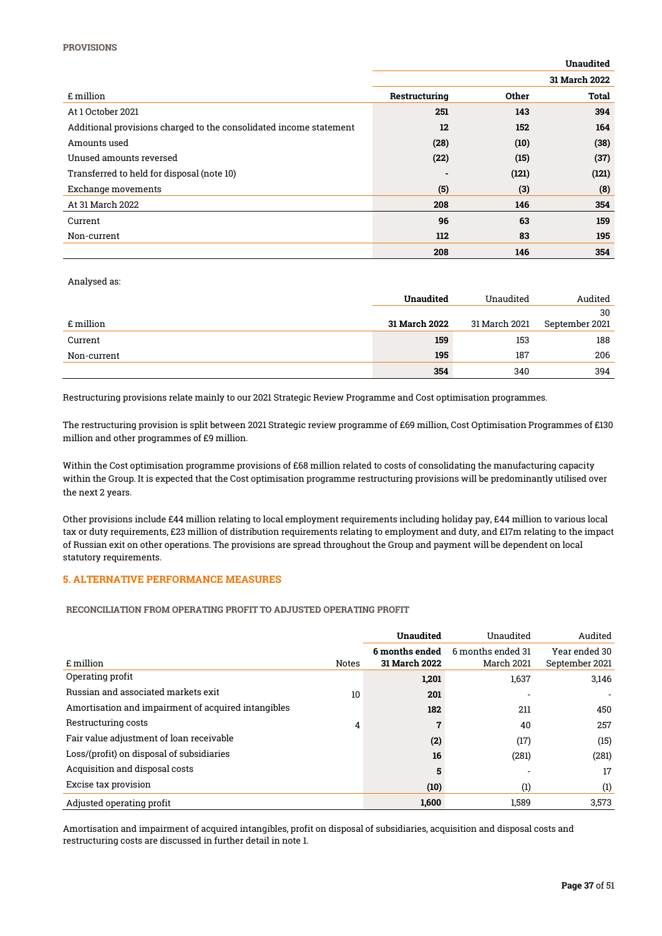|                                                                    |               |       | <b>Unaudited</b> |
|--------------------------------------------------------------------|---------------|-------|------------------|
|                                                                    |               |       | 31 March 2022    |
| £ million                                                          | Restructuring | Other | Total            |
| At 1 October 2021                                                  | 251           | 143   | 394              |
| Additional provisions charged to the consolidated income statement | 12            | 152   | 164              |
| Amounts used                                                       | (28)          | (10)  | (38)             |
| Unused amounts reversed                                            | (22)          | (15)  | (37)             |
| Transferred to held for disposal (note 10)                         | -             | (121) | (121)            |
| Exchange movements                                                 | (5)           | (3)   | (8)              |
| At 31 March 2022                                                   | 208           | 146   | 354              |
| Current                                                            | 96            | 63    | 159              |
| Non-current                                                        | 112           | 83    | 195              |
|                                                                    | 208           | 146   | 354              |

Analysed as:

|             | <b>Unaudited</b>     | Unaudited     | Audited        |
|-------------|----------------------|---------------|----------------|
|             |                      |               | 30             |
| £ million   | <b>31 March 2022</b> | 31 March 2021 | September 2021 |
| Current     | 159                  | 153           | 188            |
| Non-current | 195                  | 187           | 206            |
|             | 354                  | 340           | 394            |

Restructuring provisions relate mainly to our 2021 Strategic Review Programme and Cost optimisation programmes.

The restructuring provision is split between 2021 Strategic review programme of £69 million, Cost Optimisation Programmes of £130 million and other programmes of £9 million.

Within the Cost optimisation programme provisions of £68 million related to costs of consolidating the manufacturing capacity within the Group. It is expected that the Cost optimisation programme restructuring provisions will be predominantly utilised over the next 2 years.

Other provisions include £44 million relating to local employment requirements including holiday pay, £44 million to various local tax or duty requirements, £23 million of distribution requirements relating to employment and duty, and £17m relating to the impact of Russian exit on other operations. The provisions are spread throughout the Group and payment will be dependent on local statutory requirements.

### 5. ALTERNATIVE PERFORMANCE MEASURES

RECONCILIATION FROM OPERATING PROFIT TO ADJUSTED OPERATING PROFIT

|                                                     |              | <b>Unaudited</b> | Unaudited         | Audited        |
|-----------------------------------------------------|--------------|------------------|-------------------|----------------|
|                                                     |              | 6 months ended   | 6 months ended 31 | Year ended 30  |
| £ million                                           | <b>Notes</b> | 31 March 2022    | March 2021        | September 2021 |
| Operating profit                                    |              | 1,201            | 1,637             | 3,146          |
| Russian and associated markets exit                 | 10           | 201              |                   |                |
| Amortisation and impairment of acquired intangibles |              | 182              | 211               | 450            |
| Restructuring costs                                 | 4            |                  | 40                | 257            |
| Fair value adjustment of loan receivable            |              | (2)              | (17)              | (15)           |
| Loss/(profit) on disposal of subsidiaries           |              | 16               | (281)             | (281)          |
| Acquisition and disposal costs                      |              | 5                |                   | 17             |
| Excise tax provision                                |              | (10)             | (1)               | (1)            |
| Adjusted operating profit                           |              | 1.600            | 1.589             | 3,573          |

Amortisation and impairment of acquired intangibles, profit on disposal of subsidiaries, acquisition and disposal costs and restructuring costs are discussed in further detail in note 1.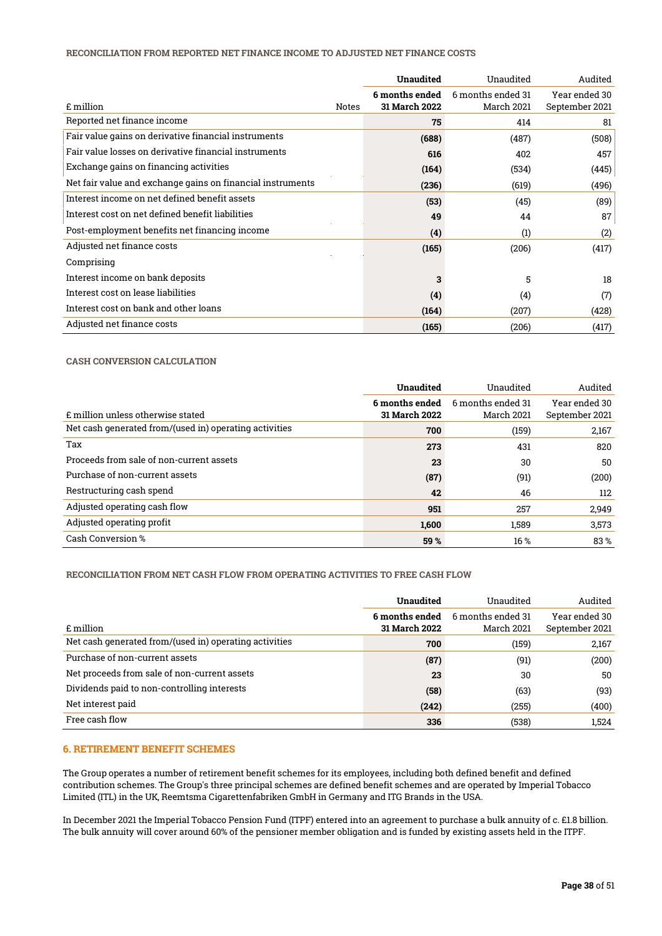#### RECONCILIATION FROM REPORTED NET FINANCE INCOME TO ADJUSTED NET FINANCE COSTS

|                                                            |       | <b>Unaudited</b>                | Unaudited                       | Audited                         |
|------------------------------------------------------------|-------|---------------------------------|---------------------------------|---------------------------------|
| £ million                                                  | Notes | 6 months ended<br>31 March 2022 | 6 months ended 31<br>March 2021 | Year ended 30<br>September 2021 |
| Reported net finance income                                |       | 75                              | 414                             | 81                              |
| Fair value gains on derivative financial instruments       |       | (688)                           | (487)                           | (508)                           |
| Fair value losses on derivative financial instruments      |       | 616                             | 402                             | 457                             |
| Exchange gains on financing activities                     |       | (164)                           | (534)                           | (445)                           |
| Net fair value and exchange gains on financial instruments |       | (236)                           | (619)                           | (496)                           |
| Interest income on net defined benefit assets              |       | (53)                            | (45)                            | (89)                            |
| Interest cost on net defined benefit liabilities           |       | 49                              | 44                              | 87                              |
| Post-employment benefits net financing income              |       | (4)                             | (1)                             | (2)                             |
| Adjusted net finance costs                                 |       | (165)                           | (206)                           | (417)                           |
| Comprising                                                 |       |                                 |                                 |                                 |
| Interest income on bank deposits                           |       | 3                               | 5                               | 18                              |
| Interest cost on lease liabilities                         |       | (4)                             | (4)                             | (7)                             |
| Interest cost on bank and other loans                      |       | (164)                           | (207)                           | (428)                           |
| Adjusted net finance costs                                 |       | (165)                           | (206)                           | (417)                           |

### CASH CONVERSION CALCULATION

|                                                        | Unaudited                       | Unaudited                       | Audited                         |
|--------------------------------------------------------|---------------------------------|---------------------------------|---------------------------------|
| £ million unless otherwise stated                      | 6 months ended<br>31 March 2022 | 6 months ended 31<br>March 2021 | Year ended 30<br>September 2021 |
| Net cash generated from/(used in) operating activities | 700                             | (159)                           | 2,167                           |
| Tax                                                    | 273                             | 431                             | 820                             |
| Proceeds from sale of non-current assets               | 23                              | 30                              | 50                              |
| Purchase of non-current assets                         | (87)                            | (91)                            | (200)                           |
| Restructuring cash spend                               | 42                              | 46                              | 112                             |
| Adjusted operating cash flow                           | 951                             | 257                             | 2,949                           |
| Adjusted operating profit                              | 1,600                           | 1,589                           | 3,573                           |
| Cash Conversion %                                      | 59 %                            | 16 %                            | 83%                             |

# RECONCILIATION FROM NET CASH FLOW FROM OPERATING ACTIVITIES TO FREE CASH FLOW

|                                                        | Unaudited                       | Unaudited                       | Audited                         |
|--------------------------------------------------------|---------------------------------|---------------------------------|---------------------------------|
| £ million                                              | 6 months ended<br>31 March 2022 | 6 months ended 31<br>March 2021 | Year ended 30<br>September 2021 |
| Net cash generated from/(used in) operating activities | 700                             | (159)                           | 2,167                           |
| Purchase of non-current assets                         | (87)                            | (91)                            | (200)                           |
| Net proceeds from sale of non-current assets           | 23                              | 30                              | 50                              |
| Dividends paid to non-controlling interests            | (58)                            | (63)                            | (93)                            |
| Net interest paid                                      | (242)                           | (255)                           | (400)                           |
| Free cash flow                                         | 336                             | (538)                           | 1,524                           |

# 6. RETIREMENT BENEFIT SCHEMES

The Group operates a number of retirement benefit schemes for its employees, including both defined benefit and defined contribution schemes. The Group's three principal schemes are defined benefit schemes and are operated by Imperial Tobacco Limited (ITL) in the UK, Reemtsma Cigarettenfabriken GmbH in Germany and ITG Brands in the USA.

In December 2021 the Imperial Tobacco Pension Fund (ITPF) entered into an agreement to purchase a bulk annuity of c. £1.8 billion. The bulk annuity will cover around 60% of the pensioner member obligation and is funded by existing assets held in the ITPF.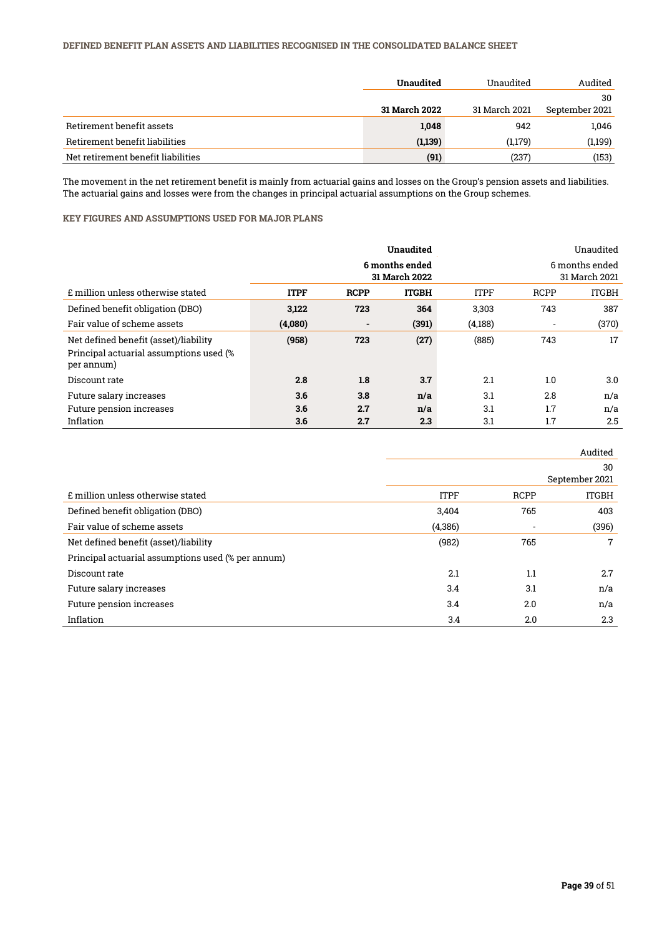# DEFINED BENEFIT PLAN ASSETS AND LIABILITIES RECOGNISED IN THE CONSOLIDATED BALANCE SHEET

|                                    | Unaudited     | Unaudited     | Audited        |
|------------------------------------|---------------|---------------|----------------|
|                                    |               |               | 30             |
|                                    | 31 March 2022 | 31 March 2021 | September 2021 |
| Retirement benefit assets          | 1,048         | 942           | 1,046          |
| Retirement benefit liabilities     | (1,139)       | (1,179)       | (1,199)        |
| Net retirement benefit liabilities | (91)          | (237)         | (153)          |

The movement in the net retirement benefit is mainly from actuarial gains and losses on the Group's pension assets and liabilities. The actuarial gains and losses were from the changes in principal actuarial assumptions on the Group schemes.

# KEY FIGURES AND ASSUMPTIONS USED FOR MAJOR PLANS

|                                                                                                |             |                                 | <b>Unaudited</b> |             |             | Unaudited                       |
|------------------------------------------------------------------------------------------------|-------------|---------------------------------|------------------|-------------|-------------|---------------------------------|
|                                                                                                |             | 6 months ended<br>31 March 2022 |                  |             |             | 6 months ended<br>31 March 2021 |
| £ million unless otherwise stated                                                              | <b>ITPF</b> | <b>RCPP</b>                     | <b>ITGBH</b>     | <b>ITPF</b> | <b>RCPP</b> | <b>ITGBH</b>                    |
| Defined benefit obligation (DBO)                                                               | 3,122       | 723                             | 364              | 3,303       | 743         | 387                             |
| Fair value of scheme assets                                                                    | (4,080)     | $\blacksquare$                  | (391)            | (4,188)     |             | (370)                           |
| Net defined benefit (asset)/liability<br>Principal actuarial assumptions used (%<br>per annum) | (958)       | 723                             | (27)             | (885)       | 743         | 17                              |
| Discount rate                                                                                  | 2.8         | 1.8                             | 3.7              | 2.1         | 1.0         | 3.0                             |
| Future salary increases                                                                        | 3.6         | 3.8                             | n/a              | 3.1         | 2.8         | n/a                             |
| Future pension increases                                                                       | 3.6         | 2.7                             | n/a              | 3.1         | 1.7         | n/a                             |
| Inflation                                                                                      | 3.6         | 2.7                             | 2.3              | 3.1         | 1.7         | 2.5                             |

|                                                    |             |             | Audited              |
|----------------------------------------------------|-------------|-------------|----------------------|
|                                                    |             |             | 30<br>September 2021 |
| £ million unless otherwise stated                  | <b>ITPF</b> | <b>RCPP</b> | <b>ITGBH</b>         |
| Defined benefit obligation (DBO)                   | 3,404       | 765         | 403                  |
| Fair value of scheme assets                        | (4,386)     |             | (396)                |
| Net defined benefit (asset)/liability              | (982)       | 765         | $7\overline{ }$      |
| Principal actuarial assumptions used (% per annum) |             |             |                      |
| Discount rate                                      | 2.1         | 1.1         | 2.7                  |
| Future salary increases                            | 3.4         | 3.1         | n/a                  |
| Future pension increases                           | 3.4         | 2.0         | n/a                  |
| Inflation                                          | 3.4         | 2.0         | 2.3                  |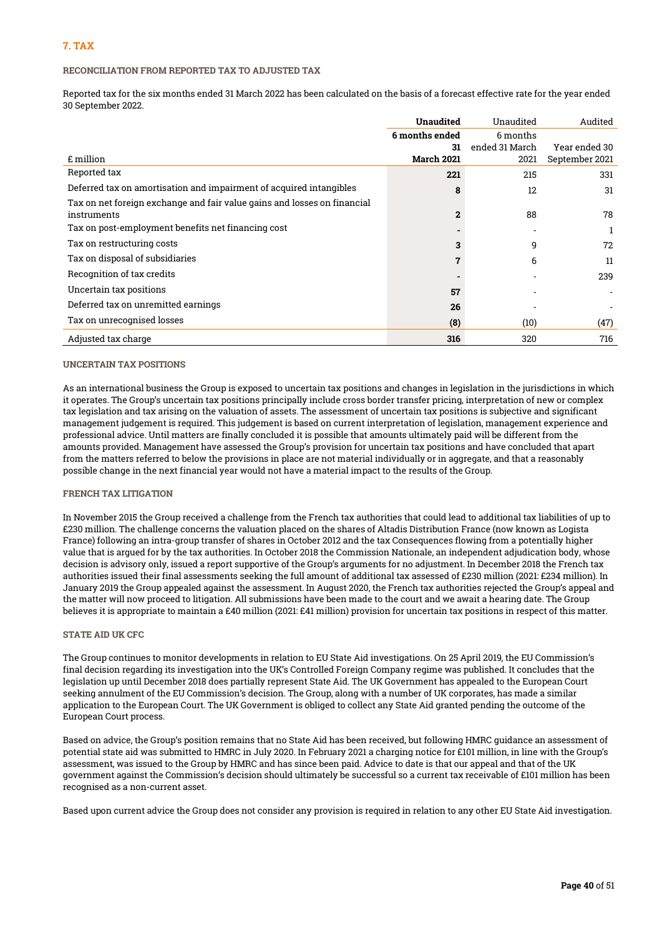### RECONCILIATION FROM REPORTED TAX TO ADJUSTED TAX

Reported tax for the six months ended 31 March 2022 has been calculated on the basis of a forecast effective rate for the year ended 30 September 2022.

|                                                                          | <b>Unaudited</b>  | Unaudited      | Audited        |
|--------------------------------------------------------------------------|-------------------|----------------|----------------|
|                                                                          | 6 months ended    | 6 months       |                |
|                                                                          | 31                | ended 31 March | Year ended 30  |
| £ million                                                                | <b>March 2021</b> | 2021           | September 2021 |
| Reported tax                                                             | 221               | 215            | 331            |
| Deferred tax on amortisation and impairment of acquired intangibles      | 8                 | 12             | 31             |
| Tax on net foreign exchange and fair value gains and losses on financial |                   |                |                |
| instruments                                                              | $\mathbf{2}$      | 88             | 78             |
| Tax on post-employment benefits net financing cost                       |                   |                |                |
| Tax on restructuring costs                                               | 3                 | 9              | 72             |
| Tax on disposal of subsidiaries                                          |                   | 6              | 11             |
| Recognition of tax credits                                               |                   |                | 239            |
| Uncertain tax positions                                                  | 57                |                |                |
| Deferred tax on unremitted earnings                                      | 26                |                |                |
| Tax on unrecognised losses                                               | (8)               | (10)           | (47)           |
| Adjusted tax charge                                                      | 316               | 320            | 716            |

#### UNCERTAIN TAX POSITIONS

As an international business the Group is exposed to uncertain tax positions and changes in legislation in the jurisdictions in which it operates. The Group's uncertain tax positions principally include cross border transfer pricing, interpretation of new or complex tax legislation and tax arising on the valuation of assets. The assessment of uncertain tax positions is subjective and significant management judgement is required. This judgement is based on current interpretation of legislation, management experience and professional advice. Until matters are finally concluded it is possible that amounts ultimately paid will be different from the amounts provided. Management have assessed the Group's provision for uncertain tax positions and have concluded that apart from the matters referred to below the provisions in place are not material individually or in aggregate, and that a reasonably possible change in the next financial year would not have a material impact to the results of the Group.

#### FRENCH TAX LITIGATION

In November 2015 the Group received a challenge from the French tax authorities that could lead to additional tax liabilities of up to £230 million. The challenge concerns the valuation placed on the shares of Altadis Distribution France (now known as Logista France) following an intra-group transfer of shares in October 2012 and the tax Consequences flowing from a potentially higher value that is argued for by the tax authorities. In October 2018 the Commission Nationale, an independent adjudication body, whose decision is advisory only, issued a report supportive of the Group's arguments for no adjustment. In December 2018 the French tax authorities issued their final assessments seeking the full amount of additional tax assessed of £230 million (2021: £234 million). In January 2019 the Group appealed against the assessment. In August 2020, the French tax authorities rejected the Group's appeal and the matter will now proceed to litigation. All submissions have been made to the court and we await a hearing date. The Group believes it is appropriate to maintain a £40 million (2021: £41 million) provision for uncertain tax positions in respect of this matter.

#### STATE AID UK CFC

The Group continues to monitor developments in relation to EU State Aid investigations. On 25 April 2019, the EU Commission's final decision regarding its investigation into the UK's Controlled Foreign Company regime was published. It concludes that the legislation up until December 2018 does partially represent State Aid. The UK Government has appealed to the European Court seeking annulment of the EU Commission's decision. The Group, along with a number of UK corporates, has made a similar application to the European Court. The UK Government is obliged to collect any State Aid granted pending the outcome of the European Court process.

Based on advice, the Group's position remains that no State Aid has been received, but following HMRC guidance an assessment of potential state aid was submitted to HMRC in July 2020. In February 2021 a charging notice for £101 million, in line with the Group's assessment, was issued to the Group by HMRC and has since been paid. Advice to date is that our appeal and that of the UK government against the Commission's decision should ultimately be successful so a current tax receivable of £101 million has been recognised as a non-current asset.

Based upon current advice the Group does not consider any provision is required in relation to any other EU State Aid investigation.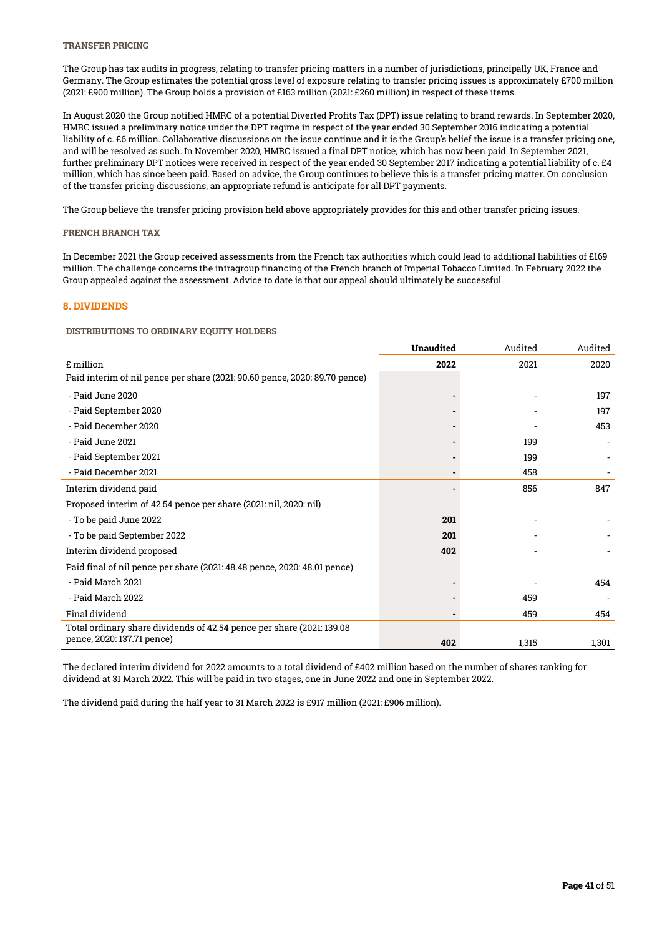## TRANSFER PRICING

The Group has tax audits in progress, relating to transfer pricing matters in a number of jurisdictions, principally UK, France and Germany. The Group estimates the potential gross level of exposure relating to transfer pricing issues is approximately £700 million (2021: £900 million). The Group holds a provision of £163 million (2021: £260 million) in respect of these items.

In August 2020 the Group notified HMRC of a potential Diverted Profits Tax (DPT) issue relating to brand rewards. In September 2020, HMRC issued a preliminary notice under the DPT regime in respect of the year ended 30 September 2016 indicating a potential liability of c. £6 million. Collaborative discussions on the issue continue and it is the Group's belief the issue is a transfer pricing one, and will be resolved as such. In November 2020, HMRC issued a final DPT notice, which has now been paid. In September 2021, further preliminary DPT notices were received in respect of the year ended 30 September 2017 indicating a potential liability of c. £4 million, which has since been paid. Based on advice, the Group continues to believe this is a transfer pricing matter. On conclusion of the transfer pricing discussions, an appropriate refund is anticipate for all DPT payments.

The Group believe the transfer pricing provision held above appropriately provides for this and other transfer pricing issues.

#### FRENCH BRANCH TAX

In December 2021 the Group received assessments from the French tax authorities which could lead to additional liabilities of £169 million. The challenge concerns the intragroup financing of the French branch of Imperial Tobacco Limited. In February 2022 the Group appealed against the assessment. Advice to date is that our appeal should ultimately be successful.

#### 8. DIVIDENDS

#### DISTRIBUTIONS TO ORDINARY EQUITY HOLDERS

|                                                                            | Unaudited | Audited | Audited |
|----------------------------------------------------------------------------|-----------|---------|---------|
| £ million                                                                  | 2022      | 2021    | 2020    |
| Paid interim of nil pence per share (2021: 90.60 pence, 2020: 89.70 pence) |           |         |         |
| - Paid June 2020                                                           |           |         | 197     |
| - Paid September 2020                                                      |           |         | 197     |
| - Paid December 2020                                                       |           |         | 453     |
| - Paid June 2021                                                           |           | 199     |         |
| - Paid September 2021                                                      |           | 199     |         |
| - Paid December 2021                                                       |           | 458     |         |
| Interim dividend paid                                                      |           | 856     | 847     |
| Proposed interim of 42.54 pence per share (2021: nil, 2020: nil)           |           |         |         |
| - To be paid June 2022                                                     | 201       |         |         |
| - To be paid September 2022                                                | 201       |         |         |
| Interim dividend proposed                                                  | 402       |         |         |
| Paid final of nil pence per share (2021: 48.48 pence, 2020: 48.01 pence)   |           |         |         |
| - Paid March 2021                                                          |           |         | 454     |
| - Paid March 2022                                                          |           | 459     |         |
| Final dividend                                                             |           | 459     | 454     |
| Total ordinary share dividends of 42.54 pence per share (2021: 139.08      |           |         |         |
| pence, 2020: 137.71 pence)                                                 | 402       | 1,315   | 1,301   |

The declared interim dividend for 2022 amounts to a total dividend of £402 million based on the number of shares ranking for dividend at 31 March 2022. This will be paid in two stages, one in June 2022 and one in September 2022.

The dividend paid during the half year to 31 March 2022 is £917 million (2021: £906 million).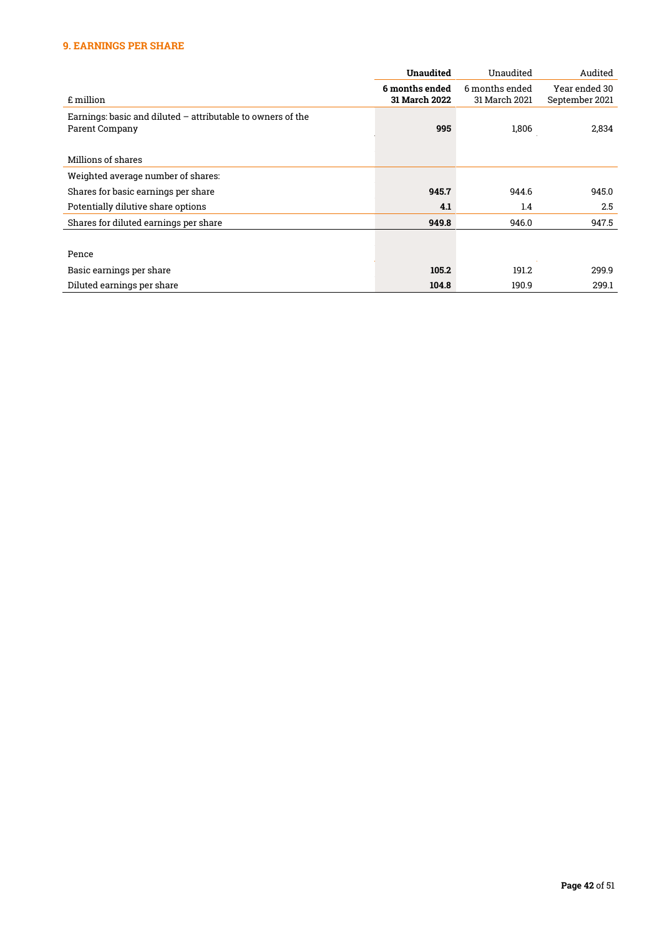# 9. EARNINGS PER SHARE

|                                                               | <b>Unaudited</b>     | Unaudited      | Audited        |
|---------------------------------------------------------------|----------------------|----------------|----------------|
|                                                               | 6 months ended       | 6 months ended | Year ended 30  |
| £ million                                                     | <b>31 March 2022</b> | 31 March 2021  | September 2021 |
| Earnings: basic and diluted $-$ attributable to owners of the |                      |                |                |
| Parent Company                                                | 995                  | 1,806          | 2,834          |
|                                                               |                      |                |                |
| Millions of shares                                            |                      |                |                |
| Weighted average number of shares:                            |                      |                |                |
| Shares for basic earnings per share                           | 945.7                | 944.6          | 945.0          |
| Potentially dilutive share options                            | 4.1                  | 1.4            | 2.5            |
| Shares for diluted earnings per share                         | 949.8                | 946.0          | 947.5          |
|                                                               |                      |                |                |
| Pence                                                         |                      |                |                |
| Basic earnings per share                                      | 105.2                | 191.2          | 299.9          |
| Diluted earnings per share                                    | 104.8                | 190.9          | 299.1          |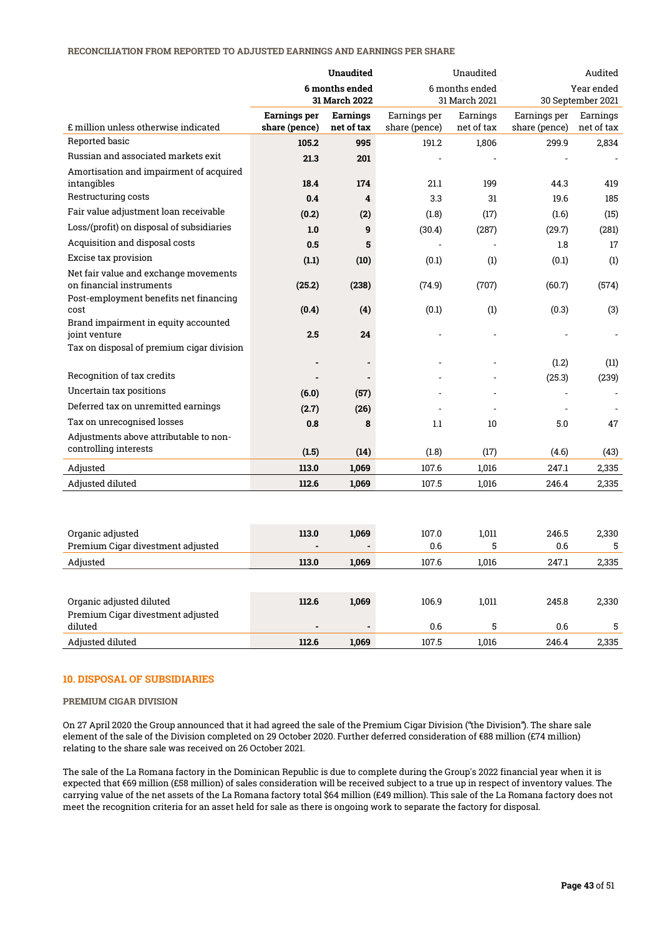#### RECONCILIATION FROM REPORTED TO ADJUSTED EARNINGS AND EARNINGS PER SHARE

|                                                        | <b>Unaudited</b> |                 | Unaudited     |                |                | Audited           |
|--------------------------------------------------------|------------------|-----------------|---------------|----------------|----------------|-------------------|
|                                                        |                  | 6 months ended  |               | 6 months ended |                | Year ended        |
|                                                        |                  | 31 March 2022   |               | 31 March 2021  |                | 30 September 2021 |
|                                                        | Earnings per     | <b>Earnings</b> | Earnings per  | Earnings       | Earnings per   | Earnings          |
| £ million unless otherwise indicated                   | share (pence)    | net of tax      | share (pence) | net of tax     | share (pence)  | net of tax        |
| Reported basic                                         | 105.2            | 995             | 191.2         | 1,806          | 299.9          | 2,834             |
| Russian and associated markets exit                    | 21.3             | 201             |               |                |                |                   |
| Amortisation and impairment of acquired<br>intangibles | 18.4             | 174             | 21.1          | 199            | 44.3           | 419               |
| Restructuring costs                                    | 0.4              | 4               | 3.3           | 31             | 19.6           | 185               |
| Fair value adjustment loan receivable                  | (0.2)            | (2)             | (1.8)         | (17)           | (1.6)          | (15)              |
| Loss/(profit) on disposal of subsidiaries              | 1.0              | 9               | (30.4)        | (287)          | (29.7)         | (281)             |
| Acquisition and disposal costs                         | 0.5              | 5               |               |                | 1.8            | 17                |
| Excise tax provision                                   | (1.1)            | (10)            | (0.1)         | (1)            | (0.1)          | (1)               |
| Net fair value and exchange movements                  |                  |                 |               |                |                |                   |
| on financial instruments                               | (25.2)           | (238)           | (74.9)        | (707)          | (60.7)         | (574)             |
| Post-employment benefits net financing                 |                  |                 |               |                |                |                   |
| cost<br>Brand impairment in equity accounted           | (0.4)            | (4)             | (0.1)         | (1)            | (0.3)          | (3)               |
| joint venture                                          | 2.5              | 24              |               |                |                |                   |
| Tax on disposal of premium cigar division              |                  |                 |               |                |                |                   |
|                                                        |                  |                 |               |                | (1.2)          | (11)              |
| Recognition of tax credits                             |                  |                 |               |                | (25.3)         | (239)             |
| Uncertain tax positions                                | (6.0)            | (57)            |               |                | $\overline{a}$ |                   |
| Deferred tax on unremitted earnings                    | (2.7)            | (26)            |               |                | $\overline{a}$ |                   |
| Tax on unrecognised losses                             | 0.8              | 8               | 1.1           | 10             | 5.0            | 47                |
| Adjustments above attributable to non-                 |                  |                 |               |                |                |                   |
| controlling interests                                  | (1.5)            | (14)            | (1.8)         | (17)           | (4.6)          | (43)              |
| Adjusted                                               | 113.0            | 1,069           | 107.6         | 1,016          | 247.1          | 2,335             |
| Adjusted diluted                                       | 112.6            | 1,069           | 107.5         | 1,016          | 246.4          | 2,335             |
|                                                        |                  |                 |               |                |                |                   |
|                                                        |                  |                 |               |                |                |                   |
|                                                        |                  |                 |               |                |                |                   |
| Organic adjusted                                       | 113.0            | 1,069           | 107.0         | 1,011          | 246.5          | 2,330             |
| Premium Cigar divestment adjusted                      |                  |                 | 0.6           | 5              | 0.6            | 5                 |
| Adjusted                                               | 113.0            | 1,069           | 107.6         | 1,016          | 247.1          | 2,335             |
|                                                        |                  |                 |               |                |                |                   |
| Organic adjusted diluted                               | 112.6            | 1,069           | 106.9         | 1,011          | 245.8          | 2,330             |
| Premium Cigar divestment adjusted                      |                  |                 |               |                |                |                   |
| diluted                                                |                  |                 | 0.6           | 5              | 0.6            | 5                 |
| Adjusted diluted                                       | 112.6            | 1.069           | 107.5         | 1,016          | 246.4          | 2,335             |

#### 10. DISPOSAL OF SUBSIDIARIES

#### PREMIUM CIGAR DIVISION

On 27 April 2020 the Group announced that it had agreed the sale of the Premium Cigar Division ("the Division"). The share sale element of the sale of the Division completed on 29 October 2020. Further deferred consideration of €88 million (£74 million) relating to the share sale was received on 26 October 2021.

The sale of the La Romana factory in the Dominican Republic is due to complete during the Group's 2022 financial year when it is expected that €69 million (£58 million) of sales consideration will be received subject to a true up in respect of inventory values. The carrying value of the net assets of the La Romana factory total \$64 million (£49 million). This sale of the La Romana factory does not meet the recognition criteria for an asset held for sale as there is ongoing work to separate the factory for disposal.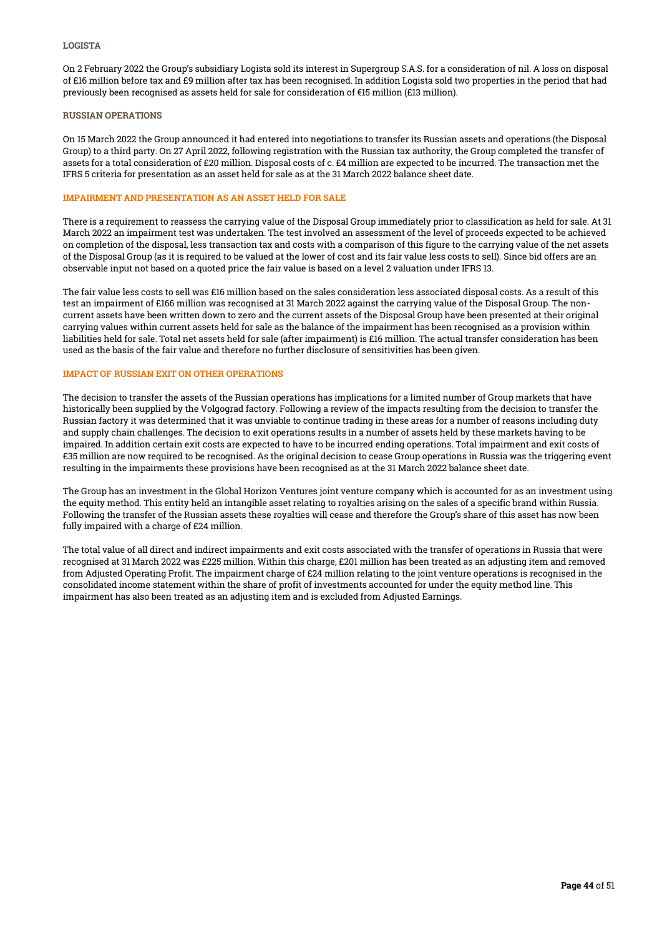On 2 February 2022 the Group's subsidiary Logista sold its interest in Supergroup S.A.S. for a consideration of nil. A loss on disposal of £16 million before tax and £9 million after tax has been recognised. In addition Logista sold two properties in the period that had previously been recognised as assets held for sale for consideration of €15 million (£13 million).

#### RUSSIAN OPERATIONS

On 15 March 2022 the Group announced it had entered into negotiations to transfer its Russian assets and operations (the Disposal Group) to a third party. On 27 April 2022, following registration with the Russian tax authority, the Group completed the transfer of assets for a total consideration of £20 million. Disposal costs of c. £4 million are expected to be incurred. The transaction met the IFRS 5 criteria for presentation as an asset held for sale as at the 31 March 2022 balance sheet date.

#### IMPAIRMENT AND PRESENTATION AS AN ASSET HELD FOR SALE

There is a requirement to reassess the carrying value of the Disposal Group immediately prior to classification as held for sale. At 31 March 2022 an impairment test was undertaken. The test involved an assessment of the level of proceeds expected to be achieved on completion of the disposal, less transaction tax and costs with a comparison of this figure to the carrying value of the net assets of the Disposal Group (as it is required to be valued at the lower of cost and its fair value less costs to sell). Since bid offers are an observable input not based on a quoted price the fair value is based on a level 2 valuation under IFRS 13.

The fair value less costs to sell was £16 million based on the sales consideration less associated disposal costs. As a result of this test an impairment of £166 million was recognised at 31 March 2022 against the carrying value of the Disposal Group. The noncurrent assets have been written down to zero and the current assets of the Disposal Group have been presented at their original carrying values within current assets held for sale as the balance of the impairment has been recognised as a provision within liabilities held for sale. Total net assets held for sale (after impairment) is £16 million. The actual transfer consideration has been used as the basis of the fair value and therefore no further disclosure of sensitivities has been given.

#### IMPACT OF RUSSIAN EXIT ON OTHER OPERATIONS

The decision to transfer the assets of the Russian operations has implications for a limited number of Group markets that have historically been supplied by the Volgograd factory. Following a review of the impacts resulting from the decision to transfer the Russian factory it was determined that it was unviable to continue trading in these areas for a number of reasons including duty and supply chain challenges. The decision to exit operations results in a number of assets held by these markets having to be impaired. In addition certain exit costs are expected to have to be incurred ending operations. Total impairment and exit costs of £35 million are now required to be recognised. As the original decision to cease Group operations in Russia was the triggering event resulting in the impairments these provisions have been recognised as at the 31 March 2022 balance sheet date.

The Group has an investment in the Global Horizon Ventures joint venture company which is accounted for as an investment using the equity method. This entity held an intangible asset relating to royalties arising on the sales of a specific brand within Russia. Following the transfer of the Russian assets these royalties will cease and therefore the Group's share of this asset has now been fully impaired with a charge of £24 million.

The total value of all direct and indirect impairments and exit costs associated with the transfer of operations in Russia that were recognised at 31 March 2022 was £225 million. Within this charge, £201 million has been treated as an adjusting item and removed from Adjusted Operating Profit. The impairment charge of £24 million relating to the joint venture operations is recognised in the consolidated income statement within the share of profit of investments accounted for under the equity method line. This impairment has also been treated as an adjusting item and is excluded from Adjusted Earnings.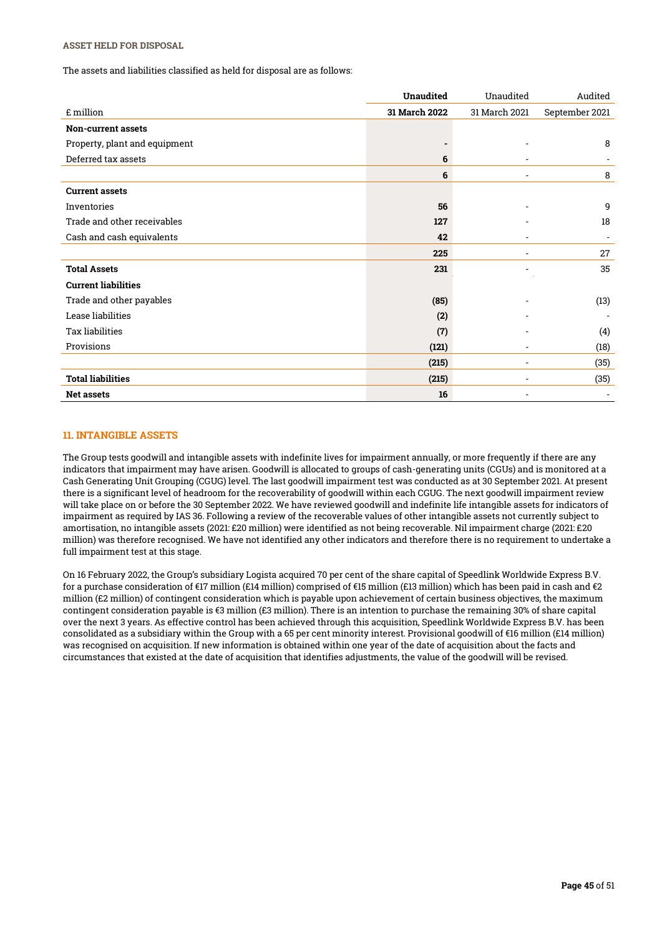## ASSET HELD FOR DISPOSAL

The assets and liabilities classified as held for disposal are as follows:

|                               | <b>Unaudited</b> | Unaudited                | Audited        |
|-------------------------------|------------------|--------------------------|----------------|
| £ million                     | 31 March 2022    | 31 March 2021            | September 2021 |
| Non-current assets            |                  |                          |                |
| Property, plant and equipment |                  |                          | 8              |
| Deferred tax assets           | 6                |                          |                |
|                               | 6                | $\overline{\phantom{a}}$ | 8              |
| <b>Current assets</b>         |                  |                          |                |
| Inventories                   | 56               |                          | 9              |
| Trade and other receivables   | 127              |                          | 18             |
| Cash and cash equivalents     | 42               |                          |                |
|                               | 225              |                          | 27             |
| <b>Total Assets</b>           | 231              |                          | 35             |
| <b>Current liabilities</b>    |                  |                          |                |
| Trade and other payables      | (85)             |                          | (13)           |
| Lease liabilities             | (2)              |                          |                |
| <b>Tax liabilities</b>        | (7)              |                          | (4)            |
| Provisions                    | (121)            |                          | (18)           |
|                               | (215)            |                          | (35)           |
| <b>Total liabilities</b>      | (215)            |                          | (35)           |
| <b>Net assets</b>             | 16               |                          |                |

# 11. INTANGIBLE ASSETS

The Group tests goodwill and intangible assets with indefinite lives for impairment annually, or more frequently if there are any indicators that impairment may have arisen. Goodwill is allocated to groups of cash-generating units (CGUs) and is monitored at a Cash Generating Unit Grouping (CGUG) level. The last goodwill impairment test was conducted as at 30 September 2021. At present there is a significant level of headroom for the recoverability of goodwill within each CGUG. The next goodwill impairment review will take place on or before the 30 September 2022. We have reviewed goodwill and indefinite life intangible assets for indicators of impairment as required by IAS 36. Following a review of the recoverable values of other intangible assets not currently subject to amortisation, no intangible assets (2021: £20 million) were identified as not being recoverable. Nil impairment charge (2021: £20 million) was therefore recognised. We have not identified any other indicators and therefore there is no requirement to undertake a full impairment test at this stage.

On 16 February 2022, the Group's subsidiary Logista acquired 70 per cent of the share capital of Speedlink Worldwide Express B.V. for a purchase consideration of €17 million (£14 million) comprised of €15 million (£13 million) which has been paid in cash and €2 million (£2 million) of contingent consideration which is payable upon achievement of certain business objectives, the maximum contingent consideration payable is €3 million (£3 million). There is an intention to purchase the remaining 30% of share capital over the next 3 years. As effective control has been achieved through this acquisition, Speedlink Worldwide Express B.V. has been consolidated as a subsidiary within the Group with a 65 per cent minority interest. Provisional goodwill of €16 million (£14 million) was recognised on acquisition. If new information is obtained within one year of the date of acquisition about the facts and circumstances that existed at the date of acquisition that identifies adjustments, the value of the goodwill will be revised.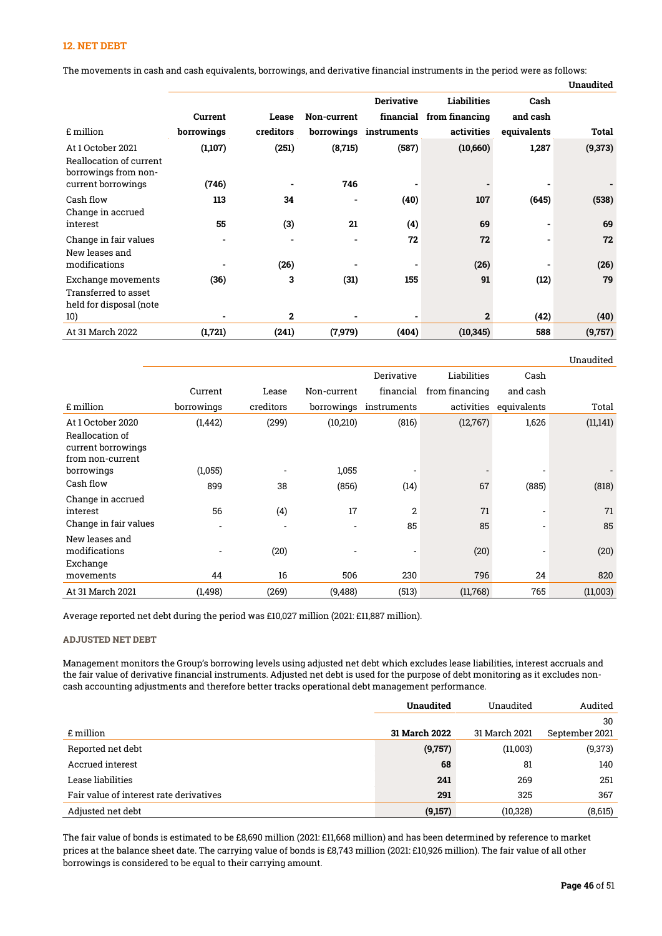### 12. NET DEBT

The movements in cash and cash equivalents, borrowings, and derivative financial instruments in the period were as follows:

|  | Unaudited |
|--|-----------|
|  |           |

|                                                                       |            |              |             | <b>Derivative</b> | Liabilities              | Cash        |         |
|-----------------------------------------------------------------------|------------|--------------|-------------|-------------------|--------------------------|-------------|---------|
|                                                                       | Current    | Lease        | Non-current |                   | financial from financing | and cash    |         |
| £ million                                                             | borrowings | creditors    | borrowings  | instruments       | activities               | equivalents | Total   |
| At 1 October 2021<br>Reallocation of current<br>borrowings from non-  | (1,107)    | (251)        | (8,715)     | (587)             | (10,660)                 | 1,287       | (9,373) |
| current borrowings                                                    | (746)      |              | 746         |                   |                          |             |         |
| Cash flow<br>Change in accrued                                        | 113        | 34           | ۰           | (40)              | 107                      | (645)       | (538)   |
| interest                                                              | 55         | (3)          | 21          | (4)               | 69                       |             | 69      |
| Change in fair values<br>New leases and                               |            |              | ٠           | 72                | 72                       |             | 72      |
| modifications                                                         |            | (26)         |             |                   | (26)                     |             | (26)    |
| Exchange movements<br>Transferred to asset<br>held for disposal (note | (36)       | 3            | (31)        | 155               | 91                       | (12)        | 79      |
| 10)                                                                   |            | $\mathbf{2}$ |             |                   | $\mathbf{2}$             | (42)        | (40)    |
| At 31 March 2022                                                      | (1,721)    | (241)        | (7,979)     | (404)             | (10, 345)                | 588         | (9,757) |
|                                                                       |            |              |             |                   |                          |             |         |

Unaudited Derivative Liabilities Cash Current Lease Non-current financial from financing and cash £ million borrowings creditors borrowings instruments activities equivalents Total At 1 October 2020 (1,442) (299) (10,210) (816) (12,767) 1,626 (11,141) Reallocation of current borrowings from non-current borrowings (1,055) - 1,055 - - - - Cash flow 899 38 (856) (14) 67 (885) (818) Change in accrued interest 56 (4) 17 2 71 - 71 Change in fair values and the set of the set of the set of the set of the set of the set of the set of the set of the set of the set of the set of the set of the set of the set of the set of the set of the set of the set o New leases and modifications - (20) - - (20) - (20) Exchange movements 44 16 506 230 796 24 820 At 31 March 2021 (1,498) (269) (9,488) (513) (11,768) 765 (11,003)

Average reported net debt during the period was £10,027 million (2021: £11,887 million).

#### ADJUSTED NET DEBT

Management monitors the Group's borrowing levels using adjusted net debt which excludes lease liabilities, interest accruals and the fair value of derivative financial instruments. Adjusted net debt is used for the purpose of debt monitoring as it excludes noncash accounting adjustments and therefore better tracks operational debt management performance.

|                                         | <b>Unaudited</b> | Unaudited     | Audited        |
|-----------------------------------------|------------------|---------------|----------------|
|                                         |                  |               | 30             |
| £ million                               | 31 March 2022    | 31 March 2021 | September 2021 |
| Reported net debt                       | (9,757)          | (11,003)      | (9,373)        |
| Accrued interest                        | 68               | 81            | 140            |
| Lease liabilities                       | 241              | 269           | 251            |
| Fair value of interest rate derivatives | 291              | 325           | 367            |
| Adjusted net debt                       | (9,157)          | (10, 328)     | (8,615)        |

The fair value of bonds is estimated to be £8,690 million (2021: £11,668 million) and has been determined by reference to market prices at the balance sheet date. The carrying value of bonds is £8,743 million (2021: £10,926 million). The fair value of all other borrowings is considered to be equal to their carrying amount.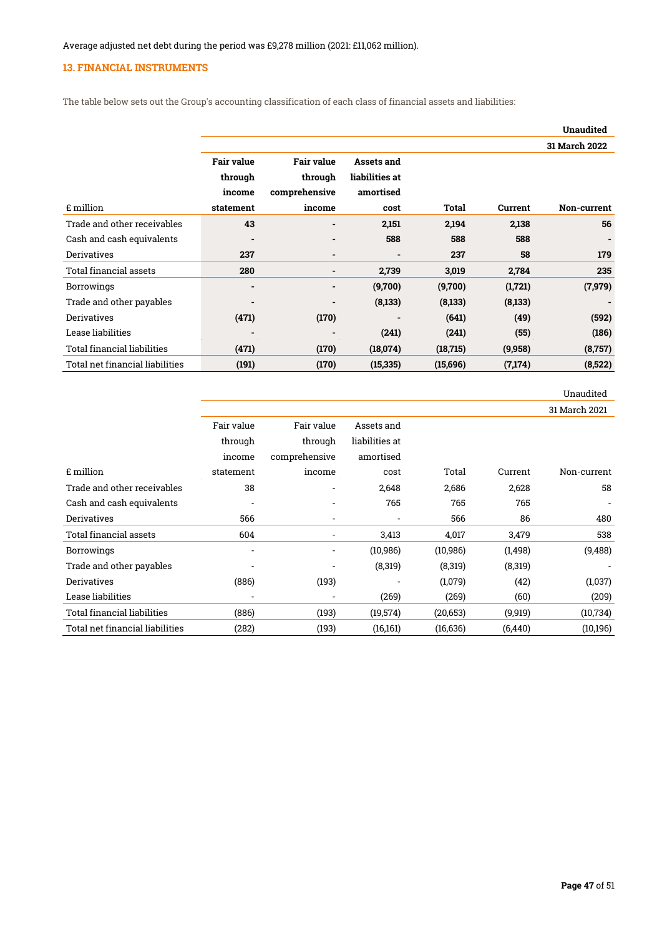# 13. FINANCIAL INSTRUMENTS

The table below sets out the Group's accounting classification of each class of financial assets and liabilities:

|                                 |                   |                   |                          |           |         | <b>Unaudited</b> |
|---------------------------------|-------------------|-------------------|--------------------------|-----------|---------|------------------|
|                                 |                   |                   |                          |           |         | 31 March 2022    |
|                                 | <b>Fair value</b> | <b>Fair value</b> | Assets and               |           |         |                  |
|                                 | through           | through           | liabilities at           |           |         |                  |
|                                 | income            | comprehensive     | amortised                |           |         |                  |
| £ million                       | statement         | income            | cost                     | Total     | Current | Non-current      |
| Trade and other receivables     | 43                |                   | 2,151                    | 2,194     | 2,138   | 56               |
| Cash and cash equivalents       |                   | ٠                 | 588                      | 588       | 588     |                  |
| <b>Derivatives</b>              | 237               | $\blacksquare$    | $\overline{\phantom{0}}$ | 237       | 58      | 179              |
| <b>Total financial assets</b>   | 280               | ۰                 | 2,739                    | 3,019     | 2,784   | 235              |
| <b>Borrowings</b>               |                   | ٠                 | (9,700)                  | (9,700)   | (1,721) | (7, 979)         |
| Trade and other payables        |                   |                   | (8,133)                  | (8,133)   | (8,133) |                  |
| <b>Derivatives</b>              | (471)             | (170)             |                          | (641)     | (49)    | (592)            |
| Lease liabilities               |                   |                   | (241)                    | (241)     | (55)    | (186)            |
| Total financial liabilities     | (471)             | (170)             | (18,074)                 | (18, 715) | (9,958) | (8, 757)         |
| Total net financial liabilities | (191)             | (170)             | (15, 335)                | (15,696)  | (7,174) | (8,522)          |

|                                 |                          |                          |                |           |          | Unaudited     |
|---------------------------------|--------------------------|--------------------------|----------------|-----------|----------|---------------|
|                                 |                          |                          |                |           |          | 31 March 2021 |
|                                 | Fair value               | Fair value               | Assets and     |           |          |               |
|                                 | through                  | through                  | liabilities at |           |          |               |
|                                 | income                   | comprehensive            | amortised      |           |          |               |
| £ million                       | statement                | income                   | cost           | Total     | Current  | Non-current   |
| Trade and other receivables     | 38                       |                          | 2,648          | 2,686     | 2,628    | 58            |
| Cash and cash equivalents       | $\overline{\phantom{a}}$ | $\overline{\phantom{a}}$ | 765            | 765       | 765      |               |
| <b>Derivatives</b>              | 566                      | $\overline{\phantom{0}}$ |                | 566       | 86       | 480           |
| Total financial assets          | 604                      | $\overline{\phantom{a}}$ | 3,413          | 4,017     | 3,479    | 538           |
| <b>Borrowings</b>               | $\overline{\phantom{a}}$ | $\overline{\phantom{a}}$ | (10, 986)      | (10, 986) | (1, 498) | (9, 488)      |
| Trade and other payables        |                          |                          | (8,319)        | (8,319)   | (8,319)  |               |
| Derivatives                     | (886)                    | (193)                    |                | (1,079)   | (42)     | (1,037)       |
| Lease liabilities               |                          | $\overline{\phantom{a}}$ | (269)          | (269)     | (60)     | (209)         |
| Total financial liabilities     | (886)                    | (193)                    | (19,574)       | (20, 653) | (9, 919) | (10, 734)     |
| Total net financial liabilities | (282)                    | (193)                    | (16, 161)      | (16, 636) | (6, 440) | (10, 196)     |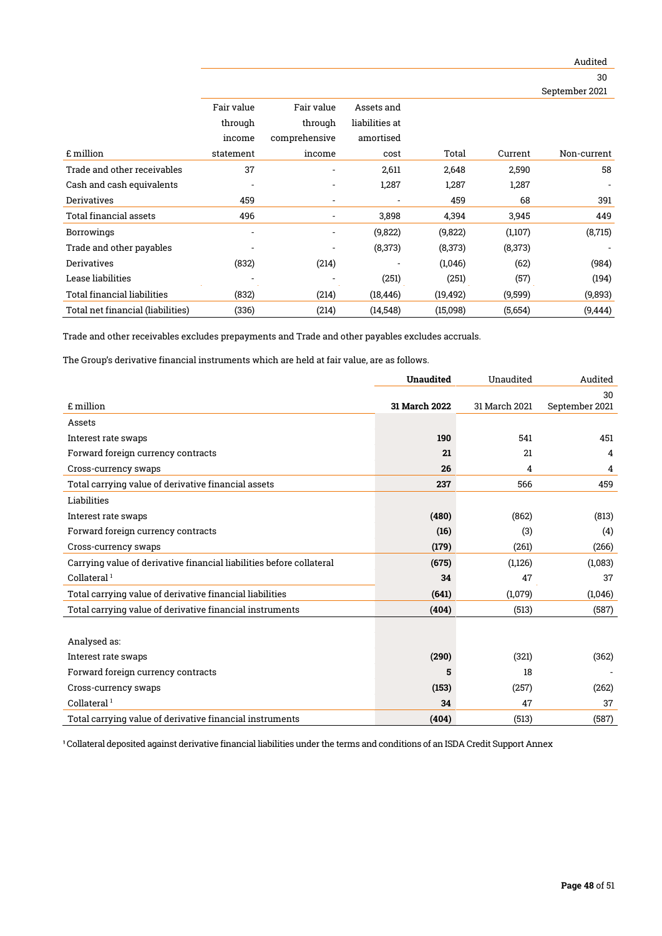|                                   |                          |               |                |           |         | 30                       |
|-----------------------------------|--------------------------|---------------|----------------|-----------|---------|--------------------------|
|                                   |                          |               |                |           |         | September 2021           |
|                                   | Fair value               | Fair value    | Assets and     |           |         |                          |
|                                   | through                  | through       | liabilities at |           |         |                          |
|                                   | income                   | comprehensive | amortised      |           |         |                          |
| £ million                         | statement                | income        | cost           | Total     | Current | Non-current              |
| Trade and other receivables       | 37                       |               | 2,611          | 2,648     | 2,590   | 58                       |
| Cash and cash equivalents         |                          |               | 1,287          | 1,287     | 1,287   |                          |
| <b>Derivatives</b>                | 459                      |               |                | 459       | 68      | 391                      |
| <b>Total financial assets</b>     | 496                      |               | 3,898          | 4,394     | 3,945   | 449                      |
| <b>Borrowings</b>                 | $\overline{\phantom{0}}$ |               | (9,822)        | (9,822)   | (1,107) | (8, 715)                 |
| Trade and other payables          |                          |               | (8, 373)       | (8,373)   | (8,373) | $\overline{\phantom{a}}$ |
| <b>Derivatives</b>                | (832)                    | (214)         |                | (1,046)   | (62)    | (984)                    |
| Lease liabilities                 |                          |               | (251)          | (251)     | (57)    | (194)                    |
| Total financial liabilities       | (832)                    | (214)         | (18, 446)      | (19, 492) | (9,599) | (9,893)                  |
| Total net financial (liabilities) | (336)                    | (214)         | (14, 548)      | (15,098)  | (5,654) | (9, 444)                 |

Trade and other receivables excludes prepayments and Trade and other payables excludes accruals.

The Group's derivative financial instruments which are held at fair value, are as follows.

|                                                                      | <b>Unaudited</b> | Unaudited     | Audited        |
|----------------------------------------------------------------------|------------------|---------------|----------------|
|                                                                      |                  |               | 30             |
| £ million                                                            | 31 March 2022    | 31 March 2021 | September 2021 |
| Assets                                                               |                  |               |                |
| Interest rate swaps                                                  | 190              | 541           | 451            |
| Forward foreign currency contracts                                   | 21               | 21            | 4              |
| Cross-currency swaps                                                 | 26               | 4             | 4              |
| Total carrying value of derivative financial assets                  | 237              | 566           | 459            |
| Liabilities                                                          |                  |               |                |
| Interest rate swaps                                                  | (480)            | (862)         | (813)          |
| Forward foreign currency contracts                                   | (16)             | (3)           | (4)            |
| Cross-currency swaps                                                 | (179)            | (261)         | (266)          |
| Carrying value of derivative financial liabilities before collateral | (675)            | (1,126)       | (1,083)        |
| Collateral $1$                                                       | 34               | 47            | 37             |
| Total carrying value of derivative financial liabilities             | (641)            | (1,079)       | (1,046)        |
| Total carrying value of derivative financial instruments             | (404)            | (513)         | (587)          |
|                                                                      |                  |               |                |
| Analysed as:                                                         |                  |               |                |
| Interest rate swaps                                                  | (290)            | (321)         | (362)          |
| Forward foreign currency contracts                                   | 5                | 18            |                |
| Cross-currency swaps                                                 | (153)            | (257)         | (262)          |
| Collateral $1$                                                       | 34               | 47            | 37             |
| Total carrying value of derivative financial instruments             | (404)            | (513)         | (587)          |

<sup>1</sup> Collateral deposited against derivative financial liabilities under the terms and conditions of an ISDA Credit Support Annex

Audited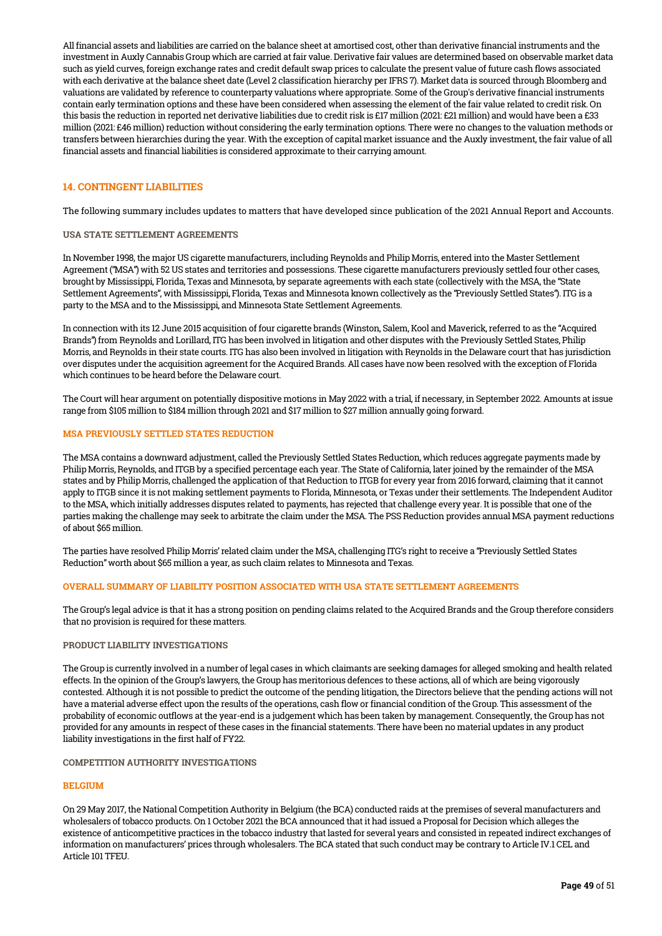All financial assets and liabilities are carried on the balance sheet at amortised cost, other than derivative financial instruments and the investment in Auxly Cannabis Group which are carried at fair value. Derivative fair values are determined based on observable market data such as yield curves, foreign exchange rates and credit default swap prices to calculate the present value of future cash flows associated with each derivative at the balance sheet date (Level 2 classification hierarchy per IFRS 7). Market data is sourced through Bloomberg and valuations are validated by reference to counterparty valuations where appropriate. Some of the Group's derivative financial instruments contain early termination options and these have been considered when assessing the element of the fair value related to credit risk. On this basis the reduction in reported net derivative liabilities due to credit risk is £17 million (2021: £21 million) and would have been a £33 million (2021: £46 million) reduction without considering the early termination options. There were no changes to the valuation methods or transfers between hierarchies during the year. With the exception of capital market issuance and the Auxly investment, the fair value of all financial assets and financial liabilities is considered approximate to their carrying amount.

## 14. CONTINGENT LIABILITIES

The following summary includes updates to matters that have developed since publication of the 2021 Annual Report and Accounts.

#### USA STATE SETTLEMENT AGREEMENTS

In November 1998, the major US cigarette manufacturers, including Reynolds and Philip Morris, entered into the Master Settlement Agreement ("MSA") with 52 US states and territories and possessions. These cigarette manufacturers previously settled four other cases, brought by Mississippi, Florida, Texas and Minnesota, by separate agreements with each state (collectively with the MSA, the "State Settlement Agreements", with Mississippi, Florida, Texas and Minnesota known collectively as the "Previously Settled States"). ITG is a party to the MSA and to the Mississippi, and Minnesota State Settlement Agreements.

In connection with its 12 June 2015 acquisition of four cigarette brands (Winston, Salem, Kool and Maverick, referred to as the "Acquired Brands") from Reynolds and Lorillard, ITG has been involved in litigation and other disputes with the Previously Settled States, Philip Morris, and Reynolds in their state courts. ITG has also been involved in litigation with Reynolds in the Delaware court that has jurisdiction over disputes under the acquisition agreement for the Acquired Brands. All cases have now been resolved with the exception of Florida which continues to be heard before the Delaware court.

The Court will hear argument on potentially dispositive motions in May 2022 with a trial, if necessary, in September 2022. Amounts at issue range from \$105 million to \$184 million through 2021 and \$17 million to \$27 million annually going forward.

#### MSA PREVIOUSLY SETTLED STATES REDUCTION

The MSA contains a downward adjustment, called the Previously Settled States Reduction, which reduces aggregate payments made by Philip Morris, Reynolds, and ITGB by a specified percentage each year. The State of California, later joined by the remainder of the MSA states and by Philip Morris, challenged the application of that Reduction to ITGB for every year from 2016 forward, claiming that it cannot apply to ITGB since it is not making settlement payments to Florida, Minnesota, or Texas under their settlements. The Independent Auditor to the MSA, which initially addresses disputes related to payments, has rejected that challenge every year. It is possible that one of the parties making the challenge may seek to arbitrate the claim under the MSA. The PSS Reduction provides annual MSA payment reductions of about \$65 million.

The parties have resolved Philip Morris' related claim under the MSA, challenging ITG's right to receive a "Previously Settled States Reduction" worth about \$65 million a year, as such claim relates to Minnesota and Texas.

#### OVERALL SUMMARY OF LIABILITY POSITION ASSOCIATED WITH USA STATE SETTLEMENT AGREEMENTS

The Group's legal advice is that it has a strong position on pending claims related to the Acquired Brands and the Group therefore considers that no provision is required for these matters.

#### PRODUCT LIABILITY INVESTIGATIONS

The Group is currently involved in a number of legal cases in which claimants are seeking damages for alleged smoking and health related effects. In the opinion of the Group's lawyers, the Group has meritorious defences to these actions, all of which are being vigorously contested. Although it is not possible to predict the outcome of the pending litigation, the Directors believe that the pending actions will not have a material adverse effect upon the results of the operations, cash flow or financial condition of the Group. This assessment of the probability of economic outflows at the year-end is a judgement which has been taken by management. Consequently, the Group has not provided for any amounts in respect of these cases in the financial statements. There have been no material updates in any product liability investigations in the first half of FY22.

#### COMPETITION AUTHORITY INVESTIGATIONS

#### **BELGIUM**

On 29 May 2017, the National Competition Authority in Belgium (the BCA) conducted raids at the premises of several manufacturers and wholesalers of tobacco products. On 1 October 2021 the BCA announced that it had issued a Proposal for Decision which alleges the existence of anticompetitive practices in the tobacco industry that lasted for several years and consisted in repeated indirect exchanges of information on manufacturers' prices through wholesalers. The BCA stated that such conduct may be contrary to Article IV.1 CEL and Article 101 TFEU.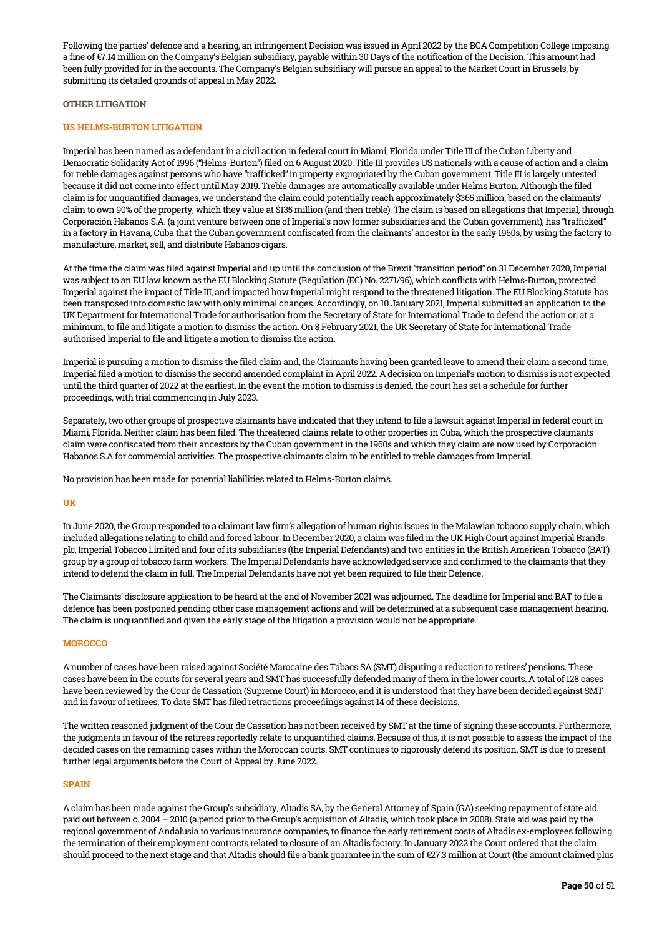Following the parties' defence and a hearing, an infringement Decision was issued in April 2022 by the BCA Competition College imposing a fine of €7.14 million on the Company's Belgian subsidiary, payable within 30 Days of the notification of the Decision. This amount had been fully provided for in the accounts. The Company's Belgian subsidiary will pursue an appeal to the Market Court in Brussels, by submitting its detailed grounds of appeal in May 2022.

#### OTHER LITIGATION

#### US HELMS-BURTON LITIGATION

Imperial has been named as a defendant in a civil action in federal court in Miami, Florida under Title III of the Cuban Liberty and Democratic Solidarity Act of 1996 ("Helms-Burton") filed on 6 August 2020. Title III provides US nationals with a cause of action and a claim for treble damages against persons who have "trafficked" in property expropriated by the Cuban government. Title III is largely untested because it did not come into effect until May 2019. Treble damages are automatically available under Helms Burton. Although the filed claim is for unquantified damages, we understand the claim could potentially reach approximately \$365 million, based on the claimants' claim to own 90% of the property, which they value at \$135 million (and then treble). The claim is based on allegations that Imperial, through Corporación Habanos S.A. (a joint venture between one of Imperial's now former subsidiaries and the Cuban government), has "trafficked" in a factory in Havana, Cuba that the Cuban government confiscated from the claimants' ancestor in the early 1960s, by using the factory to manufacture, market, sell, and distribute Habanos cigars.

At the time the claim was filed against Imperial and up until the conclusion of the Brexit "transition period" on 31 December 2020, Imperial was subject to an EU law known as the EU Blocking Statute (Regulation (EC) No. 2271/96), which conflicts with Helms-Burton, protected Imperial against the impact of Title III, and impacted how Imperial might respond to the threatened litigation. The EU Blocking Statute has been transposed into domestic law with only minimal changes. Accordingly, on 10 January 2021, Imperial submitted an application to the UK Department for International Trade for authorisation from the Secretary of State for International Trade to defend the action or, at a minimum, to file and litigate a motion to dismiss the action. On 8 February 2021, the UK Secretary of State for International Trade authorised Imperial to file and litigate a motion to dismiss the action.

Imperial is pursuing a motion to dismiss the filed claim and, the Claimants having been granted leave to amend their claim a second time, Imperial filed a motion to dismiss the second amended complaint in April 2022. A decision on Imperial's motion to dismiss is not expected until the third quarter of 2022 at the earliest. In the event the motion to dismiss is denied, the court has set a schedule for further proceedings, with trial commencing in July 2023.

Separately, two other groups of prospective claimants have indicated that they intend to file a lawsuit against Imperial in federal court in Miami, Florida. Neither claim has been filed. The threatened claims relate to other properties in Cuba, which the prospective claimants claim were confiscated from their ancestors by the Cuban government in the 1960s and which they claim are now used by Corporación Habanos S.A for commercial activities. The prospective claimants claim to be entitled to treble damages from Imperial.

No provision has been made for potential liabilities related to Helms-Burton claims.

#### UK

In June 2020, the Group responded to a claimant law firm's allegation of human rights issues in the Malawian tobacco supply chain, which included allegations relating to child and forced labour. In December 2020, a claim was filed in the UK High Court against Imperial Brands plc, Imperial Tobacco Limited and four of its subsidiaries (the Imperial Defendants) and two entities in the British American Tobacco (BAT) group by a group of tobacco farm workers. The Imperial Defendants have acknowledged service and confirmed to the claimants that they intend to defend the claim in full. The Imperial Defendants have not yet been required to file their Defence.

The Claimants' disclosure application to be heard at the end of November 2021 was adjourned. The deadline for Imperial and BAT to file a defence has been postponed pending other case management actions and will be determined at a subsequent case management hearing. The claim is unquantified and given the early stage of the litigation a provision would not be appropriate.

#### **MOROCCO**

A number of cases have been raised against Société Marocaine des Tabacs SA (SMT) disputing a reduction to retirees' pensions. These cases have been in the courts for several years and SMT has successfully defended many of them in the lower courts. A total of 128 cases have been reviewed by the Cour de Cassation (Supreme Court) in Morocco, and it is understood that they have been decided against SMT and in favour of retirees. To date SMT has filed retractions proceedings against 14 of these decisions.

The written reasoned judgment of the Cour de Cassation has not been received by SMT at the time of signing these accounts. Furthermore, the judgments in favour of the retirees reportedly relate to unquantified claims. Because of this, it is not possible to assess the impact of the decided cases on the remaining cases within the Moroccan courts. SMT continues to rigorously defend its position. SMT is due to present further legal arguments before the Court of Appeal by June 2022.

#### **SPAIN**

A claim has been made against the Group's subsidiary, Altadis SA, by the General Attorney of Spain (GA) seeking repayment of state aid paid out between c. 2004 – 2010 (a period prior to the Group's acquisition of Altadis, which took place in 2008). State aid was paid by the regional government of Andalusia to various insurance companies, to finance the early retirement costs of Altadis ex-employees following the termination of their employment contracts related to closure of an Altadis factory. In January 2022 the Court ordered that the claim should proceed to the next stage and that Altadis should file a bank guarantee in the sum of €27.3 million at Court (the amount claimed plus